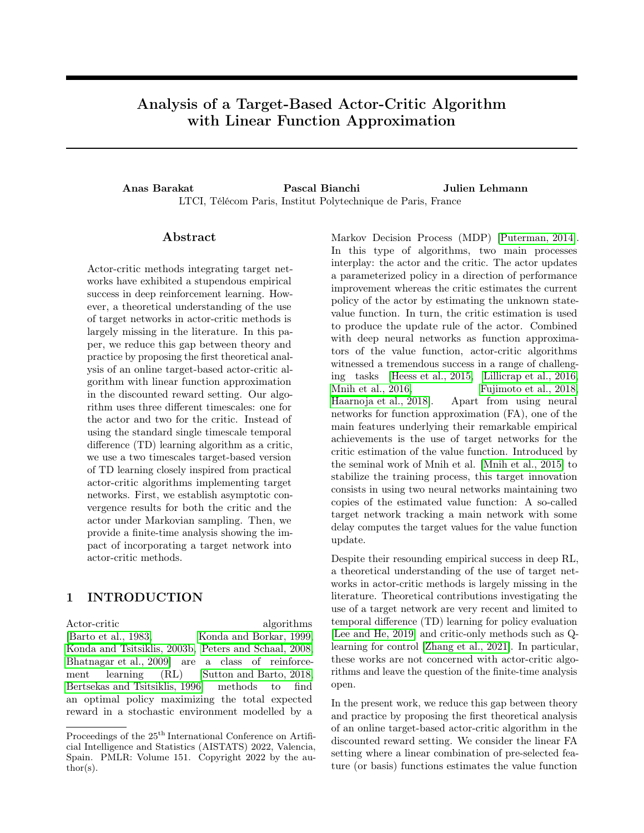# <span id="page-0-0"></span>Analysis of a Target-Based Actor-Critic Algorithm with Linear Function Approximation

Anas Barakat Pascal Bianchi Julien Lehmann LTCI, Télécom Paris, Institut Polytechnique de Paris, France

# Abstract

Actor-critic methods integrating target networks have exhibited a stupendous empirical success in deep reinforcement learning. However, a theoretical understanding of the use of target networks in actor-critic methods is largely missing in the literature. In this paper, we reduce this gap between theory and practice by proposing the first theoretical analysis of an online target-based actor-critic algorithm with linear function approximation in the discounted reward setting. Our algorithm uses three different timescales: one for the actor and two for the critic. Instead of using the standard single timescale temporal difference (TD) learning algorithm as a critic, we use a two timescales target-based version of TD learning closely inspired from practical actor-critic algorithms implementing target networks. First, we establish asymptotic convergence results for both the critic and the actor under Markovian sampling. Then, we provide a finite-time analysis showing the impact of incorporating a target network into actor-critic methods.

# 1 INTRODUCTION

Actor-critic algorithms [\[Barto et al., 1983,](#page-8-0) [Konda and Borkar, 1999,](#page-9-0) [Konda and Tsitsiklis, 2003b,](#page-10-0) [Peters and Schaal, 2008,](#page-10-1) [Bhatnagar et al., 2009\]](#page-9-1) are a class of reinforcement learning (RL) [\[Sutton and Barto, 2018,](#page-10-2) [Bertsekas and Tsitsiklis, 1996\]](#page-9-2) methods to find an optimal policy maximizing the total expected reward in a stochastic environment modelled by a Markov Decision Process (MDP) [\[Puterman, 2014\]](#page-10-3). In this type of algorithms, two main processes interplay: the actor and the critic. The actor updates a parameterized policy in a direction of performance improvement whereas the critic estimates the current policy of the actor by estimating the unknown statevalue function. In turn, the critic estimation is used to produce the update rule of the actor. Combined with deep neural networks as function approximators of the value function, actor-critic algorithms witnessed a tremendous success in a range of challenging tasks [\[Heess et al., 2015,](#page-9-3) [Lillicrap et al., 2016,](#page-10-4) [Mnih et al., 2016,](#page-10-5) [Fujimoto et al., 2018,](#page-9-4) [Haarnoja et al., 2018\]](#page-9-5). Apart from using neural networks for function approximation (FA), one of the main features underlying their remarkable empirical achievements is the use of target networks for the critic estimation of the value function. Introduced by the seminal work of Mnih et al. [\[Mnih et al., 2015\]](#page-10-6) to stabilize the training process, this target innovation consists in using two neural networks maintaining two copies of the estimated value function: A so-called target network tracking a main network with some delay computes the target values for the value function update.

Despite their resounding empirical success in deep RL, a theoretical understanding of the use of target networks in actor-critic methods is largely missing in the literature. Theoretical contributions investigating the use of a target network are very recent and limited to temporal difference (TD) learning for policy evaluation [\[Lee and He, 2019\]](#page-10-7) and critic-only methods such as Qlearning for control [\[Zhang et al., 2021\]](#page-11-0). In particular, these works are not concerned with actor-critic algorithms and leave the question of the finite-time analysis open.

In the present work, we reduce this gap between theory and practice by proposing the first theoretical analysis of an online target-based actor-critic algorithm in the discounted reward setting. We consider the linear FA setting where a linear combination of pre-selected feature (or basis) functions estimates the value function

Proceedings of the  $25^{\mathrm{th}}$  International Conference on Artificial Intelligence and Statistics (AISTATS) 2022, Valencia, Spain. PMLR: Volume 151. Copyright 2022 by the au- $\text{thor}(s)$ .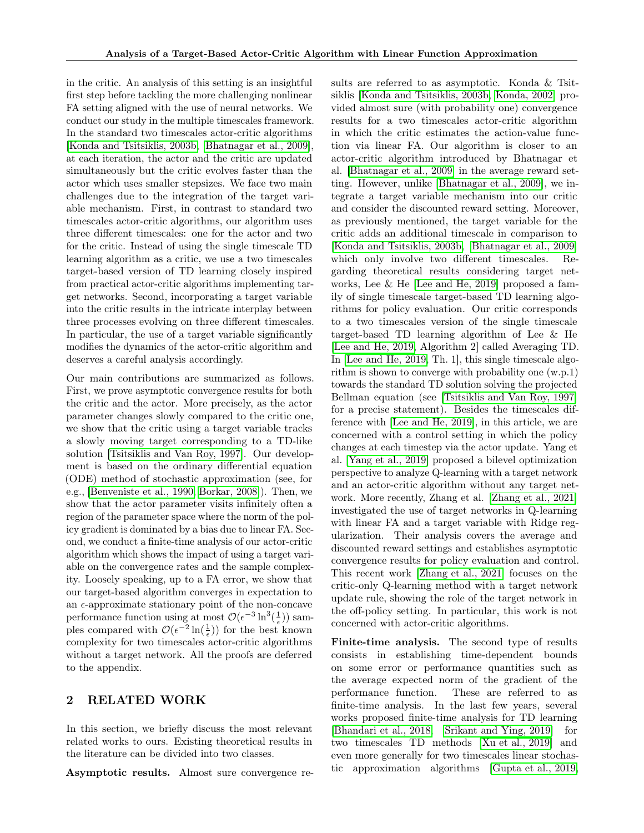in the critic. An analysis of this setting is an insightful first step before tackling the more challenging nonlinear FA setting aligned with the use of neural networks. We conduct our study in the multiple timescales framework. In the standard two timescales actor-critic algorithms [\[Konda and Tsitsiklis, 2003b,](#page-10-0) [Bhatnagar et al., 2009\]](#page-9-1), at each iteration, the actor and the critic are updated simultaneously but the critic evolves faster than the actor which uses smaller stepsizes. We face two main challenges due to the integration of the target variable mechanism. First, in contrast to standard two timescales actor-critic algorithms, our algorithm uses three different timescales: one for the actor and two for the critic. Instead of using the single timescale TD learning algorithm as a critic, we use a two timescales target-based version of TD learning closely inspired from practical actor-critic algorithms implementing target networks. Second, incorporating a target variable into the critic results in the intricate interplay between three processes evolving on three different timescales. In particular, the use of a target variable significantly modifies the dynamics of the actor-critic algorithm and deserves a careful analysis accordingly.

Our main contributions are summarized as follows. First, we prove asymptotic convergence results for both the critic and the actor. More precisely, as the actor parameter changes slowly compared to the critic one, we show that the critic using a target variable tracks a slowly moving target corresponding to a TD-like solution [\[Tsitsiklis and Van Roy, 1997\]](#page-10-8). Our development is based on the ordinary differential equation (ODE) method of stochastic approximation (see, for e.g., [\[Benveniste et al., 1990,](#page-9-6) [Borkar, 2008\]](#page-9-7)). Then, we show that the actor parameter visits infinitely often a region of the parameter space where the norm of the policy gradient is dominated by a bias due to linear FA. Second, we conduct a finite-time analysis of our actor-critic algorithm which shows the impact of using a target variable on the convergence rates and the sample complexity. Loosely speaking, up to a FA error, we show that our target-based algorithm converges in expectation to an  $\epsilon$ -approximate stationary point of the non-concave performance function using at most  $\mathcal{O}(\epsilon^{-3} \ln^3(\frac{1}{\epsilon}))$  samples compared with  $\mathcal{O}(\epsilon^{-2} \ln(\frac{1}{\epsilon}))$  for the best known complexity for two timescales actor-critic algorithms without a target network. All the proofs are deferred to the appendix.

# 2 RELATED WORK

In this section, we briefly discuss the most relevant related works to ours. Existing theoretical results in the literature can be divided into two classes.

Asymptotic results. Almost sure convergence re-

sults are referred to as asymptotic. Konda & Tsitsiklis [\[Konda and Tsitsiklis, 2003b,](#page-10-0) [Konda, 2002\]](#page-9-8) provided almost sure (with probability one) convergence results for a two timescales actor-critic algorithm in which the critic estimates the action-value function via linear FA. Our algorithm is closer to an actor-critic algorithm introduced by Bhatnagar et al. [\[Bhatnagar et al., 2009\]](#page-9-1) in the average reward setting. However, unlike [\[Bhatnagar et al., 2009\]](#page-9-1), we integrate a target variable mechanism into our critic and consider the discounted reward setting. Moreover, as previously mentioned, the target variable for the critic adds an additional timescale in comparison to [\[Konda and Tsitsiklis, 2003b,](#page-10-0) [Bhatnagar et al., 2009\]](#page-9-1) which only involve two different timescales. Regarding theoretical results considering target networks, Lee & He [\[Lee and He, 2019\]](#page-10-7) proposed a family of single timescale target-based TD learning algorithms for policy evaluation. Our critic corresponds to a two timescales version of the single timescale target-based TD learning algorithm of Lee & He [\[Lee and He, 2019,](#page-10-7) Algorithm 2] called Averaging TD. In [\[Lee and He, 2019,](#page-10-7) Th. 1], this single timescale algorithm is shown to converge with probability one (w.p.1) towards the standard TD solution solving the projected Bellman equation (see [\[Tsitsiklis and Van Roy, 1997\]](#page-10-8) for a precise statement). Besides the timescales difference with [\[Lee and He, 2019\]](#page-10-7), in this article, we are concerned with a control setting in which the policy changes at each timestep via the actor update. Yang et al. [\[Yang et al., 2019\]](#page-11-1) proposed a bilevel optimization perspective to analyze Q-learning with a target network and an actor-critic algorithm without any target network. More recently, Zhang et al. [\[Zhang et al., 2021\]](#page-11-0) investigated the use of target networks in Q-learning with linear FA and a target variable with Ridge regularization. Their analysis covers the average and discounted reward settings and establishes asymptotic convergence results for policy evaluation and control. This recent work [\[Zhang et al., 2021\]](#page-11-0) focuses on the critic-only Q-learning method with a target network update rule, showing the role of the target network in the off-policy setting. In particular, this work is not concerned with actor-critic algorithms.

Finite-time analysis. The second type of results consists in establishing time-dependent bounds on some error or performance quantities such as the average expected norm of the gradient of the performance function. These are referred to as finite-time analysis. In the last few years, several works proposed finite-time analysis for TD learning [\[Bhandari et al., 2018,](#page-9-9) [Srikant and Ying, 2019\]](#page-10-9) for two timescales TD methods [\[Xu et al., 2019\]](#page-11-2) and even more generally for two timescales linear stochastic approximation algorithms [\[Gupta et al., 2019,](#page-9-10)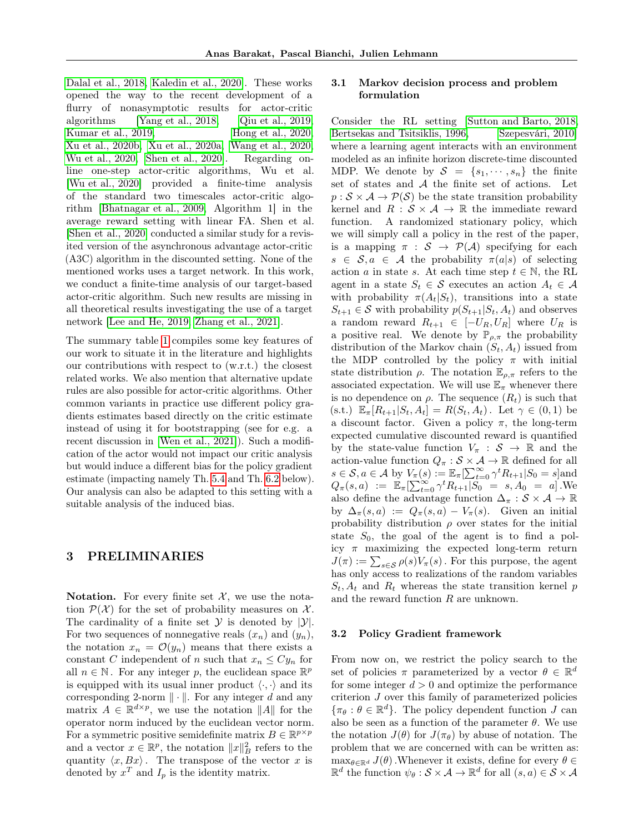[Dalal et al., 2018,](#page-9-11) [Kaledin et al., 2020\]](#page-9-12). These works opened the way to the recent development of a flurry of nonasymptotic results for actor-critic algorithms [\[Yang et al., 2018,](#page-11-3) [Qiu et al., 2019,](#page-10-10) [Kumar et al., 2019,](#page-10-11) [Hong et al., 2020,](#page-9-13) [Xu et al., 2020b,](#page-11-4) [Xu et al., 2020a,](#page-11-5) [Wang et al., 2020,](#page-11-6) [Wu et al., 2020,](#page-11-7) [Shen et al., 2020\]](#page-10-12). Regarding online one-step actor-critic algorithms, Wu et al. [\[Wu et al., 2020\]](#page-11-7) provided a finite-time analysis of the standard two timescales actor-critic algorithm [\[Bhatnagar et al., 2009,](#page-9-1) Algorithm 1] in the average reward setting with linear FA. Shen et al. [\[Shen et al., 2020\]](#page-10-12) conducted a similar study for a revisited version of the asynchronous advantage actor-critic (A3C) algorithm in the discounted setting. None of the mentioned works uses a target network. In this work, we conduct a finite-time analysis of our target-based actor-critic algorithm. Such new results are missing in all theoretical results investigating the use of a target network [\[Lee and He, 2019,](#page-10-7) [Zhang et al., 2021\]](#page-11-0).

The summary table [1](#page-3-0) compiles some key features of our work to situate it in the literature and highlights our contributions with respect to (w.r.t.) the closest related works. We also mention that alternative update rules are also possible for actor-critic algorithms. Other common variants in practice use different policy gradients estimates based directly on the critic estimate instead of using it for bootstrapping (see for e.g. a recent discussion in [\[Wen et al., 2021\]](#page-11-8)). Such a modification of the actor would not impact our critic analysis but would induce a different bias for the policy gradient estimate (impacting namely Th. [5.4](#page-6-0) and Th. [6.2](#page-8-1) below). Our analysis can also be adapted to this setting with a suitable analysis of the induced bias.

# 3 PRELIMINARIES

Notation. For every finite set  $\mathcal{X}$ , we use the notation  $\mathcal{P}(\mathcal{X})$  for the set of probability measures on X. The cardinality of a finite set  $\mathcal Y$  is denoted by  $|\mathcal Y|$ . For two sequences of nonnegative reals  $(x_n)$  and  $(y_n)$ , the notation  $x_n = \mathcal{O}(y_n)$  means that there exists a constant C independent of n such that  $x_n \leq Cy_n$  for all  $n \in \mathbb{N}$ . For any integer p, the euclidean space  $\mathbb{R}^p$ is equipped with its usual inner product  $\langle \cdot, \cdot \rangle$  and its corresponding 2-norm  $\|\cdot\|$ . For any integer d and any matrix  $A \in \mathbb{R}^{d \times p}$ , we use the notation ||A|| for the operator norm induced by the euclidean vector norm. For a symmetric positive semidefinite matrix  $B \in \mathbb{R}^{p \times p}$ and a vector  $x \in \mathbb{R}^p$ , the notation  $||x||_B^2$  refers to the quantity  $\langle x, Bx \rangle$ . The transpose of the vector x is denoted by  $x^T$  and  $I_p$  is the identity matrix.

## 3.1 Markov decision process and problem formulation

Consider the RL setting [\[Sutton and Barto, 2018,](#page-10-2) [Bertsekas and Tsitsiklis, 1996,](#page-9-2) [Szepesvári, 2010\]](#page-10-13) where a learning agent interacts with an environment modeled as an infinite horizon discrete-time discounted MDP. We denote by  $S = \{s_1, \dots, s_n\}$  the finite set of states and A the finite set of actions. Let  $p : \mathcal{S} \times \mathcal{A} \rightarrow \mathcal{P}(\mathcal{S})$  be the state transition probability kernel and  $R : \mathcal{S} \times \mathcal{A} \rightarrow \mathbb{R}$  the immediate reward function. A randomized stationary policy, which we will simply call a policy in the rest of the paper, is a mapping  $\pi : \mathcal{S} \to \mathcal{P}(\mathcal{A})$  specifying for each  $s \in \mathcal{S}, a \in \mathcal{A}$  the probability  $\pi(a|s)$  of selecting action a in state s. At each time step  $t \in \mathbb{N}$ , the RL agent in a state  $S_t \in \mathcal{S}$  executes an action  $A_t \in \mathcal{A}$ with probability  $\pi(A_t|S_t)$ , transitions into a state  $S_{t+1} \in \mathcal{S}$  with probability  $p(S_{t+1}|S_t, A_t)$  and observes a random reward  $R_{t+1} \in [-U_R, U_R]$  where  $U_R$  is a positive real. We denote by  $\mathbb{P}_{\rho,\pi}$  the probability distribution of the Markov chain  $(S_t, A_t)$  issued from the MDP controlled by the policy  $\pi$  with initial state distribution  $\rho$ . The notation  $\mathbb{E}_{\rho,\pi}$  refers to the associated expectation. We will use  $\mathbb{E}_{\pi}$  whenever there is no dependence on  $\rho$ . The sequence  $(R_t)$  is such that (s.t.)  $\mathbb{E}_{\pi}[R_{t+1}|S_t, A_t] = R(S_t, A_t)$ . Let  $\gamma \in (0, 1)$  be a discount factor. Given a policy  $\pi$ , the long-term expected cumulative discounted reward is quantified by the state-value function  $V_\pi : \mathcal{S} \to \mathbb{R}$  and the action-value function  $Q_{\pi}: \mathcal{S} \times \mathcal{A} \to \mathbb{R}$  defined for all  $s \in \mathcal{S}, a \in \mathcal{A}$  by  $V_{\pi}(s) := \mathbb{E}_{\pi}[\sum_{t=0}^{\infty} \gamma^{t} R_{t+1} | S_0 = s]$ and  $Q_{\pi}(s, a) := \mathbb{E}_{\pi}[\sum_{t=0}^{\infty} \gamma^t R_{t+1} | S_0 = s, A_0 = a]$ . We also define the advantage function  $\Delta_{\pi}: \mathcal{S} \times \mathcal{A} \rightarrow \mathbb{R}$ by  $\Delta_{\pi}(s, a) := Q_{\pi}(s, a) - V_{\pi}(s)$ . Given an initial probability distribution  $\rho$  over states for the initial state  $S_0$ , the goal of the agent is to find a policy  $\pi$  maximizing the expected long-term return  $J(\pi) := \sum_{s \in \mathcal{S}} \rho(s) V_{\pi}(s)$ . For this purpose, the agent has only access to realizations of the random variables  $S_t$ ,  $A_t$  and  $R_t$  whereas the state transition kernel p and the reward function R are unknown.

#### 3.2 Policy Gradient framework

From now on, we restrict the policy search to the set of policies  $\pi$  parameterized by a vector  $\theta \in \mathbb{R}^d$ for some integer  $d > 0$  and optimize the performance criterion J over this family of parameterized policies  $\{\pi_{\theta} : \theta \in \mathbb{R}^d\}$ . The policy dependent function J can also be seen as a function of the parameter  $\theta$ . We use the notation  $J(\theta)$  for  $J(\pi_{\theta})$  by abuse of notation. The problem that we are concerned with can be written as:  $\max_{\theta \in \mathbb{R}^d} J(\theta)$ . Whenever it exists, define for every  $\theta \in$  $\mathbb{R}^d$  the function  $\psi_\theta : \mathcal{S} \times \mathcal{A} \to \mathbb{R}^d$  for all  $(s, a) \in \mathcal{S} \times \mathcal{A}$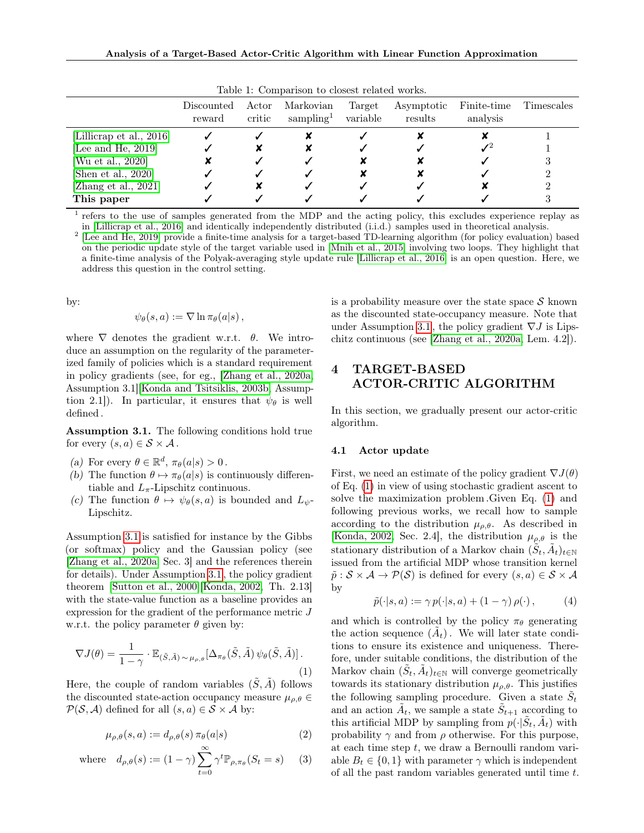|                                                                                                                    | Discounted<br>reward | Actor<br>critic | LWDIU II UUILDWIRDII VU UIDDUU IDIWVUU MUILDM<br>Markovian<br>sampling <sup>1</sup> | Target<br>variable | Asymptotic<br>results | Finite-time<br>analysis | Timescales |
|--------------------------------------------------------------------------------------------------------------------|----------------------|-----------------|-------------------------------------------------------------------------------------|--------------------|-----------------------|-------------------------|------------|
| [Lillicrap et al., 2016]<br>[Lee and He, 2019]<br>[Wu et al., 2020]<br>[Shen et al., 2020]<br>[Zhang et al., 2021] |                      |                 |                                                                                     |                    |                       |                         |            |
| This paper                                                                                                         |                      |                 |                                                                                     |                    |                       |                         |            |

<span id="page-3-0"></span>Table 1: Comparison to closest related works.

<sup>1</sup> refers to the use of samples generated from the MDP and the acting policy, this excludes experience replay as in [\[Lillicrap et al., 2016\]](#page-10-4) and identically independently distributed (i.i.d.) samples used in theoretical analysis.

<sup>2</sup> [\[Lee and He, 2019\]](#page-10-7) provide a finite-time analysis for a target-based TD-learning algorithm (for policy evaluation) based on the periodic update style of the target variable used in [\[Mnih et al., 2015\]](#page-10-6) involving two loops. They highlight that a finite-time analysis of the Polyak-averaging style update rule [\[Lillicrap et al., 2016\]](#page-10-4) is an open question. Here, we address this question in the control setting.

by:

$$
\psi_{\theta}(s, a) := \nabla \ln \pi_{\theta}(a|s),
$$

where  $\nabla$  denotes the gradient w.r.t.  $\theta$ . We introduce an assumption on the regularity of the parameterized family of policies which is a standard requirement in policy gradients (see, for eg., [\[Zhang et al., 2020a,](#page-11-9) Assumption 3.1][\[Konda and Tsitsiklis, 2003b,](#page-10-0) Assumption 2.1]). In particular, it ensures that  $\psi_{\theta}$  is well defined .

<span id="page-3-1"></span>Assumption 3.1. The following conditions hold true for every  $(s, a) \in S \times A$ .

- (a) For every  $\theta \in \mathbb{R}^d$ ,  $\pi_{\theta}(a|s) > 0$ .
- <span id="page-3-6"></span>(b) The function  $\theta \mapsto \pi_{\theta}(a|s)$  is continuously differentiable and  $L_{\pi}$ -Lipschitz continuous.
- <span id="page-3-5"></span>(c) The function  $\theta \mapsto \psi_{\theta}(s, a)$  is bounded and  $L_{\psi}$ -Lipschitz.

Assumption [3.1](#page-3-1) is satisfied for instance by the Gibbs (or softmax) policy and the Gaussian policy (see [\[Zhang et al., 2020a,](#page-11-9) Sec. 3] and the references therein for details). Under Assumption [3.1](#page-3-1) , the policy gradient theorem [\[Sutton et al., 2000\]](#page-10-14)[\[Konda, 2002,](#page-9-8) Th. 2.13] with the state-value function as a baseline provides an expression for the gradient of the performance metric J w.r.t. the policy parameter  $\theta$  given by:

<span id="page-3-2"></span>
$$
\nabla J(\theta) = \frac{1}{1 - \gamma} \cdot \mathbb{E}_{(\tilde{S}, \tilde{A}) \sim \mu_{\rho, \theta}} [\Delta_{\pi_{\theta}}(\tilde{S}, \tilde{A}) \psi_{\theta}(\tilde{S}, \tilde{A})].
$$
\n(1)

Here, the couple of random variables  $(\tilde{S}, \tilde{A})$  follows the discounted state-action occupancy measure  $\mu_{\rho,\theta} \in$  $\mathcal{P}(\mathcal{S}, \mathcal{A})$  defined for all  $(s, a) \in \mathcal{S} \times \mathcal{A}$  by:

$$
\mu_{\rho,\theta}(s,a) := d_{\rho,\theta}(s) \,\pi_{\theta}(a|s) \tag{2}
$$

where 
$$
d_{\rho,\theta}(s) := (1 - \gamma) \sum_{t=0}^{\infty} \gamma^t \mathbb{P}_{\rho,\pi_{\theta}}(S_t = s)
$$
 (3)

is a probability measure over the state space  $\mathcal S$  known as the discounted state-occupancy measure. Note that under Assumption [3.1](#page-3-1), the policy gradient  $\nabla J$  is Lipschitz continuous (see [\[Zhang et al., 2020a,](#page-11-9) Lem. 4.2]).

# 4 TARGET-BASED ACTOR-CRITIC ALGORITHM

In this section, we gradually present our actor-critic algorithm.

#### 4.1 Actor update

First, we need an estimate of the policy gradient  $\nabla J(\theta)$ of Eq. [\(1\)](#page-3-2) in view of using stochastic gradient ascent to solve the maximization problem .Given Eq. [\(1\)](#page-3-2) and following previous works, we recall how to sample according to the distribution  $\mu_{\rho,\theta}$ . As described in [\[Konda, 2002,](#page-9-8) Sec. 2.4], the distribution  $\mu_{\rho,\theta}$  is the stationary distribution of a Markov chain  $(\tilde{S}_t, \tilde{A}_t)_{t \in \mathbb{N}}$ issued from the artificial MDP whose transition kernel  $\tilde{p}: \mathcal{S} \times \mathcal{A} \rightarrow \mathcal{P}(\mathcal{S})$  is defined for every  $(s, a) \in \mathcal{S} \times \mathcal{A}$ by

<span id="page-3-3"></span>
$$
\tilde{p}(\cdot|s, a) := \gamma \, p(\cdot|s, a) + (1 - \gamma) \, \rho(\cdot) \,, \tag{4}
$$

<span id="page-3-4"></span>and which is controlled by the policy  $\pi_{\theta}$  generating the action sequence  $(\tilde{A}_t)$ . We will later state conditions to ensure its existence and uniqueness. Therefore, under suitable conditions, the distribution of the Markov chain  $(\tilde{S}_t, \tilde{A}_t)_{t \in \mathbb{N}}$  will converge geometrically towards its stationary distribution  $\mu_{\rho,\theta}$ . This justifies the following sampling procedure. Given a state  $\tilde{S}_t$ and an action  $\tilde{A}_t$ , we sample a state  $\tilde{S}_{t+1}$  according to this artificial MDP by sampling from  $p(\cdot|\tilde{S}_t, \tilde{A}_t)$  with probability  $\gamma$  and from  $\rho$  otherwise. For this purpose, at each time step  $t$ , we draw a Bernoulli random variable  $B_t \in \{0, 1\}$  with parameter  $\gamma$  which is independent of all the past random variables generated until time t.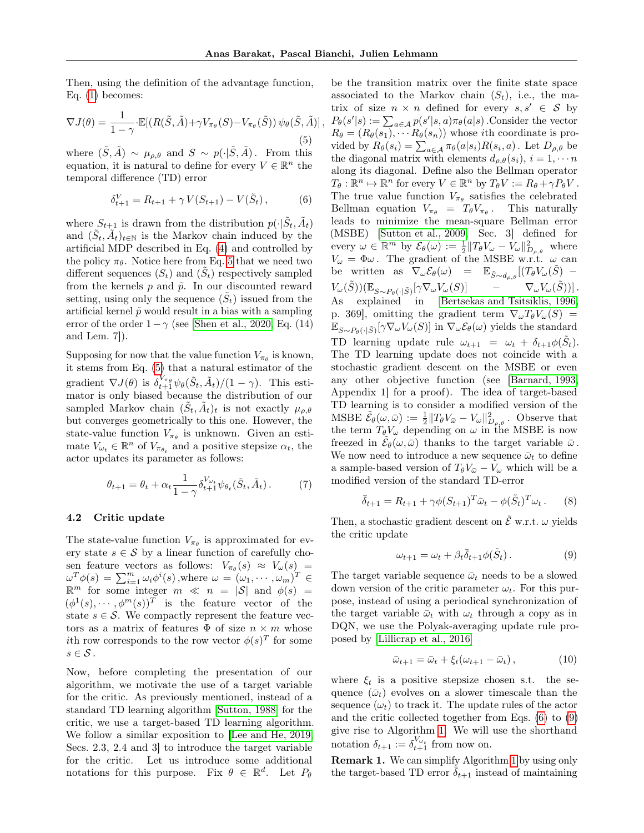Then, using the definition of the advantage function, Eq. [\(1\)](#page-3-2) becomes:

<span id="page-4-0"></span>
$$
\nabla J(\theta) = \frac{1}{1 - \gamma} \cdot \mathbb{E}[(R(\tilde{S}, \tilde{A}) + \gamma V_{\pi_{\theta}}(S) - V_{\pi_{\theta}}(\tilde{S})) \psi_{\theta}(\tilde{S}, \tilde{A})],
$$
\n(5)

where  $(\tilde{S}, \tilde{A}) \sim \mu_{\rho,\theta}$  and  $S \sim p(\cdot | \tilde{S}, \tilde{A})$ . From this equation, it is natural to define for every  $V \in \mathbb{R}^n$  the temporal difference (TD) error

<span id="page-4-1"></span>
$$
\delta_{t+1}^V = R_{t+1} + \gamma V(S_{t+1}) - V(\tilde{S}_t), \tag{6}
$$

where  $S_{t+1}$  is drawn from the distribution  $p(\cdot|\tilde{S}_t, \tilde{A}_t)$ and  $(\tilde{S}_t, \tilde{A}_t)_{t \in \mathbb{N}}$  is the Markov chain induced by the artificial MDP described in Eq. [\(4\)](#page-3-3) and controlled by the policy  $\pi_{\theta}$ . Notice here from Eq. [5](#page-4-0) that we need two different sequences  $(S_t)$  and  $(\tilde{S}_t)$  respectively sampled from the kernels  $p$  and  $\tilde{p}$ . In our discounted reward setting, using only the sequence  $(\tilde{S}_t)$  issued from the artificial kernel  $\tilde{p}$  would result in a bias with a sampling error of the order  $1-\gamma$  (see [\[Shen et al., 2020,](#page-10-12) Eq. (14) and Lem. 7]).

Supposing for now that the value function  $V_{\pi_{\theta}}$  is known, it stems from Eq. [\(5\)](#page-4-0) that a natural estimator of the gradient  $\nabla J(\theta)$  is  $\delta_{t+1}^{V_{\pi_{\theta}}} \psi_{\theta}(\tilde{S}_t, \tilde{A}_t)/(1 - \gamma)$ . This estimator is only biased because the distribution of our sampled Markov chain  $(\tilde{S}_t, \tilde{A}_t)_t$  is not exactly  $\mu_{\rho,\theta}$ but converges geometrically to this one. However, the state-value function  $V_{\pi_{\theta}}$  is unknown. Given an estimate  $V_{\omega_t} \in \mathbb{R}^n$  of  $V_{\pi_{\theta_t}}$  and a positive stepsize  $\alpha_t$ , the actor updates its parameter as follows:

<span id="page-4-5"></span>
$$
\theta_{t+1} = \theta_t + \alpha_t \frac{1}{1-\gamma} \delta_{t+1}^{V_{\omega_t}} \psi_{\theta_t}(\tilde{S}_t, \tilde{A}_t).
$$
 (7)

#### <span id="page-4-3"></span>4.2 Critic update

The state-value function  $V_{\pi_{\theta}}$  is approximated for every state  $s \in \mathcal{S}$  by a linear function of carefully chosen feature vectors as follows:  $V_{\pi_{\theta}}(s) \approx V_{\omega}(s)$  =  $\omega^T \phi(s) = \sum_{i=1}^m \omega_i \phi^i(s)$ , where  $\omega = (\omega_1, \cdots, \omega_m)^T \in$  $\mathbb{R}^m$  for some integer  $m \ll n = |\mathcal{S}|$  and  $\phi(s) =$  $(\phi^1(s), \cdots, \phi^m(s))^T$  is the feature vector of the state  $s \in \mathcal{S}$ . We compactly represent the feature vectors as a matrix of features  $\Phi$  of size  $n \times m$  whose *i*th row corresponds to the row vector  $\phi(s)^T$  for some  $s \in \mathcal{S}$ .

Now, before completing the presentation of our algorithm, we motivate the use of a target variable for the critic. As previously mentioned, instead of a standard TD learning algorithm [\[Sutton, 1988\]](#page-10-15) for the critic, we use a target-based TD learning algorithm. We follow a similar exposition to [\[Lee and He, 2019,](#page-10-7) Secs. 2.3, 2.4 and 3] to introduce the target variable for the critic. Let us introduce some additional notations for this purpose. Fix  $\theta \in \mathbb{R}^d$ . Let  $P_{\theta}$ 

be the transition matrix over the finite state space associated to the Markov chain  $(S_t)$ , i.e., the matrix of size  $n \times n$  defined for every  $s, s' \in \mathcal{S}$  by  $P_{\theta}(s' | s) := \sum_{a \in \mathcal{A}} p(s' | s, a) \pi_{\theta}(a | s)$ . Consider the vector  $R_{\theta} = (R_{\theta}(s_1), \cdots R_{\theta}(s_n))$  whose *i*th coordinate is provided by  $R_{\theta}(s_i) = \sum_{a \in \mathcal{A}} \pi_{\theta}(a|s_i) R(s_i, a)$ . Let  $D_{\rho, \theta}$  be the diagonal matrix with elements  $d_{\rho,\theta}(s_i)$ ,  $i = 1, \dots n$ along its diagonal. Define also the Bellman operator  $T_{\theta}: \mathbb{R}^n \mapsto \mathbb{R}^n$  for every  $V \in \mathbb{R}^n$  by  $T_{\theta}V := R_{\theta} + \gamma P_{\theta}V$ . The true value function  $V_{\pi_{\theta}}$  satisfies the celebrated Bellman equation  $V_{\pi_{\theta}} = T_{\theta} V_{\pi_{\theta}}$ . This naturally leads to minimize the mean-square Bellman error (MSBE) [\[Sutton et al., 2009,](#page-10-16) Sec. 3] defined for every  $\omega \in \mathbb{R}^m$  by  $\mathcal{E}_{\theta}(\omega) := \frac{1}{2} ||T_{\theta}V_{\omega} - V_{\omega}||^2_{D_{\rho,\theta}}$  where  $V_{\omega} = \Phi \omega$ . The gradient of the MSBE w.r.t.  $\omega$  can be written as  $\nabla_{\omega} \mathcal{E}_{\theta}(\omega) = \mathbb{E}_{\tilde{S} \sim d_{\rho,\theta}}[(T_{\theta} V_{\omega}(\tilde{S}) V_\omega(\tilde{S}))(\mathbb{E}_{S\sim P_\theta(\cdot|\tilde{S})}[\gamma \nabla_\omega V_\omega(S)]$  –  $\nabla_\omega V_\omega(\tilde{S}))].$ As explained in [\[Bertsekas and Tsitsiklis, 1996,](#page-9-2) p. 369], omitting the gradient term  $\nabla_{\omega}T_{\theta}V_{\omega}(\tilde{S})=$  $\mathbb{E}_{S \sim P_{\theta}(\cdot | \tilde{S})}[\gamma \nabla_{\omega} V_{\omega}(S)]$  in  $\nabla_{\omega} \mathcal{E}_{\theta}(\omega)$  yields the standard TD learning update rule  $\omega_{t+1} = \omega_t + \delta_{t+1}\phi(\tilde{S}_t)$ . The TD learning update does not coincide with a stochastic gradient descent on the MSBE or even any other objective function (see [\[Barnard, 1993,](#page-8-2) Appendix 1] for a proof). The idea of target-based TD learning is to consider a modified version of the MSBE  $\tilde{\mathcal{E}}_{\theta}(\omega,\bar{\omega}) := \frac{1}{2} ||T_{\theta}V_{\bar{\omega}} - V_{\omega}||_{D_{\rho,\theta}}^2$ . Observe that the term  $T_{\theta}V_{\omega}$  depending on  $\omega$  in the MSBE is now freezed in  $\tilde{\mathcal{E}}_{\theta}(\omega,\bar{\omega})$  thanks to the target variable  $\bar{\omega}$ . We now need to introduce a new sequence  $\bar{\omega}_t$  to define a sample-based version of  $T_{\theta}V_{\bar{\omega}} - V_{\omega}$  which will be a modified version of the standard TD-error

$$
\bar{\delta}_{t+1} = R_{t+1} + \gamma \phi (S_{t+1})^T \bar{\omega}_t - \phi (\tilde{S}_t)^T \omega_t . \tag{8}
$$

Then, a stochastic gradient descent on  $\tilde{\mathcal{E}}$  w.r.t.  $\omega$  yields the critic update

<span id="page-4-2"></span>
$$
\omega_{t+1} = \omega_t + \beta_t \bar{\delta}_{t+1} \phi(\tilde{S}_t). \tag{9}
$$

The target variable sequence  $\bar{\omega}_t$  needs to be a slowed down version of the critic parameter  $\omega_t$ . For this purpose, instead of using a periodical synchronization of the target variable  $\bar{\omega}_t$  with  $\omega_t$  through a copy as in DQN, we use the Polyak-averaging update rule proposed by [\[Lillicrap et al., 2016\]](#page-10-4)

<span id="page-4-4"></span>
$$
\bar{\omega}_{t+1} = \bar{\omega}_t + \xi_t (\omega_{t+1} - \bar{\omega}_t), \qquad (10)
$$

where  $\xi_t$  is a positive stepsize chosen s.t. the sequence  $(\bar{\omega}_t)$  evolves on a slower timescale than the sequence  $(\omega_t)$  to track it. The update rules of the actor and the critic collected together from Eqs. [\(6\)](#page-4-1) to [\(9\)](#page-4-2) give rise to Algorithm [1.](#page-5-0) We will use the shorthand notation  $\delta_{t+1} := \delta_{t+1}^{V_{\omega_t}}$  from now on.

Remark 1. We can simplify Algorithm [1](#page-5-0) by using only the target-based TD error  $\delta_{t+1}$  instead of maintaining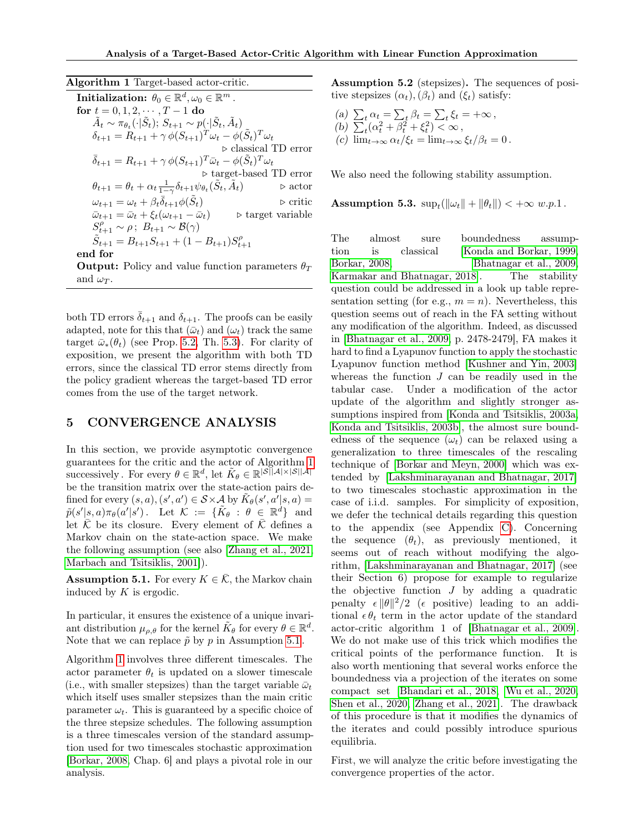<span id="page-5-0"></span>Algorithm 1 Target-based actor-critic.

Initialization:  $\theta_0 \in \mathbb{R}^d, \omega_0 \in \mathbb{R}^m$  . for  $t = 0, 1, 2, \cdots, T-1$  do  $\tilde{A}_t \sim \pi_{\theta_t}(\cdot | \tilde{S}_t); S_{t+1} \sim p(\cdot | \tilde{S}_t, \tilde{A}_t)$  $\delta_{t+1} = \hat{R}_{t+1} + \gamma \, \phi(S_{t+1})^T \omega_t - \phi(\tilde{S}_t)^T \omega_t$  $\triangleright$  classical TD error  $\bar{\delta}_{t+1} = R_{t+1} + \gamma \, \phi(S_{t+1})^T \bar{\omega}_t - \phi(\tilde{S}_t)^T \omega_t$ . target-based TD error  $\theta_{t+1} = \theta_t + \alpha_t \frac{1}{1-\gamma} \delta_{t+1} \psi_{\theta_t}(\tilde{S}_t, \tilde{A})$ t)  $\qquad \qquad \triangleright \text{actor}$  $\omega_{t+1} = \omega_t + \beta_t \overline{\delta}_{t+1} \phi(\tilde{S})$  $\triangleright$  critic  $\bar{\omega}_{t+1} = \bar{\omega}_t + \xi_t(\omega_{t+1} - \bar{\omega}_t)$  .  $\triangleright$  target variable  $S_{t+1}^{\rho} \sim \rho$ ;  $B_{t+1} \sim \mathcal{B}(\gamma)$  $\tilde{S}_{t+1} = B_{t+1}S_{t+1} + (1 - B_{t+1})S_{t+1}^{\rho}$ end for

**Output:** Policy and value function parameters  $\theta_T$ and  $\omega_T$ .

both TD errors  $\bar{\delta}_{t+1}$  and  $\delta_{t+1}$ . The proofs can be easily adapted, note for this that  $(\bar{\omega}_t)$  and  $(\omega_t)$  track the same target  $\bar{\omega}_{*}(\theta_t)$  (see Prop. [5.2,](#page-6-1) Th. [5.3\)](#page-6-2). For clarity of exposition, we present the algorithm with both TD errors, since the classical TD error stems directly from the policy gradient whereas the target-based TD error comes from the use of the target network.

# <span id="page-5-3"></span>5 CONVERGENCE ANALYSIS

In this section, we provide asymptotic convergence guarantees for the critic and the actor of Algorithm [1](#page-5-0) successively. For every  $\theta \in \mathbb{R}^d$ , let  $\tilde{K}_{\theta} \in \mathbb{R}^{|\mathcal{S}||\mathcal{A}| \times |\mathcal{S}||\mathcal{A}|}$ be the transition matrix over the state-action pairs defined for every  $(s, a), (s', a') \in S \times A$  by  $\tilde{K}_{\theta}(s', a'|s, a) =$  $\tilde{p}(s'|s,a)\pi_{\theta}(a'|s')$  . Let  $\mathcal{K} \ := \ \{\tilde{K}_{\theta} \ : \ \theta \ \in \ \mathbb{R}^d\}$  and let  $\overline{\mathcal{K}}$  be its closure. Every element of  $\overline{\mathcal{K}}$  defines a Markov chain on the state-action space. We make the following assumption (see also [\[Zhang et al., 2021,](#page-11-0) [Marbach and Tsitsiklis, 2001\]](#page-10-17)).

<span id="page-5-1"></span>**Assumption 5.1.** For every  $K \in \overline{\mathcal{K}}$ , the Markov chain induced by K is ergodic.

In particular, it ensures the existence of a unique invariant distribution  $\mu_{\rho,\theta}$  for the kernel  $\tilde{K}_{\theta}$  for every  $\theta \in \mathbb{R}^d$ . Note that we can replace  $\tilde{p}$  by p in Assumption [5.1](#page-5-1).

Algorithm [1](#page-5-0) involves three different timescales. The actor parameter  $\theta_t$  is updated on a slower timescale (i.e., with smaller stepsizes) than the target variable  $\bar{\omega}_t$ which itself uses smaller stepsizes than the main critic parameter  $\omega_t$ . This is guaranteed by a specific choice of the three stepsize schedules. The following assumption is a three timescales version of the standard assumption used for two timescales stochastic approximation [\[Borkar, 2008,](#page-9-7) Chap. 6] and plays a pivotal role in our analysis.

<span id="page-5-2"></span>Assumption 5.2 (stepsizes). The sequences of positive stepsizes  $(\alpha_t),(\beta_t)$  and  $(\xi_t)$  satisfy:

(a) 
$$
\sum_{t} \alpha_{t} = \sum_{t} \beta_{t} = \sum_{t} \xi_{t} = +\infty,
$$
  
\n(b) 
$$
\sum_{t} (\alpha_{t}^{2} + \beta_{t}^{2} + \xi_{t}^{2}) < \infty,
$$
  
\n(c) 
$$
\lim_{t \to \infty} \alpha_{t} / \xi_{t} = \lim_{t \to \infty} \xi_{t} / \beta_{t} = 0.
$$

We also need the following stability assumption.

<span id="page-5-4"></span>Assumption 5.3.  $\sup_t (\|\omega_t\| + \|\theta_t\|) < +\infty \ w.p.1$ .

The almost sure boundedness assumption is classical [\[Konda and Borkar, 1999,](#page-9-0) [Borkar, 2008,](#page-9-7) [Bhatnagar et al., 2009,](#page-9-1) [Karmakar and Bhatnagar, 2018\]](#page-9-14). The stability question could be addressed in a look up table representation setting (for e.g.,  $m = n$ ). Nevertheless, this question seems out of reach in the FA setting without any modification of the algorithm. Indeed, as discussed in [\[Bhatnagar et al., 2009,](#page-9-1) p. 2478-2479], FA makes it hard to find a Lyapunov function to apply the stochastic Lyapunov function method [\[Kushner and Yin, 2003\]](#page-10-18) whereas the function  $J$  can be readily used in the tabular case. Under a modification of the actor update of the algorithm and slightly stronger assumptions inspired from [\[Konda and Tsitsiklis, 2003a,](#page-9-15) [Konda and Tsitsiklis, 2003b\]](#page-10-0), the almost sure boundedness of the sequence  $(\omega_t)$  can be relaxed using a generalization to three timescales of the rescaling technique of [\[Borkar and Meyn, 2000\]](#page-9-16) which was extended by [\[Lakshminarayanan and Bhatnagar, 2017\]](#page-10-19) to two timescales stochastic approximation in the case of i.i.d. samples. For simplicity of exposition, we defer the technical details regarding this question to the appendix (see Appendix [C\)](#page-35-0). Concerning the sequence  $(\theta_t)$ , as previously mentioned, it seems out of reach without modifying the algorithm, [\[Lakshminarayanan and Bhatnagar, 2017\]](#page-10-19) (see their Section 6) propose for example to regularize the objective function  $J$  by adding a quadratic penalty  $\epsilon \|\theta\|^2/2$  ( $\epsilon$  positive) leading to an additional  $\epsilon \theta_t$  term in the actor update of the standard actor-critic algorithm 1 of [\[Bhatnagar et al., 2009\]](#page-9-1). We do not make use of this trick which modifies the critical points of the performance function. It is also worth mentioning that several works enforce the boundedness via a projection of the iterates on some compact set [\[Bhandari et al., 2018,](#page-9-9) [Wu et al., 2020,](#page-11-7) [Shen et al., 2020,](#page-10-12) [Zhang et al., 2021\]](#page-11-0). The drawback of this procedure is that it modifies the dynamics of the iterates and could possibly introduce spurious equilibria.

First, we will analyze the critic before investigating the convergence properties of the actor.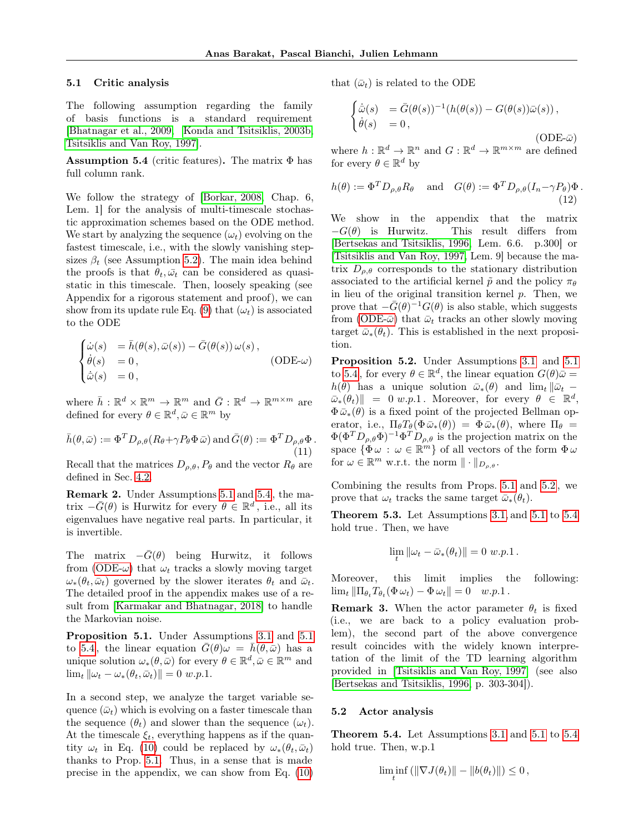#### <span id="page-6-7"></span>5.1 Critic analysis

The following assumption regarding the family of basis functions is a standard requirement [\[Bhatnagar et al., 2009,](#page-9-1) [Konda and Tsitsiklis, 2003b,](#page-10-0) [Tsitsiklis and Van Roy, 1997\]](#page-10-8).

<span id="page-6-3"></span>**Assumption 5.4** (critic features). The matrix  $\Phi$  has full column rank.

We follow the strategy of [\[Borkar, 2008,](#page-9-7) Chap. 6, Lem. 1] for the analysis of multi-timescale stochastic approximation schemes based on the ODE method. We start by analyzing the sequence  $(\omega_t)$  evolving on the fastest timescale, i.e., with the slowly vanishing stepsizes  $\beta_t$  (see Assumption [5.2\)](#page-5-2). The main idea behind the proofs is that  $\theta_t$ ,  $\bar{\omega_t}$  can be considered as quasistatic in this timescale. Then, loosely speaking (see Appendix for a rigorous statement and proof), we can show from its update rule Eq. [\(9\)](#page-4-2) that  $(\omega_t)$  is associated to the ODE

<span id="page-6-8"></span>
$$
\begin{cases}\n\dot{\omega}(s) &= \bar{h}(\theta(s), \bar{\omega}(s)) - \bar{G}(\theta(s)) \omega(s), \\
\dot{\theta}(s) &= 0, \\
\dot{\omega}(s) &= 0,\n\end{cases}
$$
\n(ODE- $\omega$ )

where  $\bar{h}: \mathbb{R}^d \times \mathbb{R}^m \to \mathbb{R}^m$  and  $\bar{G}: \mathbb{R}^d \to \mathbb{R}^{m \times m}$  are defined for every  $\theta \in \mathbb{R}^d, \bar{\omega} \in \mathbb{R}^m$  by

$$
\bar{h}(\theta,\bar{\omega}) := \Phi^T D_{\rho,\theta}(R_{\theta} + \gamma P_{\theta} \Phi \bar{\omega}) \text{ and } \bar{G}(\theta) := \Phi^T D_{\rho,\theta} \Phi.
$$
\n(11)

Recall that the matrices  $D_{\rho,\theta}, P_{\theta}$  and the vector  $R_{\theta}$  are defined in Sec. [4.2.](#page-4-3)

Remark 2. Under Assumptions [5.1](#page-5-1) and [5.4](#page-6-3) , the matrix  $-\bar{G}(\theta)$  is Hurwitz for every  $\theta \in \mathbb{R}^d$ , i.e., all its eigenvalues have negative real parts. In particular, it is invertible.

The matrix  $-\bar{G}(\theta)$  being Hurwitz, it follows from [\(ODE-](#page-6-4) $\omega$ ) that  $\omega_t$  tracks a slowly moving target  $\omega_*(\theta_t, \bar{\omega}_t)$  governed by the slower iterates  $\theta_t$  and  $\bar{\omega}_t$ . The detailed proof in the appendix makes use of a result from [\[Karmakar and Bhatnagar, 2018\]](#page-9-14) to handle the Markovian noise.

<span id="page-6-5"></span>Proposition 5.1. Under Assumptions [3.1](#page-3-1) and [5.1](#page-5-1) to [5.4](#page-6-3), the linear equation  $\bar{G}(\theta)\omega = \bar{h}(\theta,\bar{\omega})$  has a unique solution  $\omega_*(\theta,\bar{\omega})$  for every  $\theta \in \mathbb{R}^d, \bar{\omega} \in \mathbb{R}^m$  and  $\lim_{t} ||\omega_t - \omega_*(\theta_t, \bar{\omega}_t)|| = 0 \ w.p.1.$ 

In a second step, we analyze the target variable sequence  $(\bar{\omega}_t)$  which is evolving on a faster timescale than the sequence  $(\theta_t)$  and slower than the sequence  $(\omega_t)$ . At the timescale  $\xi_t$ , everything happens as if the quantity  $\omega_t$  in Eq. [\(10\)](#page-4-4) could be replaced by  $\omega_*(\theta_t, \bar{\omega}_t)$ thanks to Prop. [5.1.](#page-6-5) Thus, in a sense that is made precise in the appendix, we can show from Eq. [\(10\)](#page-4-4)

that  $(\bar{\omega}_t)$  is related to the ODE

<span id="page-6-9"></span><span id="page-6-6"></span>
$$
\begin{cases} \dot{\bar{\omega}}(s) &= \bar{G}(\theta(s))^{-1}(h(\theta(s)) - G(\theta(s))\bar{\omega}(s)), \\ \dot{\theta}(s) &= 0, \end{cases} \tag{ODE- $\bar{\omega}$ )
$$

where  $h: \mathbb{R}^d \to \mathbb{R}^n$  and  $G: \mathbb{R}^d \to \mathbb{R}^{m \times m}$  are defined for every  $\theta \in \mathbb{R}^d$  by

$$
h(\theta) := \Phi^T D_{\rho,\theta} R_{\theta} \quad \text{and} \quad G(\theta) := \Phi^T D_{\rho,\theta} (I_n - \gamma P_{\theta}) \Phi.
$$
\n(12)

We show in the appendix that the matrix  $-G(\theta)$  is Hurwitz. This result differs from [\[Bertsekas and Tsitsiklis, 1996,](#page-9-2) Lem. 6.6. p.300] or [\[Tsitsiklis and Van Roy, 1997,](#page-10-8) Lem. 9] because the matrix  $D_{\rho,\theta}$  corresponds to the stationary distribution associated to the artificial kernel  $\tilde{p}$  and the policy  $\pi_{\theta}$ in lieu of the original transition kernel p. Then, we prove that  $-\bar{G}(\theta)^{-1}G(\theta)$  is also stable, which suggests from [\(ODE-](#page-6-6) $\bar{\omega}$ ) that  $\bar{\omega}_t$  tracks an other slowly moving target  $\bar{\omega}_*(\theta_t)$ . This is established in the next proposition.

<span id="page-6-4"></span><span id="page-6-1"></span>Proposition 5.2. Under Assumptions [3.1](#page-3-1) and [5.1](#page-5-1) to [5.4](#page-6-3), for every  $\theta \in \mathbb{R}^d$ , the linear equation  $G(\theta)\bar{\omega} =$  $h(\theta)$  has a unique solution  $\bar{\omega}_*(\theta)$  and  $\lim_t ||\bar{\omega}_t \bar{\omega}_{*}(\theta_t)$  = 0 w.p.1. Moreover, for every  $\theta \in \mathbb{R}^d$ ,  $\Phi \bar{\omega}_*(\theta)$  is a fixed point of the projected Bellman operator, i.e.,  $\Pi_{\theta}T_{\theta}(\Phi \bar{\omega}_{*}(\theta)) = \Phi \bar{\omega}_{*}(\theta)$ , where  $\Pi_{\theta} =$  $\Phi(\Phi^T D_{\rho,\theta} \Phi)^{-1} \Phi^T D_{\rho,\theta}$  is the projection matrix on the space  $\{\Phi \omega : \omega \in \mathbb{R}^m\}$  of all vectors of the form  $\Phi \omega$ for  $\omega \in \mathbb{R}^m$  w.r.t. the norm  $\|\cdot\|_{D_{\rho,\theta}}$ .

Combining the results from Props. [5.1](#page-6-5) and [5.2](#page-6-1) , we prove that  $\omega_t$  tracks the same target  $\bar{\omega}_*(\theta_t)$ .

<span id="page-6-2"></span>Theorem 5.3. Let Assumptions [3.1,](#page-3-1) and [5.1](#page-5-1) to [5.4](#page-6-3) hold true. Then, we have

$$
\lim_{t} \|\omega_t - \bar{\omega}_*(\theta_t)\| = 0 \ w.p.1.
$$

Moreover, this limit implies the following:  $\lim_{t} \|\Pi_{\theta_t} T_{\theta_t}(\Phi \omega_t) - \Phi \omega_t\| = 0 \quad w.p.1$ .

**Remark 3.** When the actor parameter  $\theta_t$  is fixed (i.e., we are back to a policy evaluation problem), the second part of the above convergence result coincides with the widely known interpretation of the limit of the TD learning algorithm provided in [\[Tsitsiklis and Van Roy, 1997\]](#page-10-8) (see also [\[Bertsekas and Tsitsiklis, 1996,](#page-9-2) p. 303-304]).

#### 5.2 Actor analysis

<span id="page-6-0"></span>Theorem 5.4. Let Assumptions [3.1](#page-3-1) and [5.1](#page-5-1) to [5.4](#page-6-3) hold true. Then, w.p.1

$$
\liminf_t ( \|\nabla J(\theta_t)\| - \|b(\theta_t)\|) \leq 0,
$$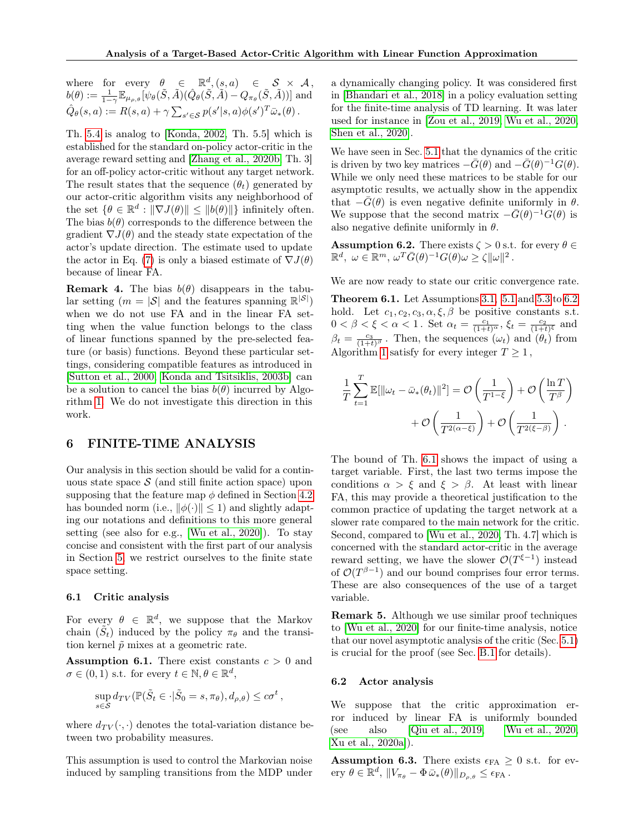where for every  $\theta \in \mathbb{R}^d$ ,  $(s, a) \in S \times A$ ,  $b(\theta):=\frac{1}{1-\gamma}\mathbb{E}_{\mu_{\rho,\theta}}[\psi_{\theta}(\tilde{S},\tilde{A})(\hat{Q}_{\theta}(\tilde{S},\tilde{A})-Q_{\pi_{\theta}}(\tilde{S},\tilde{A}))] \text{ and }$  $\hat{Q}_{\theta}(s, a) := R(s, a) + \gamma \sum_{s' \in \mathcal{S}} p(s'|s, a) \phi(s')^T \bar{\omega}_{*}(\theta).$ 

Th. [5.4](#page-6-0) is analog to [\[Konda, 2002,](#page-9-8) Th. 5.5] which is established for the standard on-policy actor-critic in the average reward setting and [\[Zhang et al., 2020b,](#page-11-10) Th. 3] for an off-policy actor-critic without any target network. The result states that the sequence  $(\theta_t)$  generated by our actor-critic algorithm visits any neighborhood of the set  $\{\theta \in \mathbb{R}^d : ||\nabla J(\theta)|| \le ||b(\theta)||\}$  infinitely often. The bias  $b(\theta)$  corresponds to the difference between the gradient  $\nabla J(\theta)$  and the steady state expectation of the actor's update direction. The estimate used to update the actor in Eq. [\(7\)](#page-4-5) is only a biased estimate of  $\nabla J(\theta)$ because of linear FA.

<span id="page-7-4"></span>**Remark 4.** The bias  $b(\theta)$  disappears in the tabular setting  $(m = |\mathcal{S}|)$  and the features spanning  $\mathbb{R}^{|\mathcal{S}|}$ ) when we do not use FA and in the linear FA setting when the value function belongs to the class of linear functions spanned by the pre-selected feature (or basis) functions. Beyond these particular settings, considering compatible features as introduced in [\[Sutton et al., 2000,](#page-10-14) [Konda and Tsitsiklis, 2003b\]](#page-10-0) can be a solution to cancel the bias  $b(\theta)$  incurred by Algorithm [1.](#page-5-0) We do not investigate this direction in this work.

# <span id="page-7-5"></span>6 FINITE-TIME ANALYSIS

Our analysis in this section should be valid for a continuous state space  $\mathcal S$  (and still finite action space) upon supposing that the feature map  $\phi$  defined in Section [4.2](#page-4-3) has bounded norm (i.e.,  $\|\phi(\cdot)\| \leq 1$ ) and slightly adapting our notations and definitions to this more general setting (see also for e.g., [\[Wu et al., 2020\]](#page-11-7)). To stay concise and consistent with the first part of our analysis in Section [5,](#page-5-3) we restrict ourselves to the finite state space setting.

#### 6.1 Critic analysis

For every  $\theta \in \mathbb{R}^d$ , we suppose that the Markov chain  $(\tilde{S}_t)$  induced by the policy  $\pi_{\theta}$  and the transition kernel  $\tilde{p}$  mixes at a geometric rate.

<span id="page-7-2"></span>**Assumption 6.1.** There exist constants  $c > 0$  and  $\sigma \in (0,1)$  s.t. for every  $t \in \mathbb{N}, \theta \in \mathbb{R}^d$ ,

$$
\sup_{s \in \mathcal{S}} d_{TV}(\mathbb{P}(\tilde{S}_t \in \cdot | \tilde{S}_0 = s, \pi_\theta), d_{\rho, \theta}) \leq c\sigma^t,
$$

where  $d_{TV}(\cdot, \cdot)$  denotes the total-variation distance between two probability measures.

This assumption is used to control the Markovian noise induced by sampling transitions from the MDP under a dynamically changing policy. It was considered first in [\[Bhandari et al., 2018\]](#page-9-9) in a policy evaluation setting for the finite-time analysis of TD learning. It was later used for instance in [\[Zou et al., 2019,](#page-11-11) [Wu et al., 2020,](#page-11-7) [Shen et al., 2020\]](#page-10-12).

We have seen in Sec. [5.1](#page-6-7) that the dynamics of the critic is driven by two key matrices  $-\bar{G}(\theta)$  and  $-\bar{G}(\theta)^{-1}G(\theta)$ . While we only need these matrices to be stable for our asymptotic results, we actually show in the appendix that  $-\bar{G}(\theta)$  is even negative definite uniformly in  $\theta$ . We suppose that the second matrix  $-\bar{G}(\theta)^{-1}\dot{G}(\theta)$  is also negative definite uniformly in  $\theta$ .

<span id="page-7-0"></span>**Assumption 6.2.** There exists  $\zeta > 0$  s.t. for every  $\theta \in$  $\mathbb{R}^d, \ \omega \in \mathbb{R}^m, \ \omega^T \bar{G}(\theta)^{-1} G(\theta) \omega \geq \zeta \|\omega\|^2.$ 

We are now ready to state our critic convergence rate.

<span id="page-7-1"></span>Theorem 6.1. Let Assumptions [3.1,](#page-3-1) [5.1](#page-5-1) and [5.3](#page-5-4) to [6.2](#page-7-0) hold. Let  $c_1, c_2, c_3, \alpha, \xi, \beta$  be positive constants s.t.  $0 < \beta < \xi < \alpha < 1$ . Set  $\alpha_t = \frac{c_1}{(1+t)^{\alpha}}, \xi_t = \frac{c_2}{(1+t)^{\xi}}$  and  $\beta_t = \frac{c_3}{(1+t)^{\beta}}$ . Then, the sequences  $(\omega_t)$  and  $(\theta_t)$  from Algorithm [1](#page-5-0) satisfy for every integer  $T \geq 1$ ,

$$
\frac{1}{T} \sum_{t=1}^{T} \mathbb{E}[\|\omega_t - \bar{\omega}_*(\theta_t)\|^2] = \mathcal{O}\left(\frac{1}{T^{1-\xi}}\right) + \mathcal{O}\left(\frac{\ln T}{T^{\beta}}\right) + \mathcal{O}\left(\frac{1}{T^{2(\alpha-\xi)}}\right) + \mathcal{O}\left(\frac{1}{T^{2(\xi-\beta)}}\right).
$$

The bound of Th. [6.1](#page-7-1) shows the impact of using a target variable. First, the last two terms impose the conditions  $\alpha > \xi$  and  $\xi > \beta$ . At least with linear FA, this may provide a theoretical justification to the common practice of updating the target network at a slower rate compared to the main network for the critic. Second, compared to [\[Wu et al., 2020,](#page-11-7) Th. 4.7] which is concerned with the standard actor-critic in the average reward setting, we have the slower  $\mathcal{O}(T^{\xi-1})$  instead of  $\mathcal{O}(T^{\beta-1})$  and our bound comprises four error terms. These are also consequences of the use of a target variable.

Remark 5. Although we use similar proof techniques to [\[Wu et al., 2020\]](#page-11-7) for our finite-time analysis, notice that our novel asymptotic analysis of the critic (Sec. [5.1\)](#page-6-7) is crucial for the proof (see Sec. [B.1](#page-21-0) for details).

#### 6.2 Actor analysis

We suppose that the critic approximation error induced by linear FA is uniformly bounded (see also [\[Qiu et al., 2019,](#page-10-10) [Wu et al., 2020,](#page-11-7) [Xu et al., 2020a\]](#page-11-5)).

<span id="page-7-3"></span>**Assumption 6.3.** There exists  $\epsilon_{FA} \geq 0$  s.t. for every  $\theta \in \mathbb{R}^d$ ,  $||V_{\pi_{\theta}} - \Phi \bar{\omega}_{*}(\theta)||_{D_{\rho,\theta}} \leq \epsilon_{\text{FA}}$ .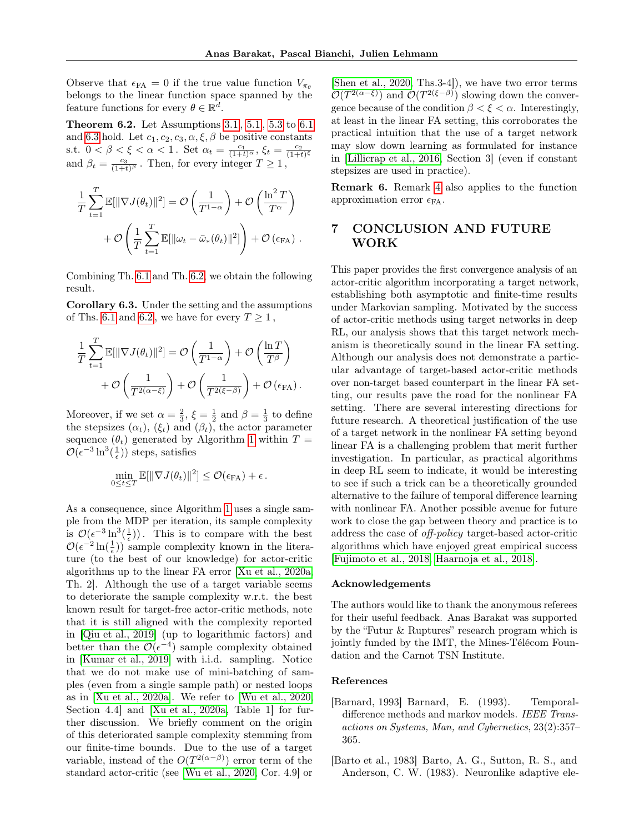Observe that  $\epsilon_{FA} = 0$  if the true value function  $V_{\pi_{\theta}}$ belongs to the linear function space spanned by the feature functions for every  $\theta \in \mathbb{R}^d$ .

<span id="page-8-1"></span>Theorem 6.2. Let Assumptions [3.1](#page-3-1) , [5.1](#page-5-1) , [5.3](#page-5-4) to [6.1](#page-7-2) and [6.3](#page-7-3) hold. Let  $c_1, c_2, c_3, \alpha, \xi, \beta$  be positive constants s.t.  $0 < \beta < \xi < \alpha < 1$ . Set  $\alpha_t = \frac{c_1}{(1+t)^{\alpha}}, \xi_t = \frac{c_2}{(1+t)^{\xi}}$ and  $\beta_t = \frac{c_3}{(1+t)^{\beta}}$ . Then, for every integer  $T \ge 1$ ,

$$
\frac{1}{T} \sum_{t=1}^{T} \mathbb{E}[\|\nabla J(\theta_t)\|^2] = \mathcal{O}\left(\frac{1}{T^{1-\alpha}}\right) + \mathcal{O}\left(\frac{\ln^2 T}{T^{\alpha}}\right) + \mathcal{O}\left(\frac{1}{T} \sum_{t=1}^{T} \mathbb{E}[\|\omega_t - \bar{\omega}_*(\theta_t)\|^2]\right) + \mathcal{O}(\epsilon_{FA}).
$$

Combining Th. [6.1](#page-7-1) and Th. [6.2,](#page-8-1) we obtain the following result.

<span id="page-8-3"></span>Corollary 6.3. Under the setting and the assumptions of Ths. [6.1](#page-7-1) and [6.2](#page-8-1), we have for every  $T \ge 1$ ,

$$
\frac{1}{T} \sum_{t=1}^T \mathbb{E}[\|\nabla J(\theta_t)\|^2] = \mathcal{O}\left(\frac{1}{T^{1-\alpha}}\right) + \mathcal{O}\left(\frac{\ln T}{T^{\beta}}\right) + \mathcal{O}\left(\frac{1}{T^{2(\alpha-\xi)}}\right) + \mathcal{O}\left(\frac{1}{T^{2(\xi-\beta)}}\right) + \mathcal{O}\left(\epsilon_{\text{FA}}\right).
$$

Moreover, if we set  $\alpha = \frac{2}{3}$ ,  $\xi = \frac{1}{2}$  and  $\beta = \frac{1}{3}$  to define the stepsizes  $(\alpha_t)$ ,  $(\xi_t)$  and  $(\beta_t)$ , the actor parameter sequence  $(\theta_t)$  generated by Algorithm [1](#page-5-0) within  $T =$  $\mathcal{O}(\epsilon^{-3} \ln^3(\frac{1}{\epsilon}))$  steps, satisfies

$$
\min_{0 \le t \le T} \mathbb{E}[\|\nabla J(\theta_t)\|^2] \le \mathcal{O}(\epsilon_{\text{FA}}) + \epsilon.
$$

As a consequence, since Algorithm [1](#page-5-0) uses a single sample from the MDP per iteration, its sample complexity is  $\mathcal{O}(\epsilon^{-3} \ln^3(\frac{1}{\epsilon}))$ . This is to compare with the best  $\mathcal{O}(\epsilon^{-2}\ln(\frac{1}{\epsilon}))$  sample complexity known in the literature (to the best of our knowledge) for actor-critic algorithms up to the linear FA error [\[Xu et al., 2020a,](#page-11-5) Th. 2]. Although the use of a target variable seems to deteriorate the sample complexity w.r.t. the best known result for target-free actor-critic methods, note that it is still aligned with the complexity reported in [\[Qiu et al., 2019\]](#page-10-10) (up to logarithmic factors) and better than the  $\mathcal{O}(\epsilon^{-4})$  sample complexity obtained in [\[Kumar et al., 2019\]](#page-10-11) with i.i.d. sampling. Notice that we do not make use of mini-batching of samples (even from a single sample path) or nested loops as in [\[Xu et al., 2020a\]](#page-11-5). We refer to [\[Wu et al., 2020,](#page-11-7) Section 4.4] and [\[Xu et al., 2020a,](#page-11-5) Table 1] for further discussion. We briefly comment on the origin of this deteriorated sample complexity stemming from our finite-time bounds. Due to the use of a target variable, instead of the  $O(T^{2(\alpha-\beta)})$  error term of the standard actor-critic (see [\[Wu et al., 2020,](#page-11-7) Cor. 4.9] or

[\[Shen et al., 2020,](#page-10-12) Ths.3-4]), we have two error terms  $\mathcal{O}(T^{2(\alpha-\xi)})$  and  $\mathcal{O}(T^{2(\xi-\beta)})$  slowing down the convergence because of the condition  $\beta < \xi < \alpha$ . Interestingly, at least in the linear FA setting, this corroborates the practical intuition that the use of a target network may slow down learning as formulated for instance in [\[Lillicrap et al., 2016,](#page-10-4) Section 3] (even if constant stepsizes are used in practice).

Remark 6. Remark [4](#page-7-4) also applies to the function approximation error  $\epsilon_{FA}$ .

# 7 CONCLUSION AND FUTURE WORK

This paper provides the first convergence analysis of an actor-critic algorithm incorporating a target network, establishing both asymptotic and finite-time results under Markovian sampling. Motivated by the success of actor-critic methods using target networks in deep RL, our analysis shows that this target network mechanism is theoretically sound in the linear FA setting. Although our analysis does not demonstrate a particular advantage of target-based actor-critic methods over non-target based counterpart in the linear FA setting, our results pave the road for the nonlinear FA setting. There are several interesting directions for future research. A theoretical justification of the use of a target network in the nonlinear FA setting beyond linear FA is a challenging problem that merit further investigation. In particular, as practical algorithms in deep RL seem to indicate, it would be interesting to see if such a trick can be a theoretically grounded alternative to the failure of temporal difference learning with nonlinear FA. Another possible avenue for future work to close the gap between theory and practice is to address the case of off-policy target-based actor-critic algorithms which have enjoyed great empirical success [\[Fujimoto et al., 2018,](#page-9-4) [Haarnoja et al., 2018\]](#page-9-5).

### Acknowledgements

The authors would like to thank the anonymous referees for their useful feedback. Anas Barakat was supported by the "Futur & Ruptures" research program which is jointly funded by the IMT, the Mines-Télécom Foundation and the Carnot TSN Institute.

## References

- <span id="page-8-2"></span>[Barnard, 1993] Barnard, E. (1993). Temporaldifference methods and markov models. IEEE Transactions on Systems, Man, and Cybernetics, 23(2):357– 365.
- <span id="page-8-0"></span>[Barto et al., 1983] Barto, A. G., Sutton, R. S., and Anderson, C. W. (1983). Neuronlike adaptive ele-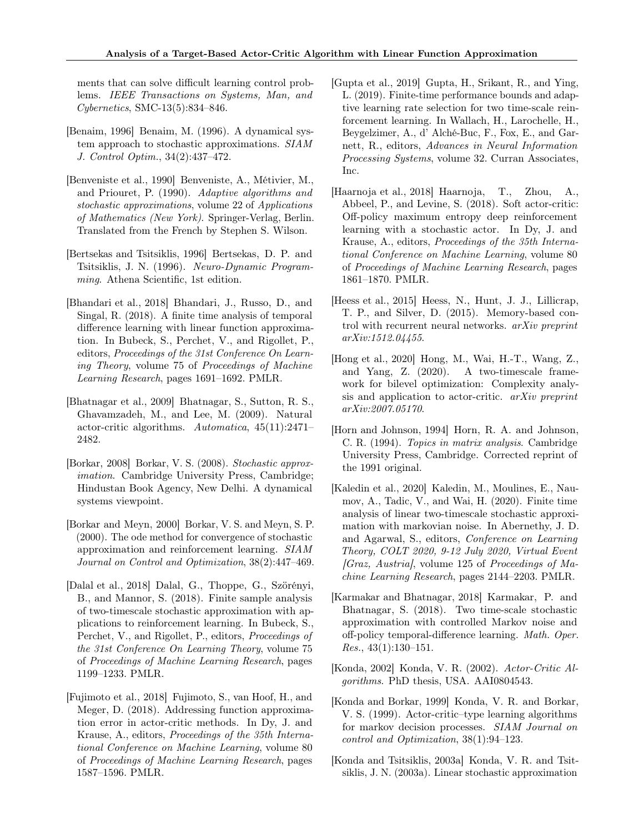ments that can solve difficult learning control problems. IEEE Transactions on Systems, Man, and Cybernetics, SMC-13(5):834–846.

- <span id="page-9-17"></span>[Benaim, 1996] Benaim, M. (1996). A dynamical system approach to stochastic approximations. SIAM J. Control Optim., 34(2):437–472.
- <span id="page-9-6"></span>[Benveniste et al., 1990] Benveniste, A., Métivier, M., and Priouret, P. (1990). Adaptive algorithms and stochastic approximations, volume 22 of Applications of Mathematics (New York). Springer-Verlag, Berlin. Translated from the French by Stephen S. Wilson.
- <span id="page-9-2"></span>[Bertsekas and Tsitsiklis, 1996] Bertsekas, D. P. and Tsitsiklis, J. N. (1996). Neuro-Dynamic Programming. Athena Scientific, 1st edition.
- <span id="page-9-9"></span>[Bhandari et al., 2018] Bhandari, J., Russo, D., and Singal, R. (2018). A finite time analysis of temporal difference learning with linear function approximation. In Bubeck, S., Perchet, V., and Rigollet, P., editors, Proceedings of the 31st Conference On Learning Theory, volume 75 of Proceedings of Machine Learning Research, pages 1691–1692. PMLR.
- <span id="page-9-1"></span>[Bhatnagar et al., 2009] Bhatnagar, S., Sutton, R. S., Ghavamzadeh, M., and Lee, M. (2009). Natural actor-critic algorithms. Automatica, 45(11):2471– 2482.
- <span id="page-9-7"></span>[Borkar, 2008] Borkar, V. S. (2008). Stochastic approximation. Cambridge University Press, Cambridge; Hindustan Book Agency, New Delhi. A dynamical systems viewpoint.
- <span id="page-9-16"></span>[Borkar and Meyn, 2000] Borkar, V. S. and Meyn, S. P. (2000). The ode method for convergence of stochastic approximation and reinforcement learning. SIAM Journal on Control and Optimization, 38(2):447–469.
- <span id="page-9-11"></span>[Dalal et al., 2018] Dalal, G., Thoppe, G., Szörényi, B., and Mannor, S. (2018). Finite sample analysis of two-timescale stochastic approximation with applications to reinforcement learning. In Bubeck, S., Perchet, V., and Rigollet, P., editors, Proceedings of the 31st Conference On Learning Theory, volume 75 of Proceedings of Machine Learning Research, pages 1199–1233. PMLR.
- <span id="page-9-4"></span>[Fujimoto et al., 2018] Fujimoto, S., van Hoof, H., and Meger, D. (2018). Addressing function approximation error in actor-critic methods. In Dy, J. and Krause, A., editors, Proceedings of the 35th International Conference on Machine Learning, volume 80 of Proceedings of Machine Learning Research, pages 1587–1596. PMLR.
- <span id="page-9-10"></span>[Gupta et al., 2019] Gupta, H., Srikant, R., and Ying, L. (2019). Finite-time performance bounds and adaptive learning rate selection for two time-scale reinforcement learning. In Wallach, H., Larochelle, H., Beygelzimer, A., d' Alché-Buc, F., Fox, E., and Garnett, R., editors, Advances in Neural Information Processing Systems, volume 32. Curran Associates, Inc.
- <span id="page-9-5"></span>[Haarnoja et al., 2018] Haarnoja, T., Zhou, A., Abbeel, P., and Levine, S. (2018). Soft actor-critic: Off-policy maximum entropy deep reinforcement learning with a stochastic actor. In Dy, J. and Krause, A., editors, Proceedings of the 35th International Conference on Machine Learning, volume 80 of Proceedings of Machine Learning Research, pages 1861–1870. PMLR.
- <span id="page-9-3"></span>[Heess et al., 2015] Heess, N., Hunt, J. J., Lillicrap, T. P., and Silver, D. (2015). Memory-based control with recurrent neural networks. arXiv preprint arXiv:1512.04455.
- <span id="page-9-13"></span>[Hong et al., 2020] Hong, M., Wai, H.-T., Wang, Z., and Yang, Z. (2020). A two-timescale framework for bilevel optimization: Complexity analysis and application to actor-critic. arXiv preprint arXiv:2007.05170.
- <span id="page-9-18"></span>[Horn and Johnson, 1994] Horn, R. A. and Johnson, C. R. (1994). Topics in matrix analysis. Cambridge University Press, Cambridge. Corrected reprint of the 1991 original.
- <span id="page-9-12"></span>[Kaledin et al., 2020] Kaledin, M., Moulines, E., Naumov, A., Tadic, V., and Wai, H. (2020). Finite time analysis of linear two-timescale stochastic approximation with markovian noise. In Abernethy, J. D. and Agarwal, S., editors, Conference on Learning Theory, COLT 2020, 9-12 July 2020, Virtual Event  $|Graz, Austria|$ , volume 125 of *Proceedings of Ma*chine Learning Research, pages 2144–2203. PMLR.
- <span id="page-9-14"></span>[Karmakar and Bhatnagar, 2018] Karmakar, P. and Bhatnagar, S. (2018). Two time-scale stochastic approximation with controlled Markov noise and off-policy temporal-difference learning. Math. Oper. Res., 43(1):130–151.
- <span id="page-9-8"></span>[Konda, 2002] Konda, V. R. (2002). Actor-Critic Algorithms. PhD thesis, USA. AAI0804543.
- <span id="page-9-0"></span>[Konda and Borkar, 1999] Konda, V. R. and Borkar, V. S. (1999). Actor-critic–type learning algorithms for markov decision processes. SIAM Journal on control and Optimization, 38(1):94–123.
- <span id="page-9-15"></span>[Konda and Tsitsiklis, 2003a] Konda, V. R. and Tsitsiklis, J. N. (2003a). Linear stochastic approximation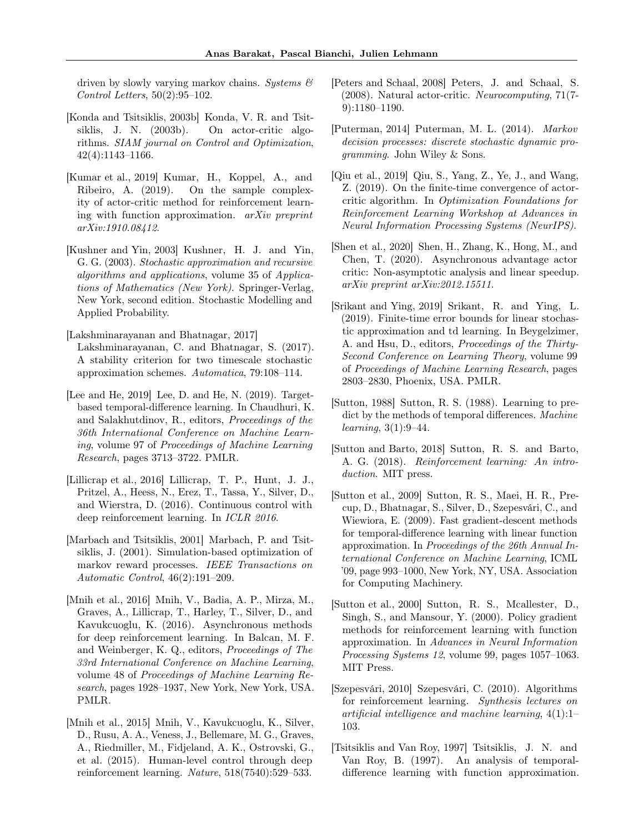driven by slowly varying markov chains. Systems  $\mathcal{C}$ Control Letters, 50(2):95–102.

- <span id="page-10-0"></span>[Konda and Tsitsiklis, 2003b] Konda, V. R. and Tsitsiklis, J. N. (2003b). On actor-critic algorithms. SIAM journal on Control and Optimization, 42(4):1143–1166.
- <span id="page-10-11"></span>[Kumar et al., 2019] Kumar, H., Koppel, A., and Ribeiro, A. (2019). On the sample complexity of actor-critic method for reinforcement learning with function approximation.  $arXiv$  preprint arXiv:1910.08412.
- <span id="page-10-18"></span>[Kushner and Yin, 2003] Kushner, H. J. and Yin, G. G. (2003). Stochastic approximation and recursive algorithms and applications, volume 35 of Applications of Mathematics (New York). Springer-Verlag, New York, second edition. Stochastic Modelling and Applied Probability.
- <span id="page-10-19"></span>[Lakshminarayanan and Bhatnagar, 2017] Lakshminarayanan, C. and Bhatnagar, S. (2017). A stability criterion for two timescale stochastic approximation schemes. Automatica, 79:108–114.
- <span id="page-10-7"></span>[Lee and He, 2019] Lee, D. and He, N. (2019). Targetbased temporal-difference learning. In Chaudhuri, K. and Salakhutdinov, R., editors, Proceedings of the 36th International Conference on Machine Learning, volume 97 of Proceedings of Machine Learning Research, pages 3713–3722. PMLR.
- <span id="page-10-4"></span>[Lillicrap et al., 2016] Lillicrap, T. P., Hunt, J. J., Pritzel, A., Heess, N., Erez, T., Tassa, Y., Silver, D., and Wierstra, D. (2016). Continuous control with deep reinforcement learning. In ICLR 2016.
- <span id="page-10-17"></span>[Marbach and Tsitsiklis, 2001] Marbach, P. and Tsitsiklis, J. (2001). Simulation-based optimization of markov reward processes. IEEE Transactions on Automatic Control, 46(2):191–209.
- <span id="page-10-5"></span>[Mnih et al., 2016] Mnih, V., Badia, A. P., Mirza, M., Graves, A., Lillicrap, T., Harley, T., Silver, D., and Kavukcuoglu, K. (2016). Asynchronous methods for deep reinforcement learning. In Balcan, M. F. and Weinberger, K. Q., editors, Proceedings of The 33rd International Conference on Machine Learning, volume 48 of Proceedings of Machine Learning Research, pages 1928–1937, New York, New York, USA. PMLR.
- <span id="page-10-6"></span>[Mnih et al., 2015] Mnih, V., Kavukcuoglu, K., Silver, D., Rusu, A. A., Veness, J., Bellemare, M. G., Graves, A., Riedmiller, M., Fidjeland, A. K., Ostrovski, G., et al. (2015). Human-level control through deep reinforcement learning. Nature, 518(7540):529–533.
- <span id="page-10-1"></span>[Peters and Schaal, 2008] Peters, J. and Schaal, S. (2008). Natural actor-critic. Neurocomputing, 71(7- 9):1180–1190.
- <span id="page-10-3"></span>[Puterman, 2014] Puterman, M. L. (2014). Markov decision processes: discrete stochastic dynamic programming. John Wiley & Sons.
- <span id="page-10-10"></span>[Qiu et al., 2019] Qiu, S., Yang, Z., Ye, J., and Wang, Z. (2019). On the finite-time convergence of actorcritic algorithm. In Optimization Foundations for Reinforcement Learning Workshop at Advances in Neural Information Processing Systems (NeurIPS).
- <span id="page-10-12"></span>[Shen et al., 2020] Shen, H., Zhang, K., Hong, M., and Chen, T. (2020). Asynchronous advantage actor critic: Non-asymptotic analysis and linear speedup. arXiv preprint arXiv:2012.15511.
- <span id="page-10-9"></span>[Srikant and Ying, 2019] Srikant, R. and Ying, L. (2019). Finite-time error bounds for linear stochastic approximation and td learning. In Beygelzimer, A. and Hsu, D., editors, Proceedings of the Thirty-Second Conference on Learning Theory, volume 99 of Proceedings of Machine Learning Research, pages 2803–2830, Phoenix, USA. PMLR.
- <span id="page-10-15"></span>[Sutton, 1988] Sutton, R. S. (1988). Learning to predict by the methods of temporal differences. Machine learning, 3(1):9–44.
- <span id="page-10-2"></span>[Sutton and Barto, 2018] Sutton, R. S. and Barto, A. G. (2018). Reinforcement learning: An introduction. MIT press.
- <span id="page-10-16"></span>[Sutton et al., 2009] Sutton, R. S., Maei, H. R., Precup, D., Bhatnagar, S., Silver, D., Szepesvári, C., and Wiewiora, E. (2009). Fast gradient-descent methods for temporal-difference learning with linear function approximation. In Proceedings of the 26th Annual International Conference on Machine Learning, ICML '09, page 993–1000, New York, NY, USA. Association for Computing Machinery.
- <span id="page-10-14"></span>[Sutton et al., 2000] Sutton, R. S., Mcallester, D., Singh, S., and Mansour, Y. (2000). Policy gradient methods for reinforcement learning with function approximation. In Advances in Neural Information Processing Systems 12, volume 99, pages 1057–1063. MIT Press.
- <span id="page-10-13"></span>[Szepesvári, 2010] Szepesvári, C. (2010). Algorithms for reinforcement learning. Synthesis lectures on artificial intelligence and machine learning, 4(1):1– 103.
- <span id="page-10-8"></span>[Tsitsiklis and Van Roy, 1997] Tsitsiklis, J. N. and Van Roy, B. (1997). An analysis of temporaldifference learning with function approximation.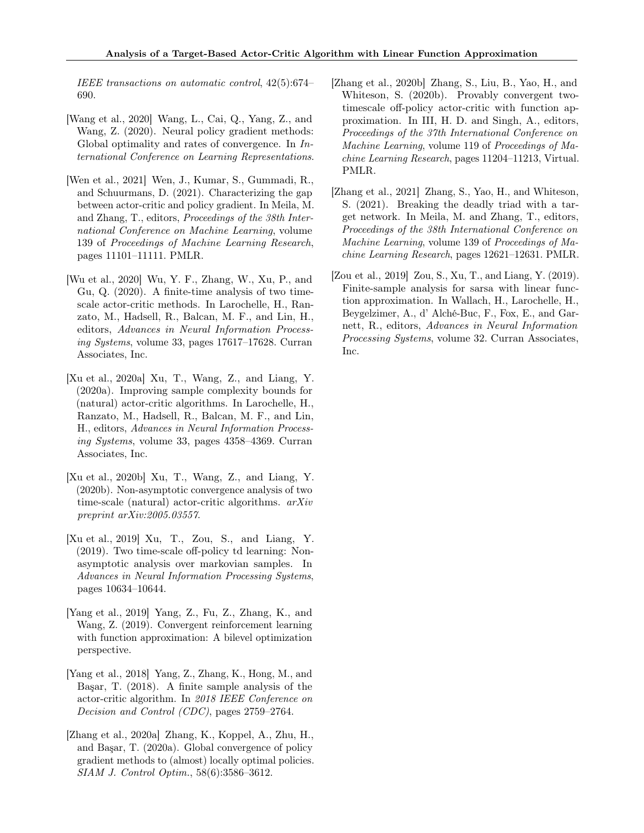IEEE transactions on automatic control, 42(5):674– 690.

- <span id="page-11-6"></span>[Wang et al., 2020] Wang, L., Cai, Q., Yang, Z., and Wang, Z. (2020). Neural policy gradient methods: Global optimality and rates of convergence. In International Conference on Learning Representations.
- <span id="page-11-8"></span>[Wen et al., 2021] Wen, J., Kumar, S., Gummadi, R., and Schuurmans, D. (2021). Characterizing the gap between actor-critic and policy gradient. In Meila, M. and Zhang, T., editors, Proceedings of the 38th International Conference on Machine Learning, volume 139 of Proceedings of Machine Learning Research, pages 11101–11111. PMLR.
- <span id="page-11-7"></span>[Wu et al., 2020] Wu, Y. F., Zhang, W., Xu, P., and Gu, Q. (2020). A finite-time analysis of two timescale actor-critic methods. In Larochelle, H., Ranzato, M., Hadsell, R., Balcan, M. F., and Lin, H., editors, Advances in Neural Information Processing Systems, volume 33, pages 17617–17628. Curran Associates, Inc.
- <span id="page-11-5"></span>[Xu et al., 2020a] Xu, T., Wang, Z., and Liang, Y. (2020a). Improving sample complexity bounds for (natural) actor-critic algorithms. In Larochelle, H., Ranzato, M., Hadsell, R., Balcan, M. F., and Lin, H., editors, Advances in Neural Information Processing Systems, volume 33, pages 4358–4369. Curran Associates, Inc.
- <span id="page-11-4"></span>[Xu et al., 2020b] Xu, T., Wang, Z., and Liang, Y. (2020b). Non-asymptotic convergence analysis of two time-scale (natural) actor-critic algorithms. arXiv preprint arXiv:2005.03557.
- <span id="page-11-2"></span>[Xu et al., 2019] Xu, T., Zou, S., and Liang, Y. (2019). Two time-scale off-policy td learning: Nonasymptotic analysis over markovian samples. In Advances in Neural Information Processing Systems, pages 10634–10644.
- <span id="page-11-1"></span>[Yang et al., 2019] Yang, Z., Fu, Z., Zhang, K., and Wang, Z. (2019). Convergent reinforcement learning with function approximation: A bilevel optimization perspective.
- <span id="page-11-3"></span>[Yang et al., 2018] Yang, Z., Zhang, K., Hong, M., and Başar, T. (2018). A finite sample analysis of the actor-critic algorithm. In 2018 IEEE Conference on Decision and Control (CDC), pages 2759–2764.
- <span id="page-11-9"></span>[Zhang et al., 2020a] Zhang, K., Koppel, A., Zhu, H., and Başar, T. (2020a). Global convergence of policy gradient methods to (almost) locally optimal policies. SIAM J. Control Optim., 58(6):3586–3612.
- <span id="page-11-10"></span>[Zhang et al., 2020b] Zhang, S., Liu, B., Yao, H., and Whiteson, S. (2020b). Provably convergent twotimescale off-policy actor-critic with function approximation. In III, H. D. and Singh, A., editors, Proceedings of the 37th International Conference on Machine Learning, volume 119 of Proceedings of Machine Learning Research, pages 11204–11213, Virtual. PMLR.
- <span id="page-11-0"></span>[Zhang et al., 2021] Zhang, S., Yao, H., and Whiteson, S. (2021). Breaking the deadly triad with a target network. In Meila, M. and Zhang, T., editors, Proceedings of the 38th International Conference on Machine Learning, volume 139 of Proceedings of Machine Learning Research, pages 12621–12631. PMLR.
- <span id="page-11-11"></span>[Zou et al., 2019] Zou, S., Xu, T., and Liang, Y. (2019). Finite-sample analysis for sarsa with linear function approximation. In Wallach, H., Larochelle, H., Beygelzimer, A., d' Alché-Buc, F., Fox, E., and Garnett, R., editors, Advances in Neural Information Processing Systems, volume 32. Curran Associates, Inc.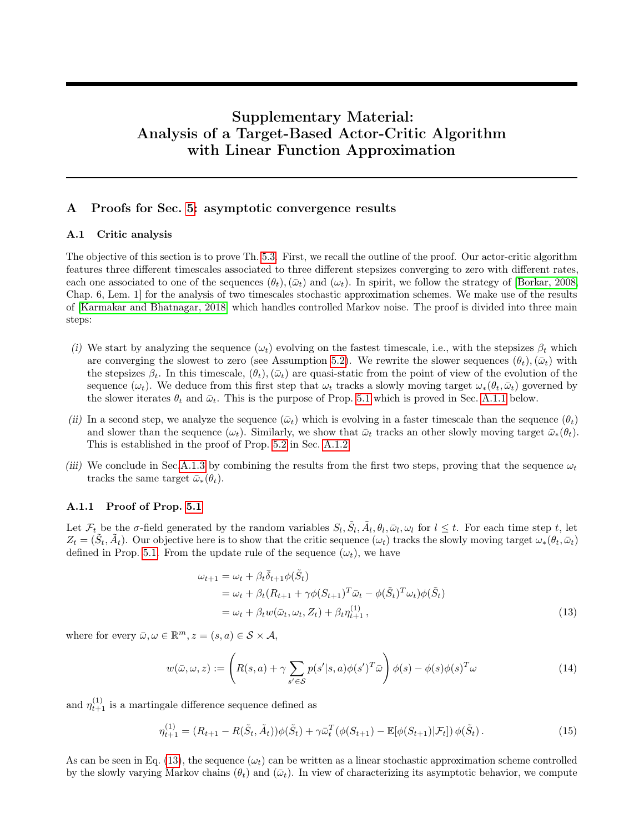# Supplementary Material: Analysis of a Target-Based Actor-Critic Algorithm with Linear Function Approximation

# A Proofs for Sec. [5:](#page-5-3) asymptotic convergence results

#### A.1 Critic analysis

The objective of this section is to prove Th. [5.3.](#page-6-2) First, we recall the outline of the proof. Our actor-critic algorithm features three different timescales associated to three different stepsizes converging to zero with different rates, each one associated to one of the sequences  $(\theta_t),(\bar{\omega}_t)$  and  $(\omega_t)$ . In spirit, we follow the strategy of [\[Borkar, 2008,](#page-9-7) Chap. 6, Lem. 1] for the analysis of two timescales stochastic approximation schemes. We make use of the results of [\[Karmakar and Bhatnagar, 2018\]](#page-9-14) which handles controlled Markov noise. The proof is divided into three main steps:

- (i) We start by analyzing the sequence  $(\omega_t)$  evolving on the fastest timescale, i.e., with the stepsizes  $\beta_t$  which are converging the slowest to zero (see Assumption [5.2\)](#page-5-2). We rewrite the slower sequences  $(\theta_t),(\bar{\omega}_t)$  with the stepsizes  $\beta_t$ . In this timescale,  $(\theta_t)$ ,  $(\bar{\omega}_t)$  are quasi-static from the point of view of the evolution of the sequence  $(\omega_t)$ . We deduce from this first step that  $\omega_t$  tracks a slowly moving target  $\omega_*(\theta_t, \bar{\omega}_t)$  governed by the slower iterates  $\theta_t$  and  $\bar{\omega}_t$ . This is the purpose of Prop. [5.1](#page-6-5) which is proved in Sec. [A.1.1](#page-12-0) below.
- (ii) In a second step, we analyze the sequence  $(\bar{\omega}_t)$  which is evolving in a faster timescale than the sequence  $(\theta_t)$ and slower than the sequence  $(\omega_t)$ . Similarly, we show that  $\bar{\omega}_t$  tracks an other slowly moving target  $\bar{\omega}_*(\theta_t)$ . This is established in the proof of Prop. [5.2](#page-6-1) in Sec. [A.1.2.](#page-15-0)
- (iii) We conclude in Sec[.A.1.3](#page-17-0) by combining the results from the first two steps, proving that the sequence  $\omega_t$ tracks the same target  $\bar{\omega}_*(\theta_t)$ .

### <span id="page-12-0"></span>A.1.1 Proof of Prop. [5.1](#page-6-5)

Let  $\mathcal{F}_t$  be the  $\sigma$ -field generated by the random variables  $S_l$ ,  $\tilde{S}_l$ ,  $\tilde{A}_l$ ,  $\theta_l$ ,  $\bar{\omega}_l$ ,  $\omega_l$  for  $l \leq t$ . For each time step t, let  $Z_t = (\tilde{S}_t, \tilde{A}_t)$ . Our objective here is to show that the critic sequence  $(\omega_t)$  tracks the slowly moving target  $\omega_*(\theta_t, \bar{\omega}_t)$ defined in Prop. [5.1.](#page-6-5) From the update rule of the sequence  $(\omega_t)$ , we have

<span id="page-12-1"></span>
$$
\omega_{t+1} = \omega_t + \beta_t \overline{\delta}_{t+1} \phi(\tilde{S}_t)
$$
  
=  $\omega_t + \beta_t (R_{t+1} + \gamma \phi(S_{t+1})^T \overline{\omega}_t - \phi(\tilde{S}_t)^T \omega_t) \phi(\tilde{S}_t)$   
=  $\omega_t + \beta_t w(\overline{\omega}_t, \omega_t, Z_t) + \beta_t \eta_{t+1}^{(1)},$  (13)

where for every  $\bar{\omega}, \omega \in \mathbb{R}^m, z = (s, a) \in \mathcal{S} \times \mathcal{A},$ 

<span id="page-12-2"></span>
$$
w(\bar{\omega}, \omega, z) := \left( R(s, a) + \gamma \sum_{s' \in \mathcal{S}} p(s'|s, a) \phi(s')^T \bar{\omega} \right) \phi(s) - \phi(s) \phi(s)^T \omega \tag{14}
$$

and  $\eta_{t+1}^{(1)}$  is a martingale difference sequence defined as

$$
\eta_{t+1}^{(1)} = (R_{t+1} - R(\tilde{S}_t, \tilde{A}_t))\phi(\tilde{S}_t) + \gamma \bar{\omega}_t^T (\phi(S_{t+1}) - \mathbb{E}[\phi(S_{t+1}) | \mathcal{F}_t]) \phi(\tilde{S}_t).
$$
\n(15)

As can be seen in Eq. [\(13\)](#page-12-1), the sequence  $(\omega_t)$  can be written as a linear stochastic approximation scheme controlled by the slowly varying Markov chains  $(\theta_t)$  and  $(\bar{\omega}_t)$ . In view of characterizing its asymptotic behavior, we compute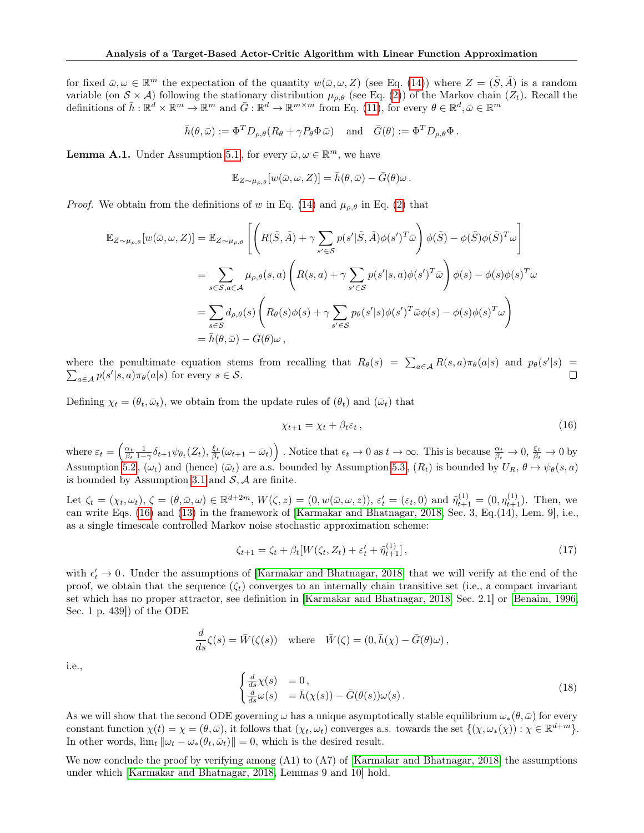for fixed  $\bar{\omega}, \omega \in \mathbb{R}^m$  the expectation of the quantity  $w(\bar{\omega}, \omega, Z)$  (see Eq. [\(14\)](#page-12-2)) where  $Z = (\tilde{S}, \tilde{A})$  is a random variable (on  $S \times A$ ) following the stationary distribution  $\mu_{\rho,\theta}$  (see Eq. [\(2\)](#page-3-4)) of the Markov chain  $(Z_t)$ . Recall the definitions of  $\bar{h}: \mathbb{R}^d \times \mathbb{R}^m \to \mathbb{R}^m$  and  $\bar{G}: \mathbb{R}^d \to \mathbb{R}^{m \times m}$  from Eq. [\(11\)](#page-6-8), for every  $\theta \in \mathbb{R}^d, \bar{\omega} \in \mathbb{R}^m$ 

$$
\bar{h}(\theta,\bar{\omega}) := \Phi^T D_{\rho,\theta}(R_{\theta} + \gamma P_{\theta} \Phi \bar{\omega}) \quad \text{ and} \quad \bar{G}(\theta) := \Phi^T D_{\rho,\theta} \Phi.
$$

**Lemma A.1.** Under Assumption [5.1](#page-5-1), for every  $\bar{\omega}, \omega \in \mathbb{R}^m$ , we have

$$
\mathbb{E}_{Z \sim \mu_{\rho,\theta}}[w(\bar{\omega}, \omega, Z)] = \bar{h}(\theta, \bar{\omega}) - \bar{G}(\theta)\omega.
$$

*Proof.* We obtain from the definitions of w in Eq. [\(14\)](#page-12-2) and  $\mu_{\rho,\theta}$  in Eq. [\(2\)](#page-3-4) that

$$
\mathbb{E}_{Z \sim \mu_{\rho,\theta}}[w(\bar{\omega}, \omega, Z)] = \mathbb{E}_{Z \sim \mu_{\rho,\theta}}\left[\left(R(\tilde{S}, \tilde{A}) + \gamma \sum_{s' \in S} p(s'|\tilde{S}, \tilde{A})\phi(s')^T \bar{\omega}\right)\phi(\tilde{S}) - \phi(\tilde{S})\phi(\tilde{S})^T \omega\right]
$$
  
\n
$$
= \sum_{s \in S, a \in \mathcal{A}} \mu_{\rho,\theta}(s, a) \left(R(s, a) + \gamma \sum_{s' \in S} p(s'|s, a)\phi(s')^T \bar{\omega}\right)\phi(s) - \phi(s)\phi(s)^T \omega
$$
  
\n
$$
= \sum_{s \in S} d_{\rho,\theta}(s) \left(R_{\theta}(s)\phi(s) + \gamma \sum_{s' \in S} p_{\theta}(s'|s)\phi(s')^T \bar{\omega}\phi(s) - \phi(s)\phi(s)^T \omega\right)
$$
  
\n
$$
= \bar{h}(\theta, \bar{\omega}) - \bar{G}(\theta)\omega,
$$

where the penultimate equation stems from recalling that  $R_{\theta}(s) = \sum_{a \in \mathcal{A}} R(s, a) \pi_{\theta}(a|s)$  and  $p_{\theta}(s'|s) =$  $\sum_{a \in \mathcal{A}} p(s'|s, a) \pi_{\theta}(a|s)$  for every  $s \in \mathcal{S}$ .  $\Box$ 

Defining  $\chi_t = (\theta_t, \bar{\omega}_t)$ , we obtain from the update rules of  $(\theta_t)$  and  $(\bar{\omega}_t)$  that

<span id="page-13-0"></span>
$$
\chi_{t+1} = \chi_t + \beta_t \varepsilon_t, \qquad (16)
$$

where  $\varepsilon_t = \left(\frac{\alpha_t}{\beta_t} \frac{1}{1-\gamma} \delta_{t+1} \psi_{\theta_t}(Z_t), \frac{\xi_t}{\beta_t} (\omega_{t+1} - \bar{\omega}_t)\right)$ . Notice that  $\epsilon_t \to 0$  as  $t \to \infty$ . This is because  $\frac{\alpha_t}{\beta_t} \to 0$ ,  $\frac{\xi_t}{\beta_t} \to 0$  by Assumption [5.2](#page-5-2),  $(\omega_t)$  and (hence)  $(\bar{\omega}_t)$  are a.s. bounded by Assumption [5.3](#page-5-4),  $(R_t)$  is bounded by  $U_R$ ,  $\theta \mapsto \psi_{\theta}(s, a)$ is bounded by Assumption [3.1](#page-3-1) and  $S$ ,  $A$  are finite.

Let  $\zeta_t = (\chi_t, \omega_t), \, \zeta = (\theta, \bar{\omega}, \omega) \in \mathbb{R}^{d+2m}, \, W(\zeta, z) = (0, w(\bar{\omega}, \omega, z)), \, \varepsilon'_t = (\varepsilon_t, 0) \text{ and } \tilde{\eta}_{t+1}^{(1)} = (0, \eta_{t+1}^{(1)})$ . Then, we can write Eqs. [\(16\)](#page-13-0) and [\(13\)](#page-12-1) in the framework of [\[Karmakar and Bhatnagar, 2018,](#page-9-14) Sec. 3, Eq.(14), Lem. 9], i.e., as a single timescale controlled Markov noise stochastic approximation scheme:

$$
\zeta_{t+1} = \zeta_t + \beta_t[W(\zeta_t, Z_t) + \varepsilon'_t + \tilde{\eta}_{t+1}^{(1)}],\tag{17}
$$

with  $\epsilon'_t \to 0$ . Under the assumptions of [\[Karmakar and Bhatnagar, 2018\]](#page-9-14) that we will verify at the end of the proof, we obtain that the sequence  $(\zeta_t)$  converges to an internally chain transitive set (i.e., a compact invariant set which has no proper attractor, see definition in [\[Karmakar and Bhatnagar, 2018,](#page-9-14) Sec. 2.1] or [\[Benaim, 1996,](#page-9-17) Sec. 1 p. 439]) of the ODE

$$
\frac{d}{ds}\zeta(s) = \bar{W}(\zeta(s)) \quad \text{where} \quad \bar{W}(\zeta) = (0, \bar{h}(\chi) - \bar{G}(\theta)\omega),
$$

i.e.,

<span id="page-13-1"></span>
$$
\begin{cases}\n\frac{d}{ds}\chi(s) &= 0, \\
\frac{d}{ds}\omega(s) &= \bar{h}(\chi(s)) - \bar{G}(\theta(s))\omega(s).\n\end{cases}
$$
\n(18)

As we will show that the second ODE governing  $\omega$  has a unique asymptotically stable equilibrium  $\omega_*(\theta, \bar{\omega})$  for every constant function  $\chi(t) = \chi = (\theta, \bar{\omega})$ , it follows that  $(\chi_t, \omega_t)$  converges a.s. towards the set  $\{(\chi, \omega_*(\chi)) : \chi \in \mathbb{R}^{d+m}\}.$ In other words,  $\lim_{t} ||\omega_t - \omega_*(\theta_t, \bar{\omega}_t)|| = 0$ , which is the desired result.

We now conclude the proof by verifying among  $(A1)$  to  $(A7)$  of [\[Karmakar and Bhatnagar, 2018\]](#page-9-14) the assumptions under which [\[Karmakar and Bhatnagar, 2018,](#page-9-14) Lemmas 9 and 10] hold.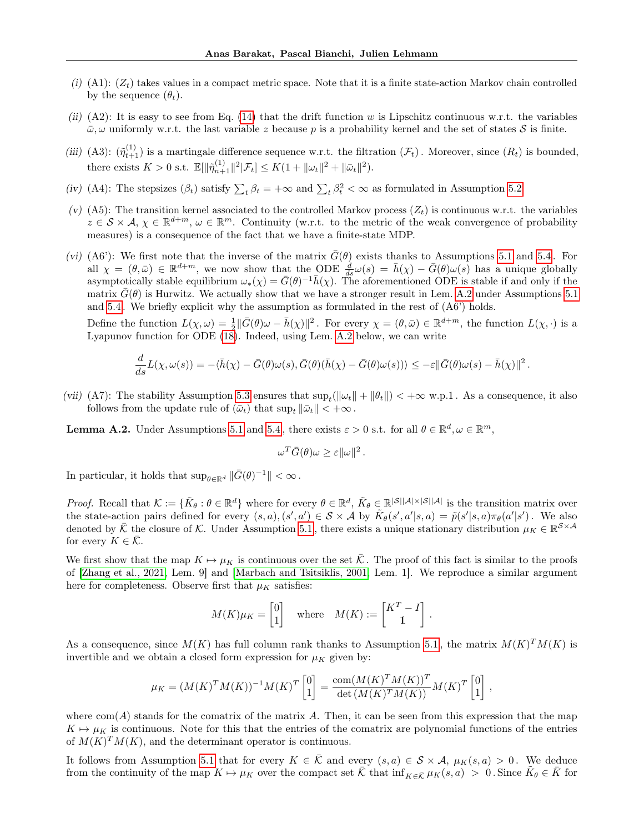- (i) (A1):  $(Z_t)$  takes values in a compact metric space. Note that it is a finite state-action Markov chain controlled by the sequence  $(\theta_t)$ .
- (ii) (A2): It is easy to see from Eq. [\(14\)](#page-12-2) that the drift function w is Lipschitz continuous w.r.t. the variables  $\bar{\omega}, \omega$  uniformly w.r.t. the last variable z because p is a probability kernel and the set of states S is finite.
- (iii) (A3):  $(\tilde{\eta}_{t+1}^{(1)})$  is a martingale difference sequence w.r.t. the filtration  $(\mathcal{F}_t)$ . Moreover, since  $(R_t)$  is bounded, there exists  $K > 0$  s.t.  $\mathbb{E}[\|\tilde{\eta}_{n+1}^{(1)}\|^2 | \mathcal{F}_t] \leq K(1 + \|\omega_t\|^2 + \|\bar{\omega}_t\|^2).$
- (iv) (A4): The stepsizes  $(\beta_t)$  satisfy  $\sum_t \beta_t = +\infty$  and  $\sum_t \beta_t^2 < \infty$  as formulated in Assumption [5.2.](#page-5-2)
- (v) (A5): The transition kernel associated to the controlled Markov process  $(Z_t)$  is continuous w.r.t. the variables  $z \in \mathcal{S} \times \mathcal{A}, \chi \in \mathbb{R}^{d+m}, \omega \in \mathbb{R}^m$ . Continuity (w.r.t. to the metric of the weak convergence of probability measures) is a consequence of the fact that we have a finite-state MDP.
- (vi) (A6'): We first note that the inverse of the matrix  $\bar{G}(\theta)$  exists thanks to Assumptions [5.1](#page-5-1) and [5.4](#page-6-3). For all  $\chi = (\theta, \bar{\omega}) \in \mathbb{R}^{d+m}$ , we now show that the ODE  $\frac{d}{ds}\omega(s) = \bar{h}(\chi) - \bar{G}(\theta)\omega(s)$  has a unique globally asymptotically stable equilibrium  $\omega_*(\chi) = \bar{G}(\theta)^{-1} \bar{h}(\chi)$ . The aforementioned ODE is stable if and only if the matrix  $G(\theta)$  is Hurwitz. We actually show that we have a stronger result in Lem. [A.2](#page-14-0) under Assumptions [5.1](#page-5-1) and [5.4](#page-6-3) . We briefly explicit why the assumption as formulated in the rest of (A6') holds.

Define the function  $L(\chi, \omega) = \frac{1}{2} \|\bar{G}(\theta)\omega - \bar{h}(\chi)\|^2$ . For every  $\chi = (\theta, \bar{\omega}) \in \mathbb{R}^{d+m}$ , the function  $L(\chi, \cdot)$  is a Lyapunov function for ODE [\(18\)](#page-13-1). Indeed, using Lem. [A.2](#page-14-0) below, we can write

$$
\frac{d}{ds}L(\chi,\omega(s)) = -\langle \bar{h}(\chi) - \bar{G}(\theta)\omega(s), \bar{G}(\theta)(\bar{h}(\chi) - \bar{G}(\theta)\omega(s)) \rangle \leq -\varepsilon ||\bar{G}(\theta)\omega(s) - \bar{h}(\chi)||^2.
$$

(vii) (A7): The stability Assumption [5.3](#page-5-4) ensures that  $\sup_t(\|\omega_t\| + \|\theta_t\|) < +\infty$  w.p.1. As a consequence, it also follows from the update rule of  $(\bar{\omega}_t)$  that  $\sup_t ||\bar{\omega}_t|| < +\infty$ .

<span id="page-14-0"></span>**Lemma A.2.** Under Assumptions [5.1](#page-5-1) and [5.4](#page-6-3), there exists  $\varepsilon > 0$  s.t. for all  $\theta \in \mathbb{R}^d, \omega \in \mathbb{R}^m$ ,

$$
\omega^T \bar{G}(\theta)\omega \geq \varepsilon ||\omega||^2.
$$

In particular, it holds that  $\sup_{\theta \in \mathbb{R}^d} \|\bar{G}(\theta)^{-1}\| < \infty$ .

*Proof.* Recall that  $\mathcal{K} := \{ \tilde{K}_{\theta} : \theta \in \mathbb{R}^d \}$  where for every  $\theta \in \mathbb{R}^d$ ,  $\tilde{K}_{\theta} \in \mathbb{R}^{|\mathcal{S}||\mathcal{A}| \times |\mathcal{S}||\mathcal{A}|}$  is the transition matrix over the state-action pairs defined for every  $(s, a), (s', a') \in S \times A$  by  $\tilde{K}_{\theta}(s', a'|s, a) = \tilde{p}(s'|s, a)\pi_{\theta}(a'|s')$ . We also denoted by  $\bar{\mathcal{K}}$  the closure of  $\mathcal{K}$ . Under Assumption [5.1](#page-5-1), there exists a unique stationary distribution  $\mu_K \in \mathbb{R}^{\mathcal{S} \times \mathcal{A}}$ for every  $K \in \mathcal{K}$ .

We first show that the map  $K \mapsto \mu_K$  is continuous over the set  $\overline{\mathcal{K}}$ . The proof of this fact is similar to the proofs of [\[Zhang et al., 2021,](#page-11-0) Lem. 9] and [\[Marbach and Tsitsiklis, 2001,](#page-10-17) Lem. 1]. We reproduce a similar argument here for completeness. Observe first that  $\mu_K$  satisfies:

$$
M(K)\mu_K = \begin{bmatrix} 0 \\ 1 \end{bmatrix}
$$
 where  $M(K) := \begin{bmatrix} K^T - I \\ 1 \end{bmatrix}$ .

As a consequence, since  $M(K)$  has full column rank thanks to Assumption [5.1](#page-5-1), the matrix  $M(K)^{T}M(K)$  is invertible and we obtain a closed form expression for  $\mu_K$  given by:

$$
\mu_K = (M(K)^T M(K))^{-1} M(K)^T \begin{bmatrix} 0 \\ 1 \end{bmatrix} = \frac{\text{com}(M(K)^T M(K))^T}{\text{det}(M(K)^T M(K))} M(K)^T \begin{bmatrix} 0 \\ 1 \end{bmatrix},
$$

where  $com(A)$  stands for the comatrix of the matrix A. Then, it can be seen from this expression that the map  $K \mapsto \mu_K$  is continuous. Note for this that the entries of the comatrix are polynomial functions of the entries of  $M(K)^{T}M(K)$ , and the determinant operator is continuous.

It follows from Assumption [5.1](#page-5-1) that for every  $K \in \overline{K}$  and every  $(s, a) \in S \times A$ ,  $\mu_K(s, a) > 0$ . We deduce from the continuity of the map  $K \mapsto \mu_K$  over the compact set  $\overline{K}$  that  $\inf_{K \in \overline{K}} \mu_K(s, a) > 0$ . Since  $\overline{K}_{\theta} \in \overline{K}$  for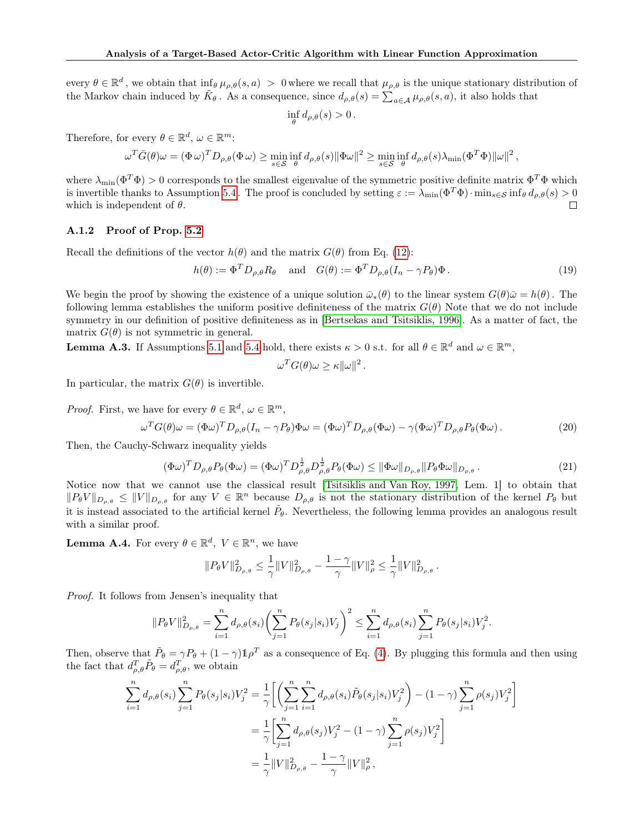every  $\theta \in \mathbb{R}^d$ , we obtain that  $\inf_{\theta} \mu_{\rho,\theta}(s,a) > 0$  where we recall that  $\mu_{\rho,\theta}$  is the unique stationary distribution of the Markov chain induced by  $\tilde{K}_{\theta}$ . As a consequence, since  $d_{\rho,\theta}(s) = \sum_{a \in \mathcal{A}} \mu_{\rho,\theta}(s, a)$ , it also holds that

$$
\inf_{\theta} d_{\rho,\theta}(s) > 0.
$$

Therefore, for every  $\theta \in \mathbb{R}^d$ ,  $\omega \in \mathbb{R}^m$ :

$$
\omega^T \bar{G}(\theta)\omega = (\Phi \omega)^T D_{\rho,\theta}(\Phi \omega) \ge \min_{s \in \mathcal{S}} \inf_{\theta} d_{\rho,\theta}(s) \|\Phi \omega\|^2 \ge \min_{s \in \mathcal{S}} \inf_{\theta} d_{\rho,\theta}(s) \lambda_{\min}(\Phi^T \Phi) \|\omega\|^2,
$$

where  $\lambda_{\min}(\Phi^T\Phi) > 0$  corresponds to the smallest eigenvalue of the symmetric positive definite matrix  $\Phi^T\Phi$  which is invertible thanks to Assumption [5.4](#page-6-3). The proof is concluded by setting  $\varepsilon := \lambda_{\min}(\Phi^T \Phi) \cdot \min_{s \in \mathcal{S}} \inf_{\theta} d_{\rho,\theta}(s) > 0$ which is independent of  $\theta$ .  $\Box$ 

# <span id="page-15-0"></span>A.1.2 Proof of Prop. [5.2](#page-6-1)

Recall the definitions of the vector  $h(\theta)$  and the matrix  $G(\theta)$  from Eq. [\(12\)](#page-6-9):

$$
h(\theta) := \Phi^T D_{\rho,\theta} R_{\theta} \quad \text{and} \quad G(\theta) := \Phi^T D_{\rho,\theta} (I_n - \gamma P_{\theta}) \Phi. \tag{19}
$$

We begin the proof by showing the existence of a unique solution  $\bar{\omega}_*(\theta)$  to the linear system  $G(\theta)\bar{\omega} = h(\theta)$ . The following lemma establishes the uniform positive definiteness of the matrix  $G(\theta)$  Note that we do not include symmetry in our definition of positive definiteness as in [\[Bertsekas and Tsitsiklis, 1996\]](#page-9-2). As a matter of fact, the matrix  $G(\theta)$  is not symmetric in general.

<span id="page-15-2"></span>**Lemma A.3.** If Assumptions [5.1](#page-5-1) and [5.4](#page-6-3) hold, there exists  $\kappa > 0$  s.t. for all  $\theta \in \mathbb{R}^d$  and  $\omega \in \mathbb{R}^m$ ,

$$
\omega^T G(\theta)\omega \ge \kappa \|\omega\|^2.
$$

In particular, the matrix  $G(\theta)$  is invertible.

*Proof.* First, we have for every 
$$
\theta \in \mathbb{R}^d
$$
,  $\omega \in \mathbb{R}^m$ ,  
\n
$$
\omega^T G(\theta) \omega = (\Phi \omega)^T D_{\rho,\theta} (I_n - \gamma P_{\theta}) \Phi \omega = (\Phi \omega)^T D_{\rho,\theta} (\Phi \omega) - \gamma (\Phi \omega)^T D_{\rho,\theta} P_{\theta} (\Phi \omega).
$$
\n(20)

Then, the Cauchy-Schwarz inequality yields

<span id="page-15-4"></span><span id="page-15-3"></span>
$$
(\Phi\omega)^T D_{\rho,\theta} P_{\theta}(\Phi\omega) = (\Phi\omega)^T D_{\rho,\theta}^{\frac{1}{2}} D_{\rho,\theta}^{\frac{1}{2}} P_{\theta}(\Phi\omega) \leq \|\Phi\omega\|_{D_{\rho,\theta}} \|P_{\theta}\Phi\omega\|_{D_{\rho,\theta}}.
$$
\n(21)

Notice now that we cannot use the classical result [\[Tsitsiklis and Van Roy, 1997,](#page-10-8) Lem. 1] to obtain that  $||P_{\theta}V||_{D_{\rho,\theta}} \leq ||V||_{D_{\rho,\theta}}$  for any  $V \in \mathbb{R}^n$  because  $D_{\rho,\theta}$  is not the stationary distribution of the kernel  $P_{\theta}$  but it is instead associated to the artificial kernel  $\tilde{P}_{\theta}$ . Nevertheless, the following lemma provides an analogous result with a similar proof.

<span id="page-15-1"></span>**Lemma A.4.** For every  $\theta \in \mathbb{R}^d$ ,  $V \in \mathbb{R}^n$ , we have

$$
||P_{\theta}V||_{D_{\rho,\theta}}^2 \leq \frac{1}{\gamma}||V||_{D_{\rho,\theta}}^2 - \frac{1-\gamma}{\gamma}||V||_{\rho}^2 \leq \frac{1}{\gamma}||V||_{D_{\rho,\theta}}^2.
$$

Proof. It follows from Jensen's inequality that

$$
||P_{\theta}V||_{D_{\rho,\theta}}^2 = \sum_{i=1}^n d_{\rho,\theta}(s_i) \left(\sum_{j=1}^n P_{\theta}(s_j|s_i)V_j\right)^2 \le \sum_{i=1}^n d_{\rho,\theta}(s_i) \sum_{j=1}^n P_{\theta}(s_j|s_i)V_j^2.
$$

Then, observe that  $\tilde{P}_{\theta} = \gamma P_{\theta} + (1 - \gamma) \mathbb{1} \rho^T$  as a consequence of Eq. [\(4\)](#page-3-3). By plugging this formula and then using the fact that  $d_{\rho,\theta}^T \tilde{P}_{\theta} = d_{\rho,\theta}^T$ , we obtain

$$
\sum_{i=1}^{n} d_{\rho,\theta}(s_i) \sum_{j=1}^{n} P_{\theta}(s_j|s_i) V_j^2 = \frac{1}{\gamma} \bigg[ \bigg( \sum_{j=1}^{n} \sum_{i=1}^{n} d_{\rho,\theta}(s_i) \tilde{P}_{\theta}(s_j|s_i) V_j^2 \bigg) - (1 - \gamma) \sum_{j=1}^{n} \rho(s_j) V_j^2 \bigg] \n= \frac{1}{\gamma} \bigg[ \sum_{j=1}^{n} d_{\rho,\theta}(s_j) V_j^2 - (1 - \gamma) \sum_{j=1}^{n} \rho(s_j) V_j^2 \bigg] \n= \frac{1}{\gamma} ||V||_{D_{\rho,\theta}}^2 - \frac{1 - \gamma}{\gamma} ||V||_{\rho}^2,
$$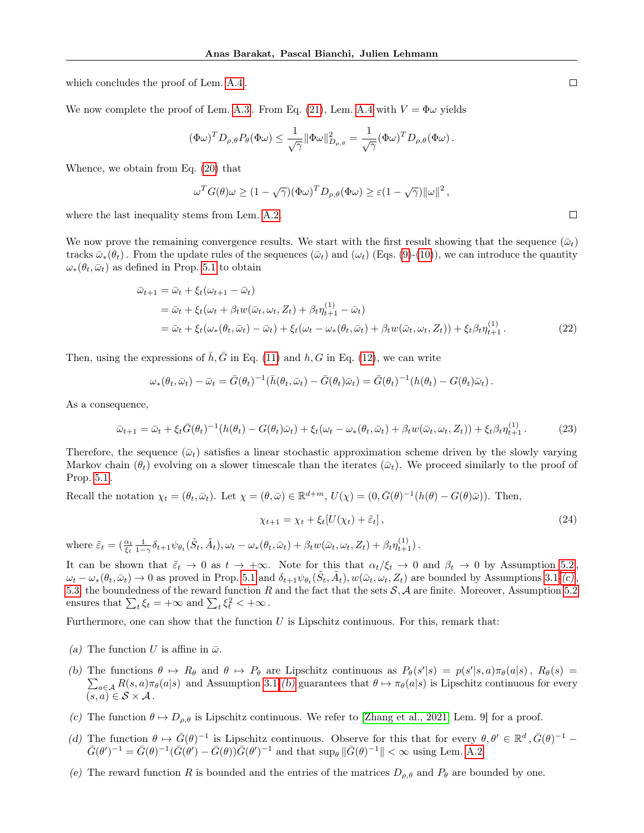which concludes the proof of Lem. [A.4](#page-15-1) .

We now complete the proof of Lem. [A.3](#page-15-2). From Eq. [\(21\)](#page-15-3), Lem. [A.4](#page-15-1) with  $V = \Phi \omega$  yields

$$
(\Phi\omega)^T D_{\rho,\theta} P_{\theta}(\Phi\omega) \leq \frac{1}{\sqrt{\gamma}} \|\Phi\omega\|_{D_{\rho,\theta}}^2 = \frac{1}{\sqrt{\gamma}} (\Phi\omega)^T D_{\rho,\theta}(\Phi\omega).
$$

Whence, we obtain from Eq. [\(20\)](#page-15-4) that

$$
\omega^T G(\theta)\omega \ge (1 - \sqrt{\gamma})(\Phi \omega)^T D_{\rho,\theta}(\Phi \omega) \ge \varepsilon (1 - \sqrt{\gamma}) \|\omega\|^2,
$$

where the last inequality stems from Lem. [A.2.](#page-14-0)

We now prove the remaining convergence results. We start with the first result showing that the sequence  $(\bar{\omega}_t)$ tracks  $\bar{\omega}_*(\theta_t)$ . From the update rules of the sequences  $(\bar{\omega}_t)$  and  $(\omega_t)$  (Eqs. [\(9\)](#page-4-2)-[\(10\)](#page-4-4)), we can introduce the quantity  $\omega_*(\theta_t, \bar{\omega}_t)$  as defined in Prop. [5.1](#page-6-5) to obtain

$$
\bar{\omega}_{t+1} = \bar{\omega}_t + \xi_t(\omega_{t+1} - \bar{\omega}_t)
$$
\n
$$
= \bar{\omega}_t + \xi_t(\omega_t + \beta_t w(\bar{\omega}_t, \omega_t, Z_t) + \beta_t \eta_{t+1}^{(1)} - \bar{\omega}_t)
$$
\n
$$
= \bar{\omega}_t + \xi_t(\omega_*(\theta_t, \bar{\omega}_t) - \bar{\omega}_t) + \xi_t(\omega_t - \omega_*(\theta_t, \bar{\omega}_t) + \beta_t w(\bar{\omega}_t, \omega_t, Z_t)) + \xi_t \beta_t \eta_{t+1}^{(1)}.
$$
\n(22)

Then, using the expressions of  $\bar{h}, \bar{G}$  in Eq. [\(11\)](#page-6-8) and h, G in Eq. [\(12\)](#page-6-9), we can write

$$
\omega_*(\theta_t, \bar{\omega}_t) - \bar{\omega}_t = \bar{G}(\theta_t)^{-1} (\bar{h}(\theta_t, \bar{\omega}_t) - \bar{G}(\theta_t) \bar{\omega}_t) = \bar{G}(\theta_t)^{-1} (h(\theta_t) - G(\theta_t) \bar{\omega}_t).
$$

As a consequence,

$$
\bar{\omega}_{t+1} = \bar{\omega}_t + \xi_t \bar{G}(\theta_t)^{-1} (h(\theta_t) - G(\theta_t)\bar{\omega}_t) + \xi_t(\omega_t - \omega_*(\theta_t, \bar{\omega}_t) + \beta_t w(\bar{\omega}_t, \omega_t, Z_t)) + \xi_t \beta_t \eta_{t+1}^{(1)}.
$$
(23)

Therefore, the sequence  $(\bar{\omega}_t)$  satisfies a linear stochastic approximation scheme driven by the slowly varying Markov chain  $(\theta_t)$  evolving on a slower timescale than the iterates  $(\bar{\omega}_t)$ . We proceed similarly to the proof of Prop. [5.1](#page-6-5) .

Recall the notation  $\chi_t = (\theta_t, \bar{\omega}_t)$ . Let  $\chi = (\theta, \bar{\omega}) \in \mathbb{R}^{d+m}$ ,  $U(\chi) = (0, \bar{G}(\theta)^{-1}(h(\theta) - G(\theta)\bar{\omega}))$ . Then,

$$
\chi_{t+1} = \chi_t + \xi_t [U(\chi_t) + \tilde{\varepsilon}_t], \qquad (24)
$$

where  $\tilde{\varepsilon}_t = \left( \frac{\alpha_t}{\xi_t} \frac{1}{1-\gamma} \delta_{t+1} \psi_{\theta_t} (\tilde{S}_t, \tilde{A}_t), \omega_t - \omega_* (\theta_t, \bar{\omega}_t) + \beta_t w(\bar{\omega}_t, \omega_t, Z_t) + \beta_t \eta_{t+1}^{(1)} \right)$ .

It can be shown that  $\tilde{\varepsilon}_t \to 0$  as  $t \to +\infty$ . Note for this that  $\alpha_t/\xi_t \to 0$  and  $\beta_t \to 0$  by Assumption [5.2](#page-5-2),  $\omega_t - \omega_*(\theta_t, \bar{\omega}_t) \to 0$  as proved in Prop. [5.1](#page-6-5) and  $\delta_{t+1} \psi_{\theta_t}(\tilde{S}_t, \tilde{A}_t), w(\bar{\omega}_t, \omega_t, Z_t)$  are bounded by Assumptions [3.1-](#page-3-1)[\(c\)](#page-3-5), [5.3,](#page-5-4) the boundedness of the reward function R and the fact that the sets  $S$ , A are finite. Moreover, Assumption [5.2](#page-5-2) ensures that  $\sum_t \xi_t = +\infty$  and  $\sum_t \xi_t^2 < +\infty$ .

Furthermore, one can show that the function  $U$  is Lipschitz continuous. For this, remark that:

- (a) The function U is affine in  $\bar{\omega}$ .
- (b) The functions  $\theta \mapsto R_{\theta}$  and  $\theta \mapsto P_{\theta}$  are Lipschitz continuous as  $P_{\theta}(s'|s) = p(s'|s, a)\pi_{\theta}(a|s)$ ,  $R_{\theta}(s) =$  $\sum_{a\in\mathcal{A}} R(s,a)\pi_{\theta}(a|s)$  and Assumption [3.1-](#page-3-1)[\(b\)](#page-3-6) guarantees that  $\theta\mapsto \pi_{\theta}(a|s)$  is Lipschitz continuous for every  $(s, a) \in \mathcal{S} \times \mathcal{A}$ .
- (c) The function  $\theta \mapsto D_{\rho,\theta}$  is Lipschitz continuous. We refer to [\[Zhang et al., 2021,](#page-11-0) Lem. 9] for a proof.
- (d) The function  $\theta \mapsto \bar{G}(\theta)^{-1}$  is Lipschitz continuous. Observe for this that for every  $\theta, \theta' \in \mathbb{R}^d, \bar{G}(\theta)^{-1}$  $\bar{G}(\theta')^{-1} = \bar{G}(\theta)^{-1} (\bar{G}(\theta') - \bar{G}(\theta)) \bar{G}(\theta')^{-1}$  and that  $\sup_{\theta} ||\bar{G}(\theta)^{-1}|| < \infty$  using Lem. [A.2.](#page-14-0)
- (e) The reward function R is bounded and the entries of the matrices  $D_{\rho,\theta}$  and  $P_{\theta}$  are bounded by one.

 $\Box$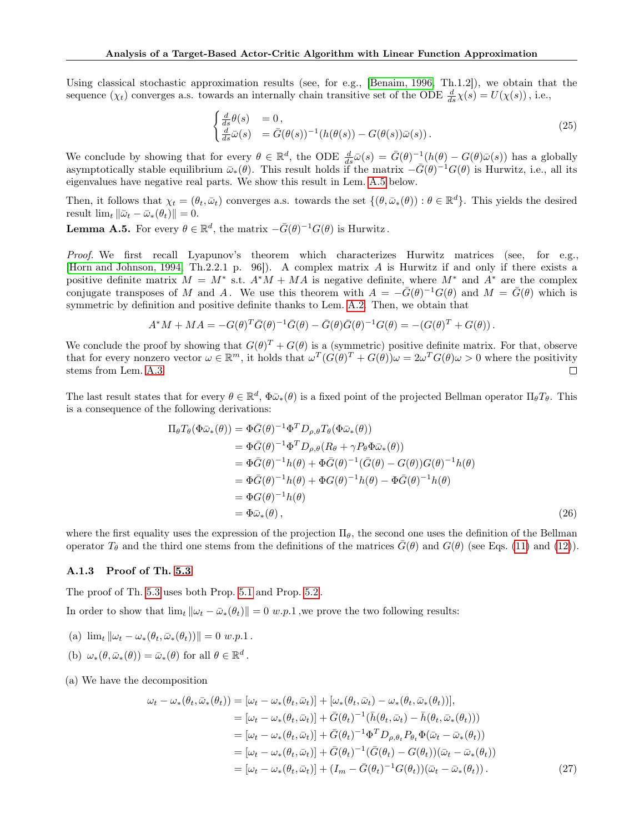Using classical stochastic approximation results (see, for e.g., [\[Benaim, 1996,](#page-9-17) Th.1.2]), we obtain that the sequence  $(\chi_t)$  converges a.s. towards an internally chain transitive set of the ODE  $\frac{d}{ds}\chi(s) = U(\chi(s))$ , i.e.,

$$
\begin{cases}\n\frac{d}{ds}\theta(s) &= 0, \\
\frac{d}{ds}\bar{\omega}(s) &= \bar{G}(\theta(s))^{-1}(h(\theta(s)) - G(\theta(s))\bar{\omega}(s)).\n\end{cases}
$$
\n(25)

We conclude by showing that for every  $\theta \in \mathbb{R}^d$ , the ODE  $\frac{d}{ds}\bar{\omega}(s) = \bar{G}(\theta)^{-1}(h(\theta) - G(\theta)\bar{\omega}(s))$  has a globally asymptotically stable equilibrium  $\bar{\omega}_*(\theta)$ . This result holds if the matrix  $-\bar{G}(\theta)^{-1}G(\theta)$  is Hurwitz, i.e., all its eigenvalues have negative real parts. We show this result in Lem. [A.5](#page-17-1) below.

Then, it follows that  $\chi_t = (\theta_t, \bar{\omega}_t)$  converges a.s. towards the set  $\{(\theta, \bar{\omega}_*(\theta)) : \theta \in \mathbb{R}^d\}$ . This yields the desired result  $\lim_{t} ||\bar{\omega}_t - \bar{\omega}_*(\theta_t)|| = 0.$ 

<span id="page-17-1"></span>**Lemma A.5.** For every  $\theta \in \mathbb{R}^d$ , the matrix  $-\overline{G}(\theta)^{-1}G(\theta)$  is Hurwitz.

Proof. We first recall Lyapunov's theorem which characterizes Hurwitz matrices (see, for e.g., [\[Horn and Johnson, 1994,](#page-9-18) Th.2.2.1 p. 96]). A complex matrix A is Hurwitz if and only if there exists a positive definite matrix  $M = M^*$  s.t.  $A^*M + MA$  is negative definite, where  $M^*$  and  $A^*$  are the complex conjugate transposes of M and A. We use this theorem with  $A = -\bar{G}(\theta)^{-1}G(\theta)$  and  $M = \bar{G}(\theta)$  which is symmetric by definition and positive definite thanks to Lem. [A.2.](#page-14-0) Then, we obtain that

$$
A^* M + M A = -G(\theta)^T \bar{G}(\theta)^{-1} \bar{G}(\theta) - \bar{G}(\theta) \bar{G}(\theta)^{-1} G(\theta) = -(G(\theta)^T + G(\theta)).
$$

We conclude the proof by showing that  $G(\theta)^T + G(\theta)$  is a (symmetric) positive definite matrix. For that, observe that for every nonzero vector  $\omega \in \mathbb{R}^m$ , it holds that  $\omega^T (G(\theta)^T + G(\theta))\omega = 2\omega^T G(\theta)\omega > 0$  where the positivity stems from Lem. [A.3.](#page-15-2)  $\Box$ 

The last result states that for every  $\theta \in \mathbb{R}^d$ ,  $\Phi \bar{\omega}_*(\theta)$  is a fixed point of the projected Bellman operator  $\Pi_\theta T_\theta$ . This is a consequence of the following derivations:

$$
\Pi_{\theta}T_{\theta}(\Phi\bar{\omega}_{*}(\theta)) = \Phi\bar{G}(\theta)^{-1}\Phi^{T}D_{\rho,\theta}T_{\theta}(\Phi\bar{\omega}_{*}(\theta))
$$
  
\n
$$
= \Phi\bar{G}(\theta)^{-1}\Phi^{T}D_{\rho,\theta}(R_{\theta} + \gamma P_{\theta}\Phi\bar{\omega}_{*}(\theta))
$$
  
\n
$$
= \Phi\bar{G}(\theta)^{-1}h(\theta) + \Phi\bar{G}(\theta)^{-1}(\bar{G}(\theta) - G(\theta))G(\theta)^{-1}h(\theta)
$$
  
\n
$$
= \Phi\bar{G}(\theta)^{-1}h(\theta) + \Phi G(\theta)^{-1}h(\theta) - \Phi\bar{G}(\theta)^{-1}h(\theta)
$$
  
\n
$$
= \Phi G(\theta)^{-1}h(\theta)
$$
  
\n
$$
= \Phi\bar{\omega}_{*}(\theta), \qquad (26)
$$

where the first equality uses the expression of the projection  $\Pi_{\theta}$ , the second one uses the definition of the Bellman operator  $T_{\theta}$  and the third one stems from the definitions of the matrices  $\bar{G}(\theta)$  and  $G(\theta)$  (see Eqs. [\(11\)](#page-6-8) and [\(12\)](#page-6-9)).

#### <span id="page-17-0"></span>A.1.3 Proof of Th. [5.3](#page-6-2)

The proof of Th. [5.3](#page-6-2) uses both Prop. [5.1](#page-6-5) and Prop. [5.2](#page-6-1) .

In order to show that  $\lim_{t} ||\omega_t - \bar{\omega}_*(\theta_t)|| = 0$  w.p.1, we prove the two following results:

- (a)  $\lim_{t} ||\omega_t \omega_*(\theta_t, \bar{\omega}_*(\theta_t))|| = 0$  w.p.1.
- (b)  $\omega_*(\theta, \bar{\omega}_*(\theta)) = \bar{\omega}_*(\theta)$  for all  $\theta \in \mathbb{R}^d$ .

(a) We have the decomposition

$$
\omega_t - \omega_*(\theta_t, \bar{\omega}_*(\theta_t)) = [\omega_t - \omega_*(\theta_t, \bar{\omega}_t)] + [\omega_*(\theta_t, \bar{\omega}_t) - \omega_*(\theta_t, \bar{\omega}_*(\theta_t))],
$$
  
\n
$$
= [\omega_t - \omega_*(\theta_t, \bar{\omega}_t)] + \bar{G}(\theta_t)^{-1}(\bar{h}(\theta_t, \bar{\omega}_t) - \bar{h}(\theta_t, \bar{\omega}_*(\theta_t)))
$$
  
\n
$$
= [\omega_t - \omega_*(\theta_t, \bar{\omega}_t)] + \bar{G}(\theta_t)^{-1}\Phi^T D_{\rho, \theta_t} P_{\theta_t} \Phi(\bar{\omega}_t - \bar{\omega}_*(\theta_t))
$$
  
\n
$$
= [\omega_t - \omega_*(\theta_t, \bar{\omega}_t)] + \bar{G}(\theta_t)^{-1}(\bar{G}(\theta_t) - G(\theta_t))(\bar{\omega}_t - \bar{\omega}_*(\theta_t))
$$
  
\n
$$
= [\omega_t - \omega_*(\theta_t, \bar{\omega}_t)] + (I_m - \bar{G}(\theta_t)^{-1}G(\theta_t))(\bar{\omega}_t - \bar{\omega}_*(\theta_t)).
$$
\n(27)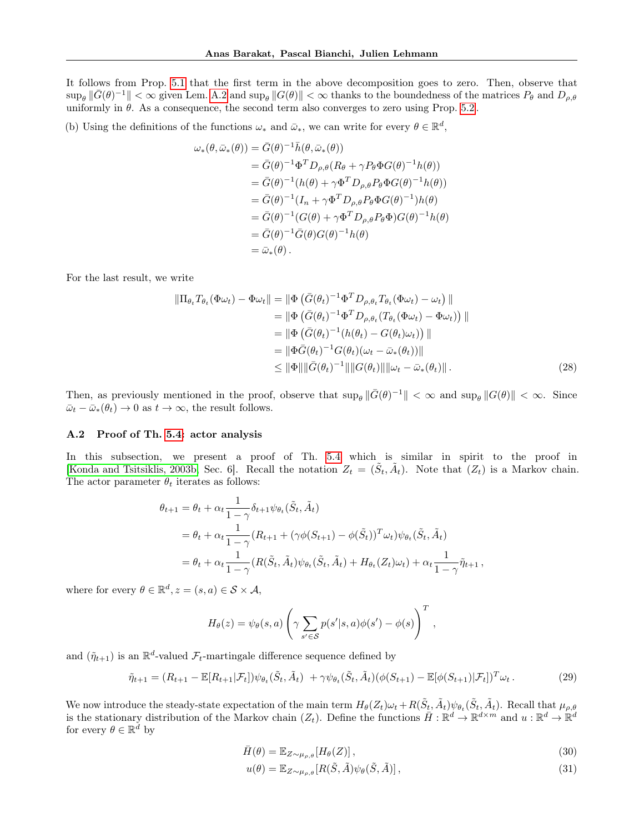It follows from Prop. [5.1](#page-6-5) that the first term in the above decomposition goes to zero. Then, observe that  $\sup_{\theta} \|\bar{G}(\theta)^{-1}\| < \infty$  given Lem. [A.2](#page-14-0) and  $\sup_{\theta} \|G(\theta)\| < \infty$  thanks to the boundedness of the matrices  $P_{\theta}$  and  $D_{\rho,\theta}$ uniformly in  $\theta$ . As a consequence, the second term also converges to zero using Prop. [5.2](#page-6-1).

(b) Using the definitions of the functions  $\omega_*$  and  $\bar{\omega}_*,$  we can write for every  $\theta \in \mathbb{R}^d$ ,

$$
\omega_{*}(\theta,\bar{\omega}_{*}(\theta)) = \bar{G}(\theta)^{-1}\bar{h}(\theta,\bar{\omega}_{*}(\theta))
$$
  
\n
$$
= \bar{G}(\theta)^{-1}\Phi^{T}D_{\rho,\theta}(R_{\theta} + \gamma P_{\theta}\Phi G(\theta)^{-1}h(\theta))
$$
  
\n
$$
= \bar{G}(\theta)^{-1}(h(\theta) + \gamma\Phi^{T}D_{\rho,\theta}P_{\theta}\Phi G(\theta)^{-1}h(\theta))
$$
  
\n
$$
= \bar{G}(\theta)^{-1}(I_{n} + \gamma\Phi^{T}D_{\rho,\theta}P_{\theta}\Phi G(\theta)^{-1})h(\theta)
$$
  
\n
$$
= \bar{G}(\theta)^{-1}(G(\theta) + \gamma\Phi^{T}D_{\rho,\theta}P_{\theta}\Phi)G(\theta)^{-1}h(\theta)
$$
  
\n
$$
= \bar{G}(\theta)^{-1}\bar{G}(\theta)G(\theta)^{-1}h(\theta)
$$
  
\n
$$
= \bar{\omega}_{*}(\theta).
$$

For the last result, we write

$$
\|\Pi_{\theta_t} T_{\theta_t}(\Phi \omega_t) - \Phi \omega_t\| = \|\Phi \left(\bar{G}(\theta_t)^{-1} \Phi^T D_{\rho, \theta_t} T_{\theta_t}(\Phi \omega_t) - \omega_t\right) \| \n= \|\Phi \left(\bar{G}(\theta_t)^{-1} \Phi^T D_{\rho, \theta_t} (T_{\theta_t}(\Phi \omega_t) - \Phi \omega_t)\right) \| \n= \|\Phi \left(\bar{G}(\theta_t)^{-1} (h(\theta_t) - G(\theta_t) \omega_t)\right) \| \n= \|\Phi \bar{G}(\theta_t)^{-1} G(\theta_t) (\omega_t - \bar{\omega}_*(\theta_t)) \| \n\le \|\Phi\| \|\bar{G}(\theta_t)^{-1}\| \|G(\theta_t)\| \| \omega_t - \bar{\omega}_*(\theta_t) \|.
$$
\n(28)

Then, as previously mentioned in the proof, observe that  $\sup_{\theta} \|\bar{G}(\theta)^{-1}\| < \infty$  and  $\sup_{\theta} \|G(\theta)\| < \infty$ . Since  $\bar{\omega}_t - \bar{\omega}_*(\theta_t) \to 0$  as  $t \to \infty$ , the result follows.

#### A.2 Proof of Th. [5.4:](#page-6-0) actor analysis

In this subsection, we present a proof of Th. [5.4](#page-6-0) which is similar in spirit to the proof in [\[Konda and Tsitsiklis, 2003b,](#page-10-0) Sec. 6]. Recall the notation  $Z_t = (\tilde{S}_t, \tilde{A}_t)$ . Note that  $(Z_t)$  is a Markov chain. The actor parameter  $\theta_t$  iterates as follows:

$$
\theta_{t+1} = \theta_t + \alpha_t \frac{1}{1-\gamma} \delta_{t+1} \psi_{\theta_t}(\tilde{S}_t, \tilde{A}_t)
$$
  
=  $\theta_t + \alpha_t \frac{1}{1-\gamma} (R_{t+1} + (\gamma \phi(S_{t+1}) - \phi(\tilde{S}_t))^T \omega_t) \psi_{\theta_t}(\tilde{S}_t, \tilde{A}_t)$   
=  $\theta_t + \alpha_t \frac{1}{1-\gamma} (R(\tilde{S}_t, \tilde{A}_t) \psi_{\theta_t}(\tilde{S}_t, \tilde{A}_t) + H_{\theta_t}(Z_t) \omega_t) + \alpha_t \frac{1}{1-\gamma} \tilde{\eta}_{t+1},$ 

where for every  $\theta \in \mathbb{R}^d$ ,  $z = (s, a) \in \mathcal{S} \times \mathcal{A}$ ,

$$
H_{\theta}(z) = \psi_{\theta}(s, a) \left( \gamma \sum_{s' \in \mathcal{S}} p(s'|s, a) \phi(s') - \phi(s) \right)^{T},
$$

and  $(\tilde{\eta}_{t+1})$  is an  $\mathbb{R}^d$ -valued  $\mathcal{F}_t$ -martingale difference sequence defined by

$$
\tilde{\eta}_{t+1} = (R_{t+1} - \mathbb{E}[R_{t+1}|\mathcal{F}_t])\psi_{\theta_t}(\tilde{S}_t, \tilde{A}_t) + \gamma\psi_{\theta_t}(\tilde{S}_t, \tilde{A}_t)(\phi(S_{t+1}) - \mathbb{E}[\phi(S_{t+1})|\mathcal{F}_t])^T\omega_t.
$$
\n(29)

We now introduce the steady-state expectation of the main term  $H_{\theta}(Z_t)\omega_t + R(\tilde{S}_t, \tilde{A}_t)\psi_{\theta_t}(\tilde{S}_t, \tilde{A}_t)$ . Recall that  $\mu_{\rho,\theta}$ is the stationary distribution of the Markov chain  $(Z_t)$ . Define the functions  $\bar{H}: \mathbb{R}^d \to \mathbb{R}^{d \times m}$  and  $u: \mathbb{R}^d \to \mathbb{R}^d$ for every  $\theta \in \mathbb{R}^d$  by

$$
\bar{H}(\theta) = \mathbb{E}_{Z \sim \mu_{\rho,\theta}}[H_{\theta}(Z)],\tag{30}
$$

<span id="page-18-0"></span>
$$
u(\theta) = \mathbb{E}_{Z \sim \mu_{\rho,\theta}}[R(\tilde{S}, \tilde{A})\psi_{\theta}(\tilde{S}, \tilde{A})],
$$
\n(31)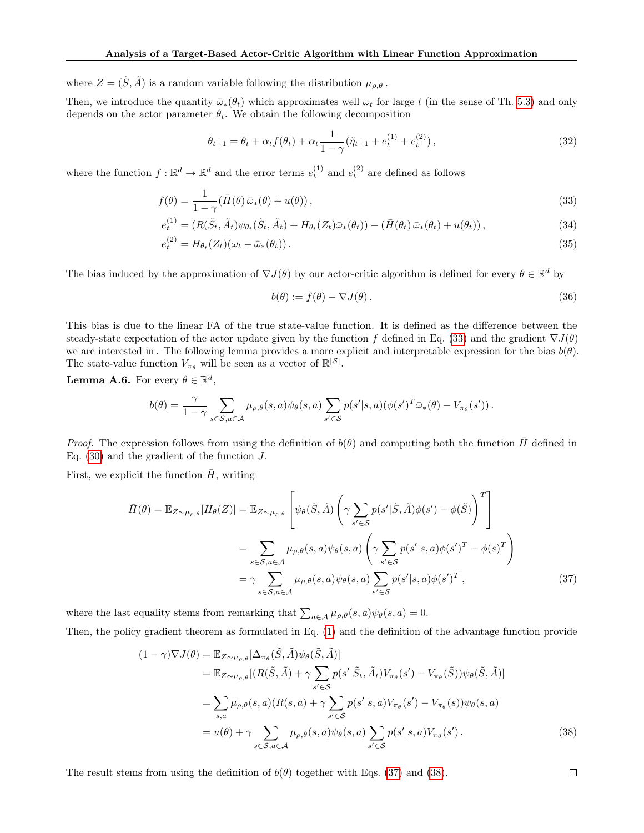where  $Z = (\tilde{S}, \tilde{A})$  is a random variable following the distribution  $\mu_{\rho,\theta}$ .

Then, we introduce the quantity  $\bar{\omega}_*(\theta_t)$  which approximates well  $\omega_t$  for large t (in the sense of Th. [5.3\)](#page-6-2) and only depends on the actor parameter  $\theta_t$ . We obtain the following decomposition

<span id="page-19-3"></span>
$$
\theta_{t+1} = \theta_t + \alpha_t f(\theta_t) + \alpha_t \frac{1}{1 - \gamma} (\tilde{\eta}_{t+1} + e_t^{(1)} + e_t^{(2)}), \qquad (32)
$$

where the function  $f: \mathbb{R}^d \to \mathbb{R}^d$  and the error terms  $e_t^{(1)}$  and  $e_t^{(2)}$  are defined as follows

$$
f(\theta) = \frac{1}{1 - \gamma} (\bar{H}(\theta) \bar{\omega}_*(\theta) + u(\theta)),
$$
\n(33)

$$
e_t^{(1)} = (R(\tilde{S}_t, \tilde{A}_t)\psi_{\theta_t}(\tilde{S}_t, \tilde{A}_t) + H_{\theta_t}(Z_t)\bar{\omega}_*(\theta_t)) - (\bar{H}(\theta_t)\bar{\omega}_*(\theta_t) + u(\theta_t)),
$$
\n(34)

$$
e_t^{(2)} = H_{\theta_t}(Z_t)(\omega_t - \bar{\omega}_*(\theta_t)).
$$
\n(35)

The bias induced by the approximation of  $\nabla J(\theta)$  by our actor-critic algorithm is defined for every  $\theta \in \mathbb{R}^d$  by

<span id="page-19-4"></span><span id="page-19-0"></span>
$$
b(\theta) := f(\theta) - \nabla J(\theta). \tag{36}
$$

This bias is due to the linear FA of the true state-value function. It is defined as the difference between the steady-state expectation of the actor update given by the function f defined in Eq. [\(33\)](#page-19-0) and the gradient  $\nabla J(\theta)$ we are interested in. The following lemma provides a more explicit and interpretable expression for the bias  $b(\theta)$ . The state-value function  $V_{\pi_{\theta}}$  will be seen as a vector of  $\mathbb{R}^{|S|}$ .

**Lemma A.6.** For every  $\theta \in \mathbb{R}^d$ ,

$$
b(\theta) = \frac{\gamma}{1-\gamma} \sum_{s \in \mathcal{S}, a \in \mathcal{A}} \mu_{\rho,\theta}(s,a) \psi_{\theta}(s,a) \sum_{s' \in \mathcal{S}} p(s'|s,a) (\phi(s')^T \bar{\omega}_*(\theta) - V_{\pi_{\theta}}(s')).
$$

*Proof.* The expression follows from using the definition of  $b(\theta)$  and computing both the function  $\tilde{H}$  defined in Eq.  $(30)$  and the gradient of the function J.

First, we explicit the function  $\bar{H}$ , writing

$$
\bar{H}(\theta) = \mathbb{E}_{Z \sim \mu_{\rho,\theta}}[H_{\theta}(Z)] = \mathbb{E}_{Z \sim \mu_{\rho,\theta}}\left[\psi_{\theta}(\tilde{S}, \tilde{A})\left(\gamma \sum_{s' \in \mathcal{S}} p(s'|\tilde{S}, \tilde{A})\phi(s') - \phi(\tilde{S})\right)^{T}\right]
$$
\n
$$
= \sum_{s \in \mathcal{S}, a \in \mathcal{A}} \mu_{\rho,\theta}(s, a)\psi_{\theta}(s, a)\left(\gamma \sum_{s' \in \mathcal{S}} p(s'|\tilde{s}, a)\phi(s')^{T} - \phi(s)^{T}\right)
$$
\n
$$
= \gamma \sum_{s \in \mathcal{S}, a \in \mathcal{A}} \mu_{\rho,\theta}(s, a)\psi_{\theta}(s, a) \sum_{s' \in \mathcal{S}} p(s'|\tilde{s}, a)\phi(s')^{T}, \qquad (37)
$$

where the last equality stems from remarking that  $\sum_{a \in A} \mu_{\rho,\theta}(s, a) \psi_{\theta}(s, a) = 0$ .

Then, the policy gradient theorem as formulated in Eq. [\(1\)](#page-3-2) and the definition of the advantage function provide

$$
(1 - \gamma)\nabla J(\theta) = \mathbb{E}_{Z \sim \mu_{\rho,\theta}}[\Delta_{\pi_{\theta}}(\tilde{S}, \tilde{A})\psi_{\theta}(\tilde{S}, \tilde{A})]
$$
  
\n
$$
= \mathbb{E}_{Z \sim \mu_{\rho,\theta}}[(R(\tilde{S}, \tilde{A}) + \gamma \sum_{s' \in S} p(s'|\tilde{S}_t, \tilde{A}_t)V_{\pi_{\theta}}(s') - V_{\pi_{\theta}}(\tilde{S}))\psi_{\theta}(\tilde{S}, \tilde{A})]
$$
  
\n
$$
= \sum_{s,a} \mu_{\rho,\theta}(s, a)(R(s, a) + \gamma \sum_{s' \in S} p(s'|s, a)V_{\pi_{\theta}}(s') - V_{\pi_{\theta}}(s))\psi_{\theta}(s, a)
$$
  
\n
$$
= u(\theta) + \gamma \sum_{s \in S, a \in \mathcal{A}} \mu_{\rho,\theta}(s, a)\psi_{\theta}(s, a) \sum_{s' \in S} p(s'|s, a)V_{\pi_{\theta}}(s').
$$
\n(38)

The result stems from using the definition of  $b(\theta)$  together with Eqs. [\(37\)](#page-19-1) and [\(38\)](#page-19-2).

<span id="page-19-2"></span><span id="page-19-1"></span> $\Box$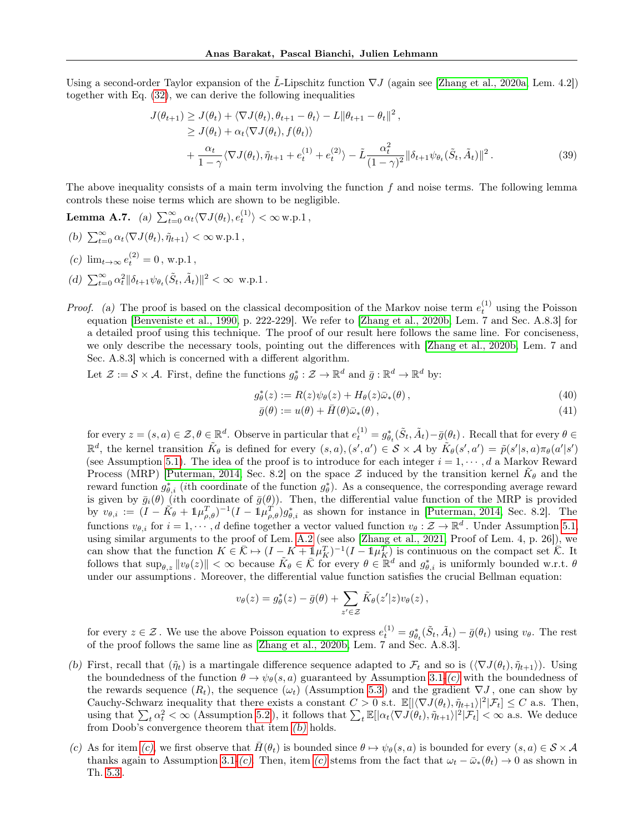Using a second-order Taylor expansion of the L-Lipschitz function  $\nabla J$  (again see [\[Zhang et al., 2020a,](#page-11-9) Lem. 4.2]) together with Eq. [\(32\)](#page-19-3), we can derive the following inequalities

$$
J(\theta_{t+1}) \geq J(\theta_t) + \langle \nabla J(\theta_t), \theta_{t+1} - \theta_t \rangle - L \|\theta_{t+1} - \theta_t\|^2,
$$
  
\n
$$
\geq J(\theta_t) + \alpha_t \langle \nabla J(\theta_t), f(\theta_t) \rangle
$$
  
\n
$$
+ \frac{\alpha_t}{1 - \gamma} \langle \nabla J(\theta_t), \tilde{\eta}_{t+1} + e_t^{(1)} + e_t^{(2)} \rangle - \tilde{L} \frac{\alpha_t^2}{(1 - \gamma)^2} \|\delta_{t+1} \psi_{\theta_t}(\tilde{S}_t, \tilde{A}_t)\|^2.
$$
 (39)

The above inequality consists of a main term involving the function f and noise terms. The following lemma controls these noise terms which are shown to be negligible.

Lemma A.7. (a)  $\sum_{t=0}^{\infty} \alpha_t \langle \nabla J(\theta_t), e_t^{(1)} \rangle < \infty$  w.p.1,

- <span id="page-20-0"></span>(b)  $\sum_{t=0}^{\infty} \alpha_t \langle \nabla J(\theta_t), \tilde{\eta}_{t+1} \rangle < \infty$  w.p.1,
- <span id="page-20-1"></span>(c)  $\lim_{t \to \infty} e_t^{(2)} = 0$ , w.p.1,
- <span id="page-20-2"></span>(d)  $\sum_{t=0}^{\infty} \alpha_t^2 \|\delta_{t+1}\psi_{\theta_t}(\tilde{S}_t, \tilde{A}_t)\|^2 < \infty$  w.p.1.
- *Proof.* (a) The proof is based on the classical decomposition of the Markov noise term  $e_t^{(1)}$  using the Poisson equation [\[Benveniste et al., 1990,](#page-9-6) p. 222-229]. We refer to [\[Zhang et al., 2020b,](#page-11-10) Lem. 7 and Sec. A.8.3] for a detailed proof using this technique. The proof of our result here follows the same line. For conciseness, we only describe the necessary tools, pointing out the differences with [\[Zhang et al., 2020b,](#page-11-10) Lem. 7 and Sec. A.8.3] which is concerned with a different algorithm.

Let  $\mathcal{Z} := \mathcal{S} \times \mathcal{A}$ . First, define the functions  $g_{\theta}^* : \mathcal{Z} \to \mathbb{R}^d$  and  $\bar{g} : \mathbb{R}^d \to \mathbb{R}^d$  by:

<span id="page-20-3"></span>
$$
g_{\theta}^*(z) := R(z)\psi_{\theta}(z) + H_{\theta}(z)\bar{\omega}_*(\theta), \qquad (40)
$$

$$
\bar{g}(\theta) := u(\theta) + \bar{H}(\theta)\bar{\omega}_*(\theta), \qquad (41)
$$

for every  $z = (s, a) \in \mathcal{Z}, \theta \in \mathbb{R}^d$ . Observe in particular that  $e_t^{(1)} = g_{\theta_t}^*(\tilde{S}_t, \tilde{A}_t) - \bar{g}(\theta_t)$ . Recall that for every  $\theta \in$  $\mathbb{R}^d$ , the kernel transition  $\tilde{K}_{\theta}$  is defined for every  $(s, a), (s', a') \in \mathcal{S} \times \mathcal{A}$  by  $\tilde{K}_{\theta}(s', a') = \tilde{p}(s'|s, a)\pi_{\theta}(a'|s')$ (see Assumption [5.1\)](#page-5-1). The idea of the proof is to introduce for each integer  $i = 1, \dots, d$  a Markov Reward Process (MRP) [\[Puterman, 2014,](#page-10-3) Sec. 8.2] on the space  $\mathcal Z$  induced by the transition kernel  $\tilde K_\theta$  and the reward function  $g_{\theta,i}^*$  (ith coordinate of the function  $g_{\theta}^*$ ). As a consequence, the corresponding average reward is given by  $\bar{g}_i(\theta)$  (ith coordinate of  $\bar{g}(\theta)$ ). Then, the differential value function of the MRP is provided by  $v_{\theta,i} := (I - \tilde{K}_{\theta} + 1 \mu_{\rho,\theta}^T)^{-1} (I - 1 \mu_{\rho,\theta}^T) g_{\theta,i}^*$  as shown for instance in [\[Puterman, 2014,](#page-10-3) Sec. 8.2]. The functions  $v_{\theta,i}$  for  $i = 1, \dots, d$  define together a vector valued function  $v_{\theta}: \mathcal{Z} \to \mathbb{R}^d$ . Under Assumption [5.1,](#page-5-1) using similar arguments to the proof of Lem. [A.2](#page-14-0) (see also [\[Zhang et al., 2021,](#page-11-0) Proof of Lem. 4, p. 26]), we can show that the function  $K \in \bar{\mathcal{K}} \mapsto (I - K + 1\mu_K^T)^{-1}(I - 1\mu_K^T)$  is continuous on the compact set  $\bar{\mathcal{K}}$ . It follows that  $\sup_{\theta, z} ||v_{\theta}(z)|| < \infty$  because  $\tilde{K}_{\theta} \in \overline{\mathcal{K}}$  for every  $\theta \in \mathbb{R}^d$  and  $g_{\theta, i}^*$  is uniformly bounded w.r.t.  $\theta$ under our assumptions . Moreover, the differential value function satisfies the crucial Bellman equation:

$$
v_{\theta}(z) = g_{\theta}^*(z) - \bar{g}(\theta) + \sum_{z' \in \mathcal{Z}} \tilde{K}_{\theta}(z'|z) v_{\theta}(z),
$$

for every  $z \in \mathcal{Z}$ . We use the above Poisson equation to express  $e_t^{(1)} = g_{\theta_t}^*(\tilde{S}_t, \tilde{A}_t) - \bar{g}(\theta_t)$  using  $v_{\theta}$ . The rest of the proof follows the same line as [\[Zhang et al., 2020b,](#page-11-10) Lem. 7 and Sec. A.8.3].

- (b) First, recall that  $(\tilde{\eta}_t)$  is a martingale difference sequence adapted to  $\mathcal{F}_t$  and so is  $(\nabla J(\theta_t), \tilde{\eta}_{t+1})$ . Using the boundedness of the function  $\theta \to \psi_{\theta}(s, a)$  guaranteed by Assumption [3.1-](#page-3-1)[\(c\)](#page-3-5) with the boundedness of the rewards sequence  $(R_t)$ , the sequence  $(\omega_t)$  (Assumption [5.3](#page-5-4)) and the gradient  $\nabla J$ , one can show by Cauchy-Schwarz inequality that there exists a constant  $C > 0$  s.t.  $\mathbb{E}[|\langle \nabla J(\theta_t), \tilde{\eta}_{t+1}\rangle|^2 | \mathcal{F}_t] \leq C$  a.s. Then, using that  $\sum_{t} \alpha_t^2 < \infty$  (Assumption [5.2](#page-5-2)), it follows that  $\sum_{t} \mathbb{E}[\alpha_t \langle \nabla J(\theta_t), \tilde{\eta}_{t+1} \rangle|^2 | \mathcal{F}_t] < \infty$  a.s. We deduce from Doob's convergence theorem that item [\(b\)](#page-20-0) holds.
- [\(c\)](#page-20-1) As for item (c), we first observe that  $H(\theta_t)$  is bounded since  $\theta \mapsto \psi_\theta(s, a)$  is bounded for every  $(s, a) \in \mathcal{S} \times \mathcal{A}$ thanks again to Assumption [3.1-](#page-3-1)[\(c\)](#page-20-1). Then, item (c) stems from the fact that  $\omega_t - \bar{\omega}_*(\theta_t) \to 0$  as shown in Th. [5.3](#page-6-2) .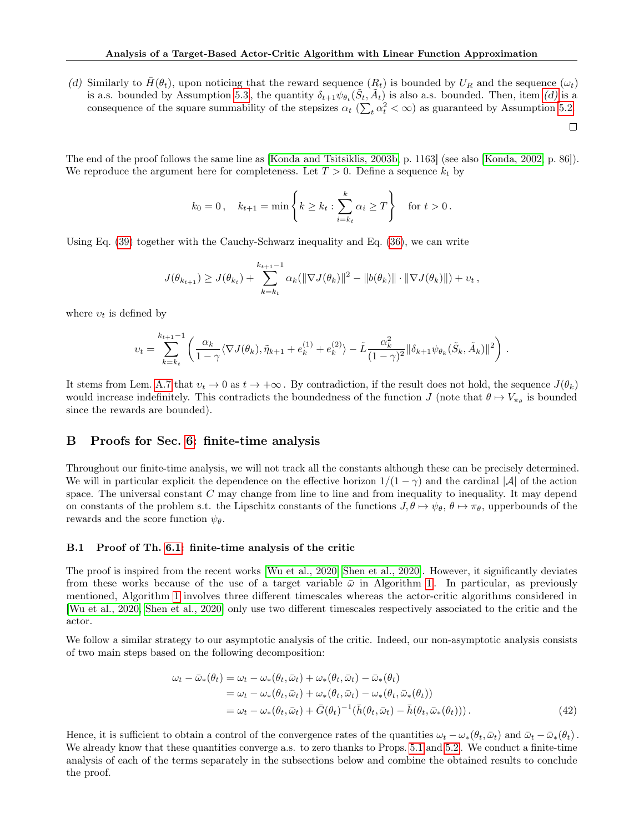(d) Similarly to  $\bar{H}(\theta_t)$ , upon noticing that the reward sequence  $(R_t)$  is bounded by  $U_R$  and the sequence  $(\omega_t)$ is a.s. bounded by Assumption [5.3](#page-5-4), the quantity  $\delta_{t+1}\psi_{\theta_t}(\tilde{S}_t, \tilde{A}_t)$  is also a.s. bounded. Then, item [\(d\)](#page-20-2) is a consequence of the square summability of the stepsizes  $\alpha_t$  ( $\sum_t \alpha_t^2 < \infty$ ) as guaranteed by Assumption [5.2.](#page-5-2)

 $\Box$ 

The end of the proof follows the same line as [\[Konda and Tsitsiklis, 2003b,](#page-10-0) p. 1163] (see also [\[Konda, 2002,](#page-9-8) p. 86]). We reproduce the argument here for completeness. Let  $T > 0$ . Define a sequence  $k_t$  by

$$
k_0 = 0
$$
,  $k_{t+1} = \min \left\{ k \ge k_t : \sum_{i=k_t}^k \alpha_i \ge T \right\}$  for  $t > 0$ .

Using Eq. [\(39\)](#page-20-3) together with the Cauchy-Schwarz inequality and Eq. [\(36\)](#page-19-4), we can write

$$
J(\theta_{k_{t+1}}) \geq J(\theta_{k_t}) + \sum_{k=k_t}^{k_{t+1}-1} \alpha_k(\|\nabla J(\theta_k)\|^2 - \|b(\theta_k)\| \cdot \|\nabla J(\theta_k)\|) + \nu_t,
$$

where  $v_t$  is defined by

$$
v_t = \sum_{k=k_t}^{k_{t+1}-1} \left( \frac{\alpha_k}{1-\gamma} \langle \nabla J(\theta_k), \tilde{\eta}_{k+1} + e_k^{(1)} + e_k^{(2)} \rangle - \tilde{L} \frac{\alpha_k^2}{(1-\gamma)^2} \|\delta_{k+1} \psi_{\theta_k}(\tilde{S}_k, \tilde{A}_k)\|^2 \right).
$$

It stems from Lem. [A.7](#page-0-0) that  $v_t \to 0$  as  $t \to +\infty$ . By contradiction, if the result does not hold, the sequence  $J(\theta_k)$ would increase indefinitely. This contradicts the boundedness of the function  $J$  (note that  $\theta \mapsto V_{\pi_{\theta}}$  is bounded since the rewards are bounded).

#### B Proofs for Sec. [6:](#page-7-5) finite-time analysis

Throughout our finite-time analysis, we will not track all the constants although these can be precisely determined. We will in particular explicit the dependence on the effective horizon  $1/(1 - \gamma)$  and the cardinal |A| of the action space. The universal constant C may change from line to line and from inequality to inequality. It may depend on constants of the problem s.t. the Lipschitz constants of the functions  $J, \theta \mapsto \psi_{\theta}, \theta \mapsto \pi_{\theta}$ , upperbounds of the rewards and the score function  $\psi_{\theta}$ .

#### <span id="page-21-0"></span>B.1 Proof of Th. [6.1:](#page-7-1) finite-time analysis of the critic

The proof is inspired from the recent works [\[Wu et al., 2020,](#page-11-7) [Shen et al., 2020\]](#page-10-12). However, it significantly deviates from these works because of the use of a target variable  $\bar{\omega}$  in Algorithm [1](#page-5-0). In particular, as previously mentioned, Algorithm [1](#page-5-0) involves three different timescales whereas the actor-critic algorithms considered in [\[Wu et al., 2020,](#page-11-7) [Shen et al., 2020\]](#page-10-12) only use two different timescales respectively associated to the critic and the actor.

We follow a similar strategy to our asymptotic analysis of the critic. Indeed, our non-asymptotic analysis consists of two main steps based on the following decomposition:

$$
\omega_t - \bar{\omega}_*(\theta_t) = \omega_t - \omega_*(\theta_t, \bar{\omega}_t) + \omega_*(\theta_t, \bar{\omega}_t) - \bar{\omega}_*(\theta_t)
$$
  
\n
$$
= \omega_t - \omega_*(\theta_t, \bar{\omega}_t) + \omega_*(\theta_t, \bar{\omega}_t) - \omega_*(\theta_t, \bar{\omega}_*(\theta_t))
$$
  
\n
$$
= \omega_t - \omega_*(\theta_t, \bar{\omega}_t) + \bar{G}(\theta_t)^{-1}(\bar{h}(\theta_t, \bar{\omega}_t) - \bar{h}(\theta_t, \bar{\omega}_*(\theta_t))).
$$
\n(42)

Hence, it is sufficient to obtain a control of the convergence rates of the quantities  $\omega_t - \omega_*(\theta_t, \bar{\omega}_t)$  and  $\bar{\omega}_t - \bar{\omega}_*(\theta_t)$ . We already know that these quantities converge a.s. to zero thanks to Props. [5.1](#page-6-5) and [5.2](#page-6-1). We conduct a finite-time analysis of each of the terms separately in the subsections below and combine the obtained results to conclude the proof.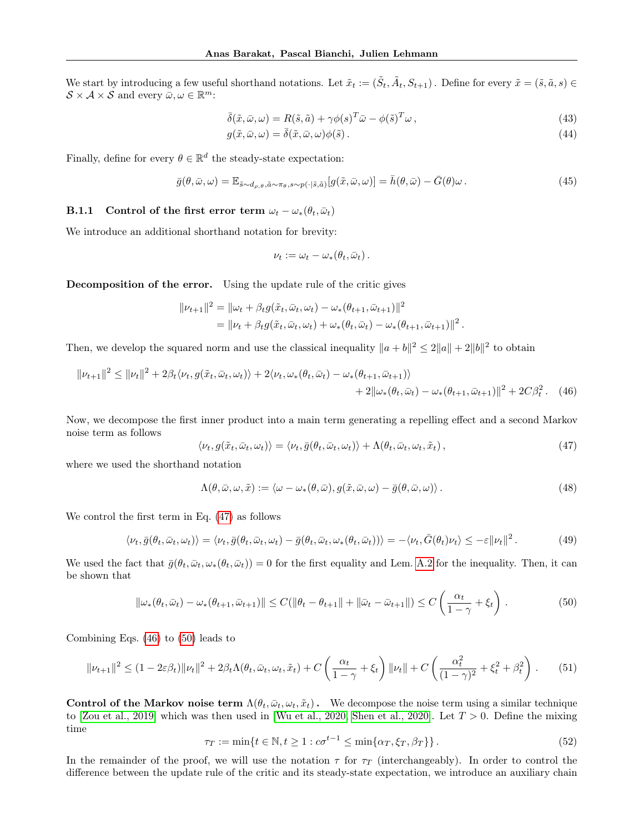We start by introducing a few useful shorthand notations. Let  $\tilde{x}_t := (\tilde{S}_t, \tilde{A}_t, S_{t+1})$ . Define for every  $\tilde{x} = (\tilde{s}, \tilde{a}, s) \in$  $\mathcal{S} \times \mathcal{A} \times \mathcal{S}$  and every  $\bar{\omega}, \omega \in \mathbb{R}^m$ :

$$
\bar{\delta}(\tilde{x}, \bar{\omega}, \omega) = R(\tilde{s}, \tilde{a}) + \gamma \phi(s)^T \bar{\omega} - \phi(\tilde{s})^T \omega,
$$
\n(43)

$$
g(\tilde{x}, \bar{\omega}, \omega) = \bar{\delta}(\tilde{x}, \bar{\omega}, \omega) \phi(\tilde{s}). \tag{44}
$$

Finally, define for every  $\theta \in \mathbb{R}^d$  the steady-state expectation:

$$
\bar{g}(\theta,\bar{\omega},\omega) = \mathbb{E}_{\bar{s}\sim d_{\rho,\theta},\tilde{a}\sim\pi_{\theta},s\sim p(\cdot|\tilde{s},\tilde{a})}[g(\tilde{x},\bar{\omega},\omega)] = \bar{h}(\theta,\bar{\omega}) - \bar{G}(\theta)\omega.
$$
\n(45)

# <span id="page-22-5"></span>**B.1.1** Control of the first error term  $\omega_t - \omega_*(\theta_t, \bar{\omega}_t)$

We introduce an additional shorthand notation for brevity:

<span id="page-22-1"></span>
$$
\nu_t := \omega_t - \omega_* (\theta_t, \bar{\omega}_t).
$$

Decomposition of the error. Using the update rule of the critic gives

$$
\begin{aligned} ||\nu_{t+1}||^2 &= ||\omega_t + \beta_t g(\tilde{x}_t, \bar{\omega}_t, \omega_t) - \omega_*(\theta_{t+1}, \bar{\omega}_{t+1})||^2 \\ &= ||\nu_t + \beta_t g(\tilde{x}_t, \bar{\omega}_t, \omega_t) + \omega_*(\theta_t, \bar{\omega}_t) - \omega_*(\theta_{t+1}, \bar{\omega}_{t+1})||^2. \end{aligned}
$$

Then, we develop the squared norm and use the classical inequality  $\|a + b\|^2 \le 2\|a\| + 2\|b\|^2$  to obtain

$$
\|\nu_{t+1}\|^2 \le \|\nu_t\|^2 + 2\beta_t \langle \nu_t, g(\tilde{x}_t, \bar{\omega}_t, \omega_t) \rangle + 2 \langle \nu_t, \omega_*(\theta_t, \bar{\omega}_t) - \omega_*(\theta_{t+1}, \bar{\omega}_{t+1}) \rangle + 2\|\omega_*(\theta_t, \bar{\omega}_t) - \omega_*(\theta_{t+1}, \bar{\omega}_{t+1})\|^2 + 2C\beta_t^2. \tag{46}
$$

Now, we decompose the first inner product into a main term generating a repelling effect and a second Markov noise term as follows

<span id="page-22-0"></span>
$$
\langle \nu_t, g(\tilde{x}_t, \bar{\omega}_t, \omega_t) \rangle = \langle \nu_t, \bar{g}(\theta_t, \bar{\omega}_t, \omega_t) \rangle + \Lambda(\theta_t, \bar{\omega}_t, \omega_t, \tilde{x}_t), \qquad (47)
$$

where we used the shorthand notation

$$
\Lambda(\theta,\bar{\omega},\omega,\tilde{x}) := \langle \omega - \omega_*(\theta,\bar{\omega}), g(\tilde{x},\bar{\omega},\omega) - \bar{g}(\theta,\bar{\omega},\omega) \rangle. \tag{48}
$$

We control the first term in Eq. [\(47\)](#page-22-0) as follows

$$
\langle \nu_t, \bar{g}(\theta_t, \bar{\omega}_t, \omega_t) \rangle = \langle \nu_t, \bar{g}(\theta_t, \bar{\omega}_t, \omega_t) - \bar{g}(\theta_t, \bar{\omega}_t, \omega_*(\theta_t, \bar{\omega}_t)) \rangle = -\langle \nu_t, \bar{G}(\theta_t) \nu_t \rangle \le -\varepsilon ||\nu_t||^2.
$$
 (49)

We used the fact that  $\bar{g}(\theta_t, \bar{\omega}_t, \omega_*(\theta_t, \bar{\omega}_t)) = 0$  for the first equality and Lem. [A.2](#page-14-0) for the inequality. Then, it can be shown that

<span id="page-22-2"></span>
$$
\|\omega_*(\theta_t, \bar{\omega}_t) - \omega_*(\theta_{t+1}, \bar{\omega}_{t+1})\| \le C(\|\theta_t - \theta_{t+1}\| + \|\bar{\omega}_t - \bar{\omega}_{t+1}\|) \le C\left(\frac{\alpha_t}{1-\gamma} + \xi_t\right). \tag{50}
$$

Combining Eqs. [\(46\)](#page-22-1) to [\(50\)](#page-22-2) leads to

<span id="page-22-4"></span>
$$
\|\nu_{t+1}\|^2 \le (1 - 2\varepsilon\beta_t) \|\nu_t\|^2 + 2\beta_t \Lambda(\theta_t, \bar{\omega}_t, \omega_t, \tilde{x}_t) + C \left(\frac{\alpha_t}{1 - \gamma} + \xi_t\right) \|\nu_t\| + C \left(\frac{\alpha_t^2}{(1 - \gamma)^2} + \xi_t^2 + \beta_t^2\right). \tag{51}
$$

Control of the Markov noise term  $\Lambda(\theta_t, \bar{\omega}_t, \omega_t, \tilde{x}_t)$ . We decompose the noise term using a similar technique to [\[Zou et al., 2019\]](#page-11-11) which was then used in [\[Wu et al., 2020,](#page-11-7) [Shen et al., 2020\]](#page-10-12). Let  $T > 0$ . Define the mixing time

<span id="page-22-3"></span>
$$
\tau_T := \min\{t \in \mathbb{N}, t \ge 1 : c\sigma^{t-1} \le \min\{\alpha_T, \xi_T, \beta_T\}\}.
$$
\n(52)

In the remainder of the proof, we will use the notation  $\tau$  for  $\tau_T$  (interchangeably). In order to control the difference between the update rule of the critic and its steady-state expectation, we introduce an auxiliary chain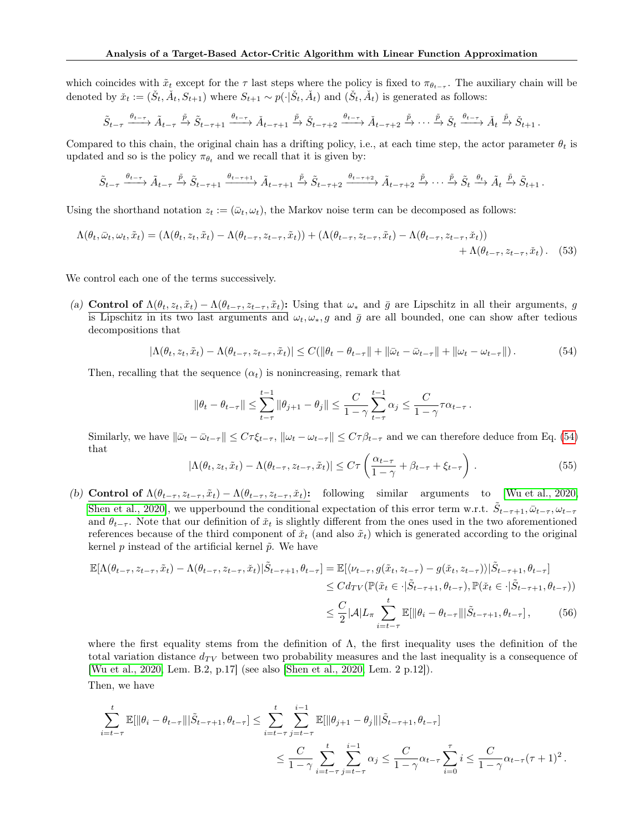which coincides with  $\tilde{x}_t$  except for the  $\tau$  last steps where the policy is fixed to  $\pi_{\theta_{t-\tau}}$ . The auxiliary chain will be denoted by  $\check{x}_t := (\check{S}_t, \check{A}_t, S_{t+1})$  where  $S_{t+1} \sim p(\cdot | \check{S}_t, \check{A}_t)$  and  $(\check{S}_t, \check{A}_t)$  is generated as follows:

$$
\tilde{S}_{t-\tau} \xrightarrow{\theta_{t-\tau}} \tilde{A}_{t-\tau} \xrightarrow{\tilde{p}} \tilde{S}_{t-\tau+1} \xrightarrow{\theta_{t-\tau}} \tilde{A}_{t-\tau+1} \xrightarrow{\tilde{p}} \tilde{S}_{t-\tau+2} \xrightarrow{\theta_{t-\tau}} \tilde{A}_{t-\tau+2} \xrightarrow{\tilde{p}} \cdots \xrightarrow{\tilde{p}} \tilde{S}_{t} \xrightarrow{\theta_{t-\tau}} \tilde{A}_{t} \xrightarrow{\tilde{p}} \tilde{S}_{t+1}.
$$

Compared to this chain, the original chain has a drifting policy, i.e., at each time step, the actor parameter  $\theta_t$  is updated and so is the policy  $\pi_{\theta_t}$  and we recall that it is given by:

$$
\tilde{S}_{t-\tau} \xrightarrow{\theta_{t-\tau}} \tilde{A}_{t-\tau} \xrightarrow{\tilde{p}} \tilde{S}_{t-\tau+1} \xrightarrow{\theta_{t-\tau+1}} \tilde{A}_{t-\tau+1} \xrightarrow{\tilde{p}} \tilde{S}_{t-\tau+2} \xrightarrow{\theta_{t-\tau+2}} \tilde{A}_{t-\tau+2} \xrightarrow{\tilde{p}} \cdots \xrightarrow{\tilde{p}} \tilde{S}_{t} \xrightarrow{\theta_{t}} \tilde{A}_{t} \xrightarrow{\tilde{p}} \tilde{S}_{t+1}.
$$

Using the shorthand notation  $z_t := (\bar{\omega}_t, \omega_t)$ , the Markov noise term can be decomposed as follows:

$$
\Lambda(\theta_t, \bar{\omega}_t, \omega_t, \tilde{x}_t) = (\Lambda(\theta_t, z_t, \tilde{x}_t) - \Lambda(\theta_{t-\tau}, z_{t-\tau}, \tilde{x}_t)) + (\Lambda(\theta_{t-\tau}, z_{t-\tau}, \tilde{x}_t) - \Lambda(\theta_{t-\tau}, z_{t-\tau}, \tilde{x}_t)) + \Lambda(\theta_{t-\tau}, z_{t-\tau}, \tilde{x}_t). \tag{53}
$$

We control each one of the terms successively.

(a) Control of  $\Lambda(\theta_t, z_t, \tilde{x}_t) - \Lambda(\theta_{t-\tau}, z_{t-\tau}, \tilde{x}_t)$ : Using that  $\omega_*$  and  $\bar{g}$  are Lipschitz in all their arguments, g is Lipschitz in its two last arguments and  $\omega_t, \omega_s, g$  and  $\bar{g}$  are all bounded, one can show after tedious decompositions that

<span id="page-23-0"></span>
$$
|\Lambda(\theta_t, z_t, \tilde{x}_t) - \Lambda(\theta_{t-\tau}, z_{t-\tau}, \tilde{x}_t)| \le C(\|\theta_t - \theta_{t-\tau}\| + \|\bar{\omega}_t - \bar{\omega}_{t-\tau}\| + \|\omega_t - \omega_{t-\tau}\|). \tag{54}
$$

Then, recalling that the sequence  $(\alpha_t)$  is nonincreasing, remark that

<span id="page-23-2"></span>
$$
\|\theta_t - \theta_{t-\tau}\| \le \sum_{t-\tau}^{t-1} \|\theta_{j+1} - \theta_j\| \le \frac{C}{1-\gamma} \sum_{t-\tau}^{t-1} \alpha_j \le \frac{C}{1-\gamma} \tau \alpha_{t-\tau}.
$$

Similarly, we have  $\|\bar{\omega}_t - \bar{\omega}_{t-\tau}\| \leq C\tau \xi_{t-\tau}$ ,  $\|\omega_t - \omega_{t-\tau}\| \leq C\tau \beta_{t-\tau}$  and we can therefore deduce from Eq. [\(54\)](#page-23-0) that

<span id="page-23-3"></span><span id="page-23-1"></span>
$$
|\Lambda(\theta_t, z_t, \tilde{x}_t) - \Lambda(\theta_{t-\tau}, z_{t-\tau}, \tilde{x}_t)| \le C\tau \left(\frac{\alpha_{t-\tau}}{1-\gamma} + \beta_{t-\tau} + \xi_{t-\tau}\right). \tag{55}
$$

(b) Control of  $\Lambda(\theta_{t-\tau}, z_{t-\tau}, \tilde{x}_t) - \Lambda(\theta_{t-\tau}, z_{t-\tau}, \tilde{x}_t)$ : following similar arguments to [\[Wu et al., 2020,](#page-11-7) [Shen et al., 2020\]](#page-10-12), we upperbound the conditional expectation of this error term w.r.t.  $\tilde{S}_{t-\tau+1}, \bar{\omega}_{t-\tau}, \omega_{t-\tau}$ and  $\theta_{t-\tau}$ . Note that our definition of  $\tilde{x}_t$  is slightly different from the ones used in the two aforementioned references because of the third component of  $\tilde{x}_t$  (and also  $\tilde{x}_t$ ) which is generated according to the original kernel p instead of the artificial kernel  $\tilde{p}$ . We have

$$
\mathbb{E}[\Lambda(\theta_{t-\tau}, z_{t-\tau}, \tilde{x}_t) - \Lambda(\theta_{t-\tau}, z_{t-\tau}, \check{x}_t)|\tilde{S}_{t-\tau+1}, \theta_{t-\tau}] = \mathbb{E}[\langle\nu_{t-\tau}, g(\tilde{x}_t, z_{t-\tau}) - g(\check{x}_t, z_{t-\tau})\rangle|\tilde{S}_{t-\tau+1}, \theta_{t-\tau}]
$$
  
\n
$$
\leq C d_{TV}(\mathbb{P}(\tilde{x}_t \in \cdot |\tilde{S}_{t-\tau+1}, \theta_{t-\tau}), \mathbb{P}(\check{x}_t \in \cdot |\tilde{S}_{t-\tau+1}, \theta_{t-\tau}))
$$
  
\n
$$
\leq \frac{C}{2}|\mathcal{A}|L_{\pi} \sum_{i=t-\tau}^{t} \mathbb{E}[\|\theta_i - \theta_{t-\tau}\||\tilde{S}_{t-\tau+1}, \theta_{t-\tau}], \qquad (56)
$$

where the first equality stems from the definition of  $\Lambda$ , the first inequality uses the definition of the total variation distance  $d_{TV}$  between two probability measures and the last inequality is a consequence of [\[Wu et al., 2020,](#page-11-7) Lem. B.2, p.17] (see also [\[Shen et al., 2020,](#page-10-12) Lem. 2 p.12]).

Then, we have

$$
\begin{split} \sum_{i=t-\tau}^{t}\mathbb{E}[\|\theta_i-\theta_{t-\tau}\||\tilde{S}_{t-\tau+1},\theta_{t-\tau}] &\leq \sum_{i=t-\tau}^{t}\sum_{j=t-\tau}^{i-1}\mathbb{E}[\|\theta_{j+1}-\theta_{j}\||\tilde{S}_{t-\tau+1},\theta_{t-\tau}]\\ &\leq \frac{C}{1-\gamma}\sum_{i=t-\tau}^{t}\sum_{j=t-\tau}^{i-1}\alpha_{j} \leq \frac{C}{1-\gamma}\alpha_{t-\tau}\sum_{i=0}^{\tau}i\leq \frac{C}{1-\gamma}\alpha_{t-\tau}(\tau+1)^{2}\,. \end{split}
$$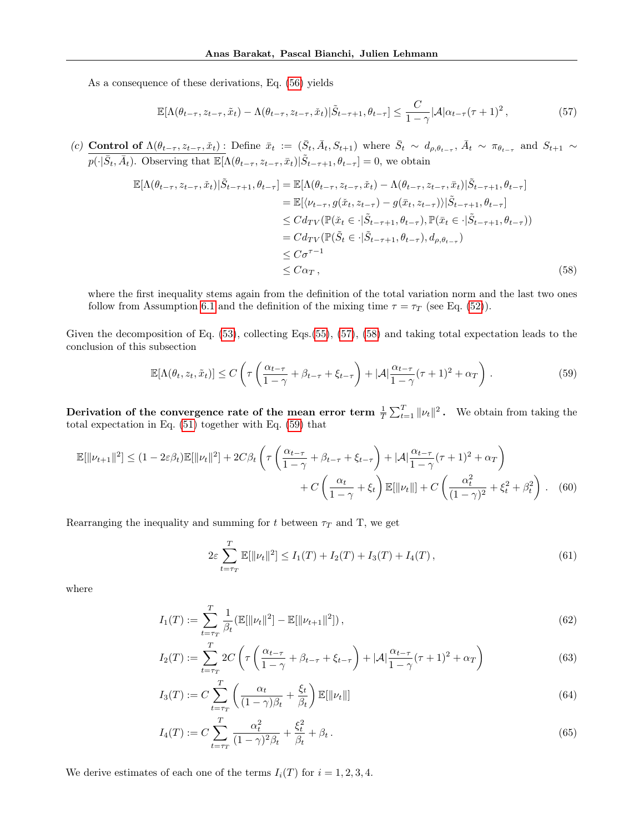As a consequence of these derivations, Eq. [\(56\)](#page-23-1) yields

<span id="page-24-0"></span>
$$
\mathbb{E}[\Lambda(\theta_{t-\tau}, z_{t-\tau}, \tilde{x}_t) - \Lambda(\theta_{t-\tau}, z_{t-\tau}, \check{x}_t)|\tilde{S}_{t-\tau+1}, \theta_{t-\tau}] \leq \frac{C}{1-\gamma} |\mathcal{A}|\alpha_{t-\tau}(\tau+1)^2, \tag{57}
$$

(c) Control of  $\Lambda(\theta_{t-\tau}, z_{t-\tau}, \tilde{x}_t)$ : Define  $\bar{x}_t := (\bar{S}_t, \bar{A}_t, S_{t+1})$  where  $\bar{S}_t \sim d_{\rho, \theta_{t-\tau}}, \bar{A}_t \sim \pi_{\theta_{t-\tau}}$  and  $S_{t+1} \sim$  $p(\cdot|\bar{S}_t, \bar{A}_t)$ . Observing that  $\mathbb{E}[\Lambda(\theta_{t-\tau}, z_{t-\tau}, \bar{x}_t)|\tilde{S}_{t-\tau+1}, \theta_{t-\tau}] = 0$ , we obtain

$$
\mathbb{E}[\Lambda(\theta_{t-\tau}, z_{t-\tau}, \check{x}_t)|\tilde{S}_{t-\tau+1}, \theta_{t-\tau}] = \mathbb{E}[\Lambda(\theta_{t-\tau}, z_{t-\tau}, \check{x}_t) - \Lambda(\theta_{t-\tau}, z_{t-\tau}, \bar{x}_t)|\tilde{S}_{t-\tau+1}, \theta_{t-\tau}]
$$
  
\n
$$
= \mathbb{E}[\langle\nu_{t-\tau}, g(\check{x}_t, z_{t-\tau}) - g(\bar{x}_t, z_{t-\tau})\rangle|\tilde{S}_{t-\tau+1}, \theta_{t-\tau}]
$$
  
\n
$$
\leq C d_{TV}(\mathbb{P}(\check{x}_t \in \cdot|\tilde{S}_{t-\tau+1}, \theta_{t-\tau}), \mathbb{P}(\bar{x}_t \in \cdot|\tilde{S}_{t-\tau+1}, \theta_{t-\tau}))
$$
  
\n
$$
= C d_{TV}(\mathbb{P}(\tilde{S}_t \in \cdot|\tilde{S}_{t-\tau+1}, \theta_{t-\tau}), d_{\rho, \theta_{t-\tau}})
$$
  
\n
$$
\leq C \sigma^{\tau-1}
$$
  
\n
$$
\leq C \alpha_T,
$$
\n(58)

where the first inequality stems again from the definition of the total variation norm and the last two ones follow from Assumption [6.1](#page-7-2) and the definition of the mixing time  $\tau = \tau_T$  (see Eq. [\(52\)](#page-22-3)).

Given the decomposition of Eq. [\(53\)](#page-23-2), collecting Eqs.[\(55\)](#page-23-3), [\(57\)](#page-24-0), [\(58\)](#page-24-1) and taking total expectation leads to the conclusion of this subsection

<span id="page-24-2"></span><span id="page-24-1"></span>
$$
\mathbb{E}[\Lambda(\theta_t, z_t, \tilde{x}_t)] \le C \left( \tau \left( \frac{\alpha_{t-\tau}}{1-\gamma} + \beta_{t-\tau} + \xi_{t-\tau} \right) + |\mathcal{A}| \frac{\alpha_{t-\tau}}{1-\gamma} (\tau+1)^2 + \alpha_T \right). \tag{59}
$$

Derivation of the convergence rate of the mean error term  $\frac{1}{T} \sum_{t=1}^{T} ||\nu_t||^2$ . We obtain from taking the total expectation in Eq. [\(51\)](#page-22-4) together with Eq. [\(59\)](#page-24-2) that

$$
\mathbb{E}[\|\nu_{t+1}\|^2] \le (1 - 2\varepsilon\beta_t)\mathbb{E}[\|\nu_t\|^2] + 2C\beta_t \left(\tau \left(\frac{\alpha_{t-\tau}}{1-\gamma} + \beta_{t-\tau} + \xi_{t-\tau}\right) + |\mathcal{A}| \frac{\alpha_{t-\tau}}{1-\gamma}(\tau+1)^2 + \alpha_T\right) + C\left(\frac{\alpha_t}{1-\gamma} + \xi_t\right)\mathbb{E}[\|\nu_t\|] + C\left(\frac{\alpha_t^2}{(1-\gamma)^2} + \xi_t^2 + \beta_t^2\right). \tag{60}
$$

Rearranging the inequality and summing for t between  $\tau_T$  and T, we get

<span id="page-24-3"></span>
$$
2\varepsilon \sum_{t=\tau_T}^T \mathbb{E}[\|\nu_t\|^2] \le I_1(T) + I_2(T) + I_3(T) + I_4(T), \tag{61}
$$

where

$$
I_1(T) := \sum_{t=\tau_T}^T \frac{1}{\beta_t} (\mathbb{E}[\|\nu_t\|^2] - \mathbb{E}[\|\nu_{t+1}\|^2]),
$$
\n(62)

$$
I_2(T) := \sum_{t=\tau_T}^{T} 2C \left( \tau \left( \frac{\alpha_{t-\tau}}{1-\gamma} + \beta_{t-\tau} + \xi_{t-\tau} \right) + |\mathcal{A}| \frac{\alpha_{t-\tau}}{1-\gamma} (\tau+1)^2 + \alpha_T \right) \tag{63}
$$

$$
I_3(T) := C \sum_{t=\tau_T}^T \left( \frac{\alpha_t}{(1-\gamma)\beta_t} + \frac{\xi_t}{\beta_t} \right) \mathbb{E}[\|\nu_t\|] \tag{64}
$$

$$
I_4(T) := C \sum_{t=\tau_T}^T \frac{\alpha_t^2}{(1-\gamma)^2 \beta_t} + \frac{\xi_t^2}{\beta_t} + \beta_t.
$$
\n(65)

We derive estimates of each one of the terms  $I_i(T)$  for  $i = 1, 2, 3, 4$ .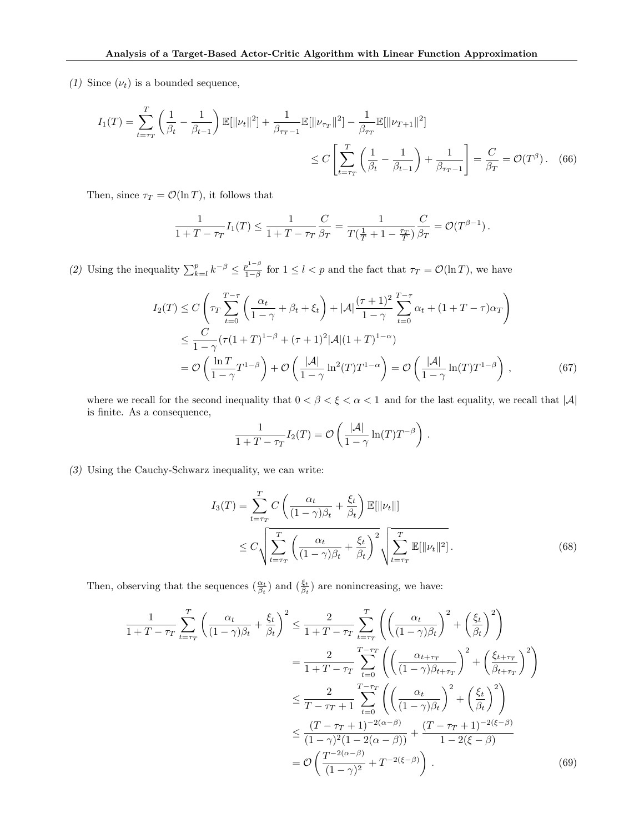(1) Since  $(\nu_t)$  is a bounded sequence,

$$
I_1(T) = \sum_{t=\tau_T}^T \left(\frac{1}{\beta_t} - \frac{1}{\beta_{t-1}}\right) \mathbb{E}[\|\nu_t\|^2] + \frac{1}{\beta_{\tau_T - 1}} \mathbb{E}[\|\nu_{\tau_T}\|^2] - \frac{1}{\beta_{\tau_T}} \mathbb{E}[\|\nu_{T+1}\|^2]
$$
  

$$
\leq C \left[\sum_{t=\tau_T}^T \left(\frac{1}{\beta_t} - \frac{1}{\beta_{t-1}}\right) + \frac{1}{\beta_{\tau_T - 1}}\right] = \frac{C}{\beta_T} = \mathcal{O}(T^{\beta}).
$$
 (66)

Then, since  $\tau_T = \mathcal{O}(\ln T)$ , it follows that

$$
\frac{1}{1+T-\tau_T}I_1(T) \le \frac{1}{1+T-\tau_T} \frac{C}{\beta_T} = \frac{1}{T(\frac{1}{T}+1-\frac{\tau_T}{T})} \frac{C}{\beta_T} = \mathcal{O}(T^{\beta-1}).
$$

(2) Using the inequality  $\sum_{k=l}^{p} k^{-\beta} \leq \frac{p^{1-\beta}}{1-\beta}$  $\frac{p^2 - p}{1 - \beta}$  for  $1 \leq l < p$  and the fact that  $\tau_T = \mathcal{O}(\ln T)$ , we have

$$
I_2(T) \le C \left( \tau_T \sum_{t=0}^{T-\tau} \left( \frac{\alpha_t}{1-\gamma} + \beta_t + \xi_t \right) + |\mathcal{A}| \frac{(\tau+1)^2}{1-\gamma} \sum_{t=0}^{T-\tau} \alpha_t + (1+T-\tau)\alpha_T \right) \n\le \frac{C}{1-\gamma} (\tau (1+T)^{1-\beta} + (\tau+1)^2 |\mathcal{A}| (1+T)^{1-\alpha}) \n= \mathcal{O}\left( \frac{\ln T}{1-\gamma} T^{1-\beta} \right) + \mathcal{O}\left( \frac{|\mathcal{A}|}{1-\gamma} \ln^2(T) T^{1-\alpha} \right) = \mathcal{O}\left( \frac{|\mathcal{A}|}{1-\gamma} \ln(T) T^{1-\beta} \right),
$$
\n(67)

where we recall for the second inequality that  $0 < \beta < \xi < \alpha < 1$  and for the last equality, we recall that  $|\mathcal{A}|$ is finite. As a consequence,

$$
\frac{1}{1+T-\tau_T}I_2(T) = \mathcal{O}\left(\frac{|\mathcal{A}|}{1-\gamma}\ln(T)T^{-\beta}\right).
$$

(3) Using the Cauchy-Schwarz inequality, we can write:

$$
I_3(T) = \sum_{t=\tau_T}^T C \left( \frac{\alpha_t}{(1-\gamma)\beta_t} + \frac{\xi_t}{\beta_t} \right) \mathbb{E}[\|\nu_t\|]
$$
  
 
$$
\leq C \sqrt{\sum_{t=\tau_T}^T \left( \frac{\alpha_t}{(1-\gamma)\beta_t} + \frac{\xi_t}{\beta_t} \right)^2} \sqrt{\sum_{t=\tau_T}^T \mathbb{E}[\|\nu_t\|^2]}.
$$
 (68)

Then, observing that the sequences  $(\frac{\alpha_t}{\beta_t})$  and  $(\frac{\xi_t}{\beta_t})$  are nonincreasing, we have:

$$
\frac{1}{1+T-\tau_T} \sum_{t=\tau_T}^T \left( \frac{\alpha_t}{(1-\gamma)\beta_t} + \frac{\xi_t}{\beta_t} \right)^2 \le \frac{2}{1+T-\tau_T} \sum_{t=\tau_T}^T \left( \left( \frac{\alpha_t}{(1-\gamma)\beta_t} \right)^2 + \left( \frac{\xi_t}{\beta_t} \right)^2 \right)
$$
\n
$$
= \frac{2}{1+T-\tau_T} \sum_{t=0}^{T-\tau_T} \left( \left( \frac{\alpha_{t+\tau_T}}{(1-\gamma)\beta_{t+\tau_T}} \right)^2 + \left( \frac{\xi_{t+\tau_T}}{\beta_{t+\tau_T}} \right)^2 \right)
$$
\n
$$
\le \frac{2}{T-\tau_T+1} \sum_{t=0}^{T-\tau_T} \left( \left( \frac{\alpha_t}{(1-\gamma)\beta_t} \right)^2 + \left( \frac{\xi_t}{\beta_t} \right)^2 \right)
$$
\n
$$
\le \frac{(T-\tau_T+1)^{-2(\alpha-\beta)}}{(1-\gamma)^2(1-2(\alpha-\beta))} + \frac{(T-\tau_T+1)^{-2(\xi-\beta)}}{1-2(\xi-\beta)}
$$
\n
$$
= \mathcal{O}\left( \frac{T^{-2(\alpha-\beta)}}{(1-\gamma)^2} + T^{-2(\xi-\beta)} \right). \tag{69}
$$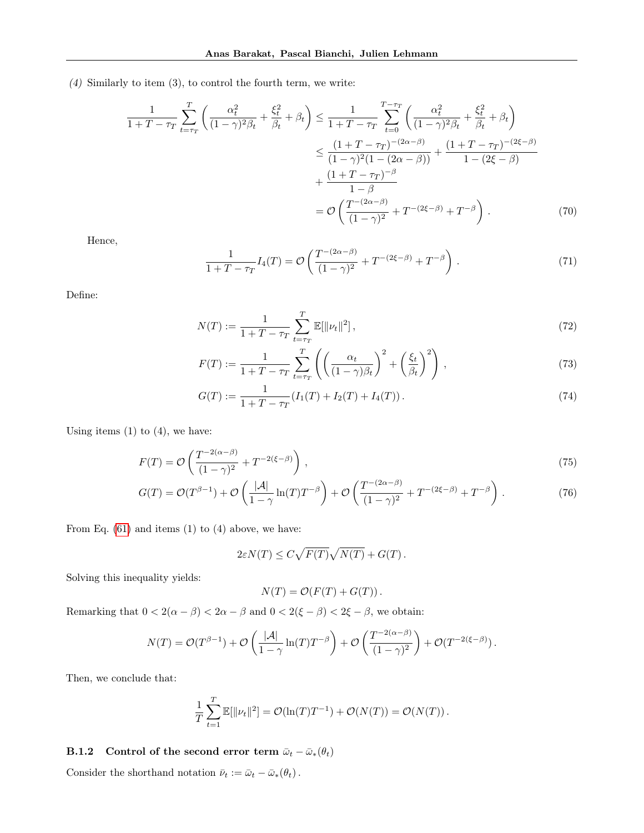(4) Similarly to item (3), to control the fourth term, we write:

$$
\frac{1}{1+T-\tau_T} \sum_{t=\tau_T}^T \left( \frac{\alpha_t^2}{(1-\gamma)^2 \beta_t} + \frac{\xi_t^2}{\beta_t} + \beta_t \right) \le \frac{1}{1+T-\tau_T} \sum_{t=0}^{T-\tau_T} \left( \frac{\alpha_t^2}{(1-\gamma)^2 \beta_t} + \frac{\xi_t^2}{\beta_t} + \beta_t \right)
$$
\n
$$
\le \frac{(1+T-\tau_T)^{-(2\alpha-\beta)}}{(1-\gamma)^2 (1-(2\alpha-\beta))} + \frac{(1+T-\tau_T)^{-(2\xi-\beta)}}{1-\beta}
$$
\n
$$
+ \frac{(1+T-\tau_T)^{-\beta}}{1-\beta}
$$
\n
$$
= \mathcal{O}\left(\frac{T^{-(2\alpha-\beta)}}{(1-\gamma)^2} + T^{-(2\xi-\beta)} + T^{-\beta}\right). \tag{70}
$$

Hence,

$$
\frac{1}{1+T-\tau_T}I_4(T) = \mathcal{O}\left(\frac{T^{-(2\alpha-\beta)}}{(1-\gamma)^2} + T^{-(2\xi-\beta)} + T^{-\beta}\right). \tag{71}
$$

Define:

$$
N(T) := \frac{1}{1 + T - \tau_T} \sum_{t = \tau_T}^{T} \mathbb{E}[\|\nu_t\|^2],\tag{72}
$$

$$
F(T) := \frac{1}{1 + T - \tau_T} \sum_{t = \tau_T}^{T} \left( \left( \frac{\alpha_t}{(1 - \gamma)\beta_t} \right)^2 + \left( \frac{\xi_t}{\beta_t} \right)^2 \right),\tag{73}
$$

$$
G(T) := \frac{1}{1 + T - \tau_T} (I_1(T) + I_2(T) + I_4(T)).
$$
\n(74)

Using items  $(1)$  to  $(4)$ , we have:

$$
F(T) = \mathcal{O}\left(\frac{T^{-2(\alpha-\beta)}}{(1-\gamma)^2} + T^{-2(\xi-\beta)}\right),
$$
\n(75)

$$
G(T) = \mathcal{O}(T^{\beta - 1}) + \mathcal{O}\left(\frac{|\mathcal{A}|}{1 - \gamma}\ln(T)T^{-\beta}\right) + \mathcal{O}\left(\frac{T^{-(2\alpha - \beta)}}{(1 - \gamma)^2} + T^{-(2\xi - \beta)} + T^{-\beta}\right). \tag{76}
$$

From Eq.  $(61)$  and items  $(1)$  to  $(4)$  above, we have:

$$
2\varepsilon N(T) \le C\sqrt{F(T)}\sqrt{N(T)} + G(T).
$$

Solving this inequality yields:

$$
N(T) = \mathcal{O}(F(T) + G(T)).
$$

Remarking that  $0 < 2(\alpha - \beta) < 2\alpha - \beta$  and  $0 < 2(\xi - \beta) < 2\xi - \beta$ , we obtain:

$$
N(T) = \mathcal{O}(T^{\beta - 1}) + \mathcal{O}\left(\frac{|\mathcal{A}|}{1 - \gamma} \ln(T) T^{-\beta}\right) + \mathcal{O}\left(\frac{T^{-2(\alpha - \beta)}}{(1 - \gamma)^2}\right) + \mathcal{O}(T^{-2(\xi - \beta)}).
$$

Then, we conclude that:

$$
\frac{1}{T} \sum_{t=1}^{T} \mathbb{E}[\|\nu_t\|^2] = \mathcal{O}(\ln(T)T^{-1}) + \mathcal{O}(N(T)) = \mathcal{O}(N(T)).
$$

<span id="page-26-0"></span>**B.1.2** Control of the second error term  $\bar{\omega}_t - \bar{\omega}_*(\theta_t)$ 

Consider the shorthand notation  $\bar{\nu}_t := \bar{\omega}_t - \bar{\omega}_*(\theta_t)$  .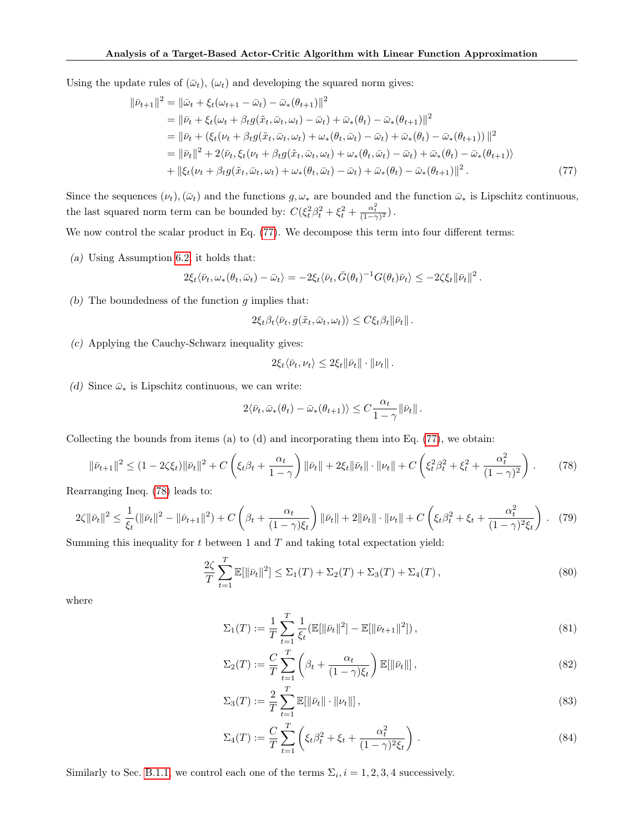Using the update rules of  $(\bar{\omega}_t)$ ,  $(\omega_t)$  and developing the squared norm gives:

$$
\|\bar{\nu}_{t+1}\|^2 = \|\bar{\omega}_t + \xi_t(\omega_{t+1} - \bar{\omega}_t) - \bar{\omega}_*(\theta_{t+1})\|^2 \n= \|\bar{\nu}_t + \xi_t(\omega_t + \beta_t g(\tilde{x}_t, \bar{\omega}_t, \omega_t) - \bar{\omega}_t) + \bar{\omega}_*(\theta_t) - \bar{\omega}_*(\theta_{t+1})\|^2 \n= \|\bar{\nu}_t + (\xi_t(\nu_t + \beta_t g(\tilde{x}_t, \bar{\omega}_t, \omega_t) + \omega_*(\theta_t, \bar{\omega}_t) - \bar{\omega}_t) + \bar{\omega}_*(\theta_t) - \bar{\omega}_*(\theta_{t+1}))\|^2 \n= \|\bar{\nu}_t\|^2 + 2\langle \bar{\nu}_t, \xi_t(\nu_t + \beta_t g(\tilde{x}_t, \bar{\omega}_t, \omega_t) + \omega_*(\theta_t, \bar{\omega}_t) - \bar{\omega}_t) + \bar{\omega}_*(\theta_t) - \bar{\omega}_*(\theta_{t+1})\rangle \n+ \|\xi_t(\nu_t + \beta_t g(\tilde{x}_t, \bar{\omega}_t, \omega_t) + \omega_*(\theta_t, \bar{\omega}_t) - \bar{\omega}_t) + \bar{\omega}_*(\theta_t) - \bar{\omega}_*(\theta_{t+1})\|^2.
$$
\n(77)

Since the sequences  $(\nu_t)$ ,  $(\bar{\omega}_t)$  and the functions  $g, \omega_*$  are bounded and the function  $\bar{\omega}_*$  is Lipschitz continuous, the last squared norm term can be bounded by:  $C(\xi_t^2 \beta_t^2 + \xi_t^2 + \frac{\alpha_t^2}{(1-\gamma)^2})$ .

We now control the scalar product in Eq. [\(77\)](#page-27-0). We decompose this term into four different terms:

(a) Using Assumption [6.2,](#page-7-0) it holds that:

$$
2\xi_t \langle \bar{\nu}_t, \omega_*(\theta_t, \bar{\omega}_t) - \bar{\omega}_t \rangle = -2\xi_t \langle \bar{\nu}_t, \bar{G}(\theta_t)^{-1} G(\theta_t) \bar{\nu}_t \rangle \leq -2\zeta \xi_t \|\bar{\nu}_t\|^2.
$$

(b) The boundedness of the function  $g$  implies that:

<span id="page-27-0"></span>
$$
2\xi_t \beta_t \langle \bar{\nu}_t, g(\tilde{x}_t, \bar{\omega}_t, \omega_t) \rangle \leq C \xi_t \beta_t \|\bar{\nu}_t\|.
$$

(c) Applying the Cauchy-Schwarz inequality gives:

$$
2\xi_t \langle \bar{\nu}_t, \nu_t \rangle \leq 2\xi_t \|\bar{\nu}_t\| \cdot \|\nu_t\|.
$$

(d) Since  $\bar{\omega}_*$  is Lipschitz continuous, we can write:

$$
2\langle \bar{\nu}_t, \bar{\omega}_*(\theta_t) - \bar{\omega}_*(\theta_{t+1})\rangle \leq C \frac{\alpha_t}{1-\gamma} \|\bar{\nu}_t\|.
$$

Collecting the bounds from items (a) to (d) and incorporating them into Eq. [\(77\)](#page-27-0), we obtain:

<span id="page-27-1"></span>
$$
\|\bar{\nu}_{t+1}\|^2 \le (1 - 2\zeta \xi_t) \|\bar{\nu}_t\|^2 + C \left(\xi_t \beta_t + \frac{\alpha_t}{1 - \gamma}\right) \|\bar{\nu}_t\| + 2\xi_t \|\bar{\nu}_t\| \cdot \|\nu_t\| + C \left(\xi_t^2 \beta_t^2 + \xi_t^2 + \frac{\alpha_t^2}{(1 - \gamma)^2}\right). \tag{78}
$$

Rearranging Ineq. [\(78\)](#page-27-1) leads to:

$$
2\zeta \|\bar{\nu}_t\|^2 \le \frac{1}{\xi_t} (\|\bar{\nu}_t\|^2 - \|\bar{\nu}_{t+1}\|^2) + C \left(\beta_t + \frac{\alpha_t}{(1-\gamma)\xi_t}\right) \|\bar{\nu}_t\| + 2\|\bar{\nu}_t\| \cdot \|\nu_t\| + C \left(\xi_t \beta_t^2 + \xi_t + \frac{\alpha_t^2}{(1-\gamma)^2 \xi_t}\right). \tag{79}
$$

Summing this inequality for  $t$  between 1 and  $T$  and taking total expectation yield:

<span id="page-27-2"></span>
$$
\frac{2\zeta}{T} \sum_{t=1}^{T} \mathbb{E}[\|\bar{\nu}_t\|^2] \le \Sigma_1(T) + \Sigma_2(T) + \Sigma_3(T) + \Sigma_4(T), \tag{80}
$$

where

$$
\Sigma_1(T) := \frac{1}{T} \sum_{t=1}^T \frac{1}{\xi_t} (\mathbb{E}[\|\bar{\nu}_t\|^2] - \mathbb{E}[\|\bar{\nu}_{t+1}\|^2]),\tag{81}
$$

$$
\Sigma_2(T) := \frac{C}{T} \sum_{t=1}^T \left( \beta_t + \frac{\alpha_t}{(1-\gamma)\xi_t} \right) \mathbb{E}[\|\bar{\nu}_t\|],\tag{82}
$$

$$
\Sigma_3(T) := \frac{2}{T} \sum_{t=1}^T \mathbb{E}[\|\bar{\nu}_t\| \cdot \|\nu_t\|],\tag{83}
$$

$$
\Sigma_4(T) := \frac{C}{T} \sum_{t=1}^T \left( \xi_t \beta_t^2 + \xi_t + \frac{\alpha_t^2}{(1 - \gamma)^2 \xi_t} \right).
$$
 (84)

Similarly to Sec. [B.1.1,](#page-22-5) we control each one of the terms  $\Sigma_i$ ,  $i = 1, 2, 3, 4$  successively.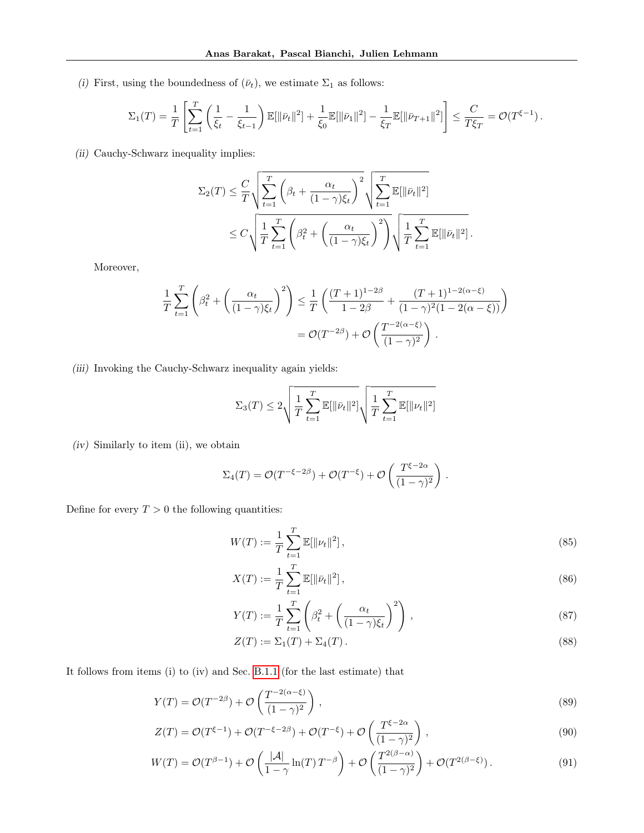(i) First, using the boundedness of  $(\bar{\nu}_t)$ , we estimate  $\Sigma_1$  as follows:

$$
\Sigma_1(T) = \frac{1}{T} \left[ \sum_{t=1}^T \left( \frac{1}{\xi_t} - \frac{1}{\xi_{t-1}} \right) \mathbb{E}[\|\bar{\nu}_t\|^2] + \frac{1}{\xi_0} \mathbb{E}[\|\bar{\nu}_1\|^2] - \frac{1}{\xi_T} \mathbb{E}[\|\bar{\nu}_{T+1}\|^2] \right] \le \frac{C}{T\xi_T} = \mathcal{O}(T^{\xi-1}).
$$

(ii) Cauchy-Schwarz inequality implies:

$$
\Sigma_2(T) \leq \frac{C}{T} \sqrt{\sum_{t=1}^T \left(\beta_t + \frac{\alpha_t}{(1-\gamma)\xi_t}\right)^2} \sqrt{\sum_{t=1}^T \mathbb{E}[\|\bar{\nu}_t\|^2]}
$$
  

$$
\leq C \sqrt{\frac{1}{T} \sum_{t=1}^T \left(\beta_t^2 + \left(\frac{\alpha_t}{(1-\gamma)\xi_t}\right)^2\right)} \sqrt{\frac{1}{T} \sum_{t=1}^T \mathbb{E}[\|\bar{\nu}_t\|^2]}.
$$

Moreover,

$$
\frac{1}{T} \sum_{t=1}^{T} \left( \beta_t^2 + \left( \frac{\alpha_t}{(1-\gamma)\xi_t} \right)^2 \right) \le \frac{1}{T} \left( \frac{(T+1)^{1-2\beta}}{1-2\beta} + \frac{(T+1)^{1-2(\alpha-\xi)}}{(1-\gamma)^2(1-2(\alpha-\xi))} \right)
$$

$$
= \mathcal{O}(T^{-2\beta}) + \mathcal{O}\left( \frac{T^{-2(\alpha-\xi)}}{(1-\gamma)^2} \right).
$$

(iii) Invoking the Cauchy-Schwarz inequality again yields:

$$
\Sigma_3(T) \leq 2 \sqrt{\frac{1}{T} \sum_{t=1}^T \mathbb{E}[\|\bar{\nu}_t\|^2]} \sqrt{\frac{1}{T} \sum_{t=1}^T \mathbb{E}[\|\nu_t\|^2]}
$$

(iv) Similarly to item (ii), we obtain

$$
\Sigma_4(T) = \mathcal{O}(T^{-\xi - 2\beta}) + \mathcal{O}(T^{-\xi}) + \mathcal{O}\left(\frac{T^{\xi - 2\alpha}}{(1 - \gamma)^2}\right).
$$

Define for every  $T > 0$  the following quantities:

$$
W(T) := \frac{1}{T} \sum_{t=1}^{T} \mathbb{E}[\|\nu_t\|^2],\tag{85}
$$

$$
X(T) := \frac{1}{T} \sum_{t=1}^{T} \mathbb{E}[\|\bar{\nu}_t\|^2],
$$
\n(86)

$$
Y(T) := \frac{1}{T} \sum_{t=1}^{T} \left( \beta_t^2 + \left( \frac{\alpha_t}{(1-\gamma)\xi_t} \right)^2 \right), \qquad (87)
$$

$$
Z(T) := \Sigma_1(T) + \Sigma_4(T). \tag{88}
$$

It follows from items (i) to (iv) and Sec. [B.1.1](#page-22-5) (for the last estimate) that

$$
Y(T) = \mathcal{O}(T^{-2\beta}) + \mathcal{O}\left(\frac{T^{-2(\alpha-\xi)}}{(1-\gamma)^2}\right),\tag{89}
$$

$$
Z(T) = \mathcal{O}(T^{\xi - 1}) + \mathcal{O}(T^{-\xi - 2\beta}) + \mathcal{O}(T^{-\xi}) + \mathcal{O}\left(\frac{T^{\xi - 2\alpha}}{(1 - \gamma)^2}\right),\tag{90}
$$

$$
W(T) = \mathcal{O}(T^{\beta - 1}) + \mathcal{O}\left(\frac{|\mathcal{A}|}{1 - \gamma} \ln(T) T^{-\beta}\right) + \mathcal{O}\left(\frac{T^{2(\beta - \alpha)}}{(1 - \gamma)^2}\right) + \mathcal{O}(T^{2(\beta - \xi)}).
$$
\n(91)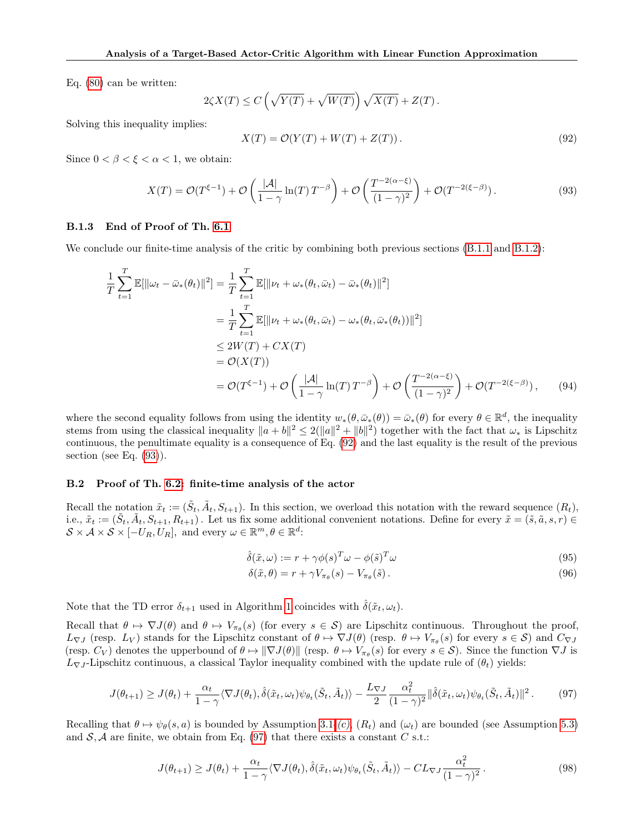Eq. [\(80\)](#page-27-2) can be written:

$$
2\zeta X(T) \leq C\left(\sqrt{Y(T)} + \sqrt{W(T)}\right)\sqrt{X(T)} + Z(T).
$$

Solving this inequality implies:

<span id="page-29-0"></span>
$$
X(T) = \mathcal{O}(Y(T) + W(T) + Z(T)).
$$
\n(92)

Since  $0 < \beta < \xi < \alpha < 1$ , we obtain:

<span id="page-29-1"></span>
$$
X(T) = \mathcal{O}(T^{\xi - 1}) + \mathcal{O}\left(\frac{|\mathcal{A}|}{1 - \gamma} \ln(T) T^{-\beta}\right) + \mathcal{O}\left(\frac{T^{-2(\alpha - \xi)}}{(1 - \gamma)^2}\right) + \mathcal{O}(T^{-2(\xi - \beta)}).
$$
\n(93)

#### B.1.3 End of Proof of Th. [6.1](#page-7-1)

We conclude our finite-time analysis of the critic by combining both previous sections  $(B.1.1 \text{ and } B.1.2)$  $(B.1.1 \text{ and } B.1.2)$  $(B.1.1 \text{ and } B.1.2)$ :

$$
\frac{1}{T} \sum_{t=1}^{T} \mathbb{E}[\|\omega_t - \bar{\omega}_*(\theta_t)\|^2] = \frac{1}{T} \sum_{t=1}^{T} \mathbb{E}[\|\nu_t + \omega_*(\theta_t, \bar{\omega}_t) - \bar{\omega}_*(\theta_t)\|^2]
$$
\n
$$
= \frac{1}{T} \sum_{t=1}^{T} \mathbb{E}[\|\nu_t + \omega_*(\theta_t, \bar{\omega}_t) - \omega_*(\theta_t, \bar{\omega}_*(\theta_t))\|^2]
$$
\n
$$
\leq 2W(T) + CX(T)
$$
\n
$$
= \mathcal{O}(X(T))
$$
\n
$$
= \mathcal{O}(T^{\xi-1}) + \mathcal{O}\left(\frac{|\mathcal{A}|}{1-\gamma}\ln(T)T^{-\beta}\right) + \mathcal{O}\left(\frac{T^{-2(\alpha-\xi)}}{(1-\gamma)^2}\right) + \mathcal{O}(T^{-2(\xi-\beta)}), \qquad (94)
$$

where the second equality follows from using the identity  $w_*(\theta, \bar{\omega}_*(\theta)) = \bar{\omega}_*(\theta)$  for every  $\theta \in \mathbb{R}^d$ , the inequality stems from using the classical inequality  $\|a + b\|^2 \le 2(\|a\|^2 + \|b\|^2)$  together with the fact that  $\omega_*$  is Lipschitz continuous, the penultimate equality is a consequence of Eq. [\(92\)](#page-29-0) and the last equality is the result of the previous section (see Eq.  $(93)$ ).

#### B.2 Proof of Th. [6.2:](#page-8-1) finite-time analysis of the actor

Recall the notation  $\tilde{x}_t := (\tilde{S}_t, \tilde{A}_t, S_{t+1})$ . In this section, we overload this notation with the reward sequence  $(R_t)$ , i.e.,  $\tilde{x}_t := (\tilde{S}_t, \tilde{A}_t, S_{t+1}, R_{t+1})$ . Let us fix some additional convenient notations. Define for every  $\tilde{x} = (\tilde{s}, \tilde{a}, s, r) \in$  $\mathcal{S} \times \mathcal{A} \times \mathcal{S} \times [-U_R, U_R], \text{ and every } \omega \in \mathbb{R}^m, \theta \in \mathbb{R}^d$ :

$$
\hat{\delta}(\tilde{x}, \omega) := r + \gamma \phi(s)^T \omega - \phi(\tilde{s})^T \omega \tag{95}
$$

$$
\delta(\tilde{x}, \theta) = r + \gamma V_{\pi_{\theta}}(s) - V_{\pi_{\theta}}(\tilde{s}). \tag{96}
$$

 $\sim$ 

Note that the TD error  $\delta_{t+1}$  used in Algorithm [1](#page-5-0) coincides with  $\hat{\delta}(\tilde{x}_t, \omega_t)$ .

Recall that  $\theta \mapsto \nabla J(\theta)$  and  $\theta \mapsto V_{\pi_{\theta}}(s)$  (for every  $s \in S$ ) are Lipschitz continuous. Throughout the proof,  $L_{\nabla J}$  (resp.  $L_V$ ) stands for the Lipschitz constant of  $\theta \mapsto \nabla J(\theta)$  (resp.  $\theta \mapsto V_{\pi_{\theta}}(s)$  for every  $s \in S$ ) and  $C_{\nabla J}$ (resp.  $C_V$ ) denotes the upperbound of  $\theta \mapsto ||\nabla J(\theta)||$  (resp.  $\theta \mapsto V_{\pi_{\theta}}(s)$  for every  $s \in S$ ). Since the function  $\nabla J$  is  $L_{\nabla J}$ -Lipschitz continuous, a classical Taylor inequality combined with the update rule of  $(\theta_t)$  yields:

<span id="page-29-2"></span>
$$
J(\theta_{t+1}) \geq J(\theta_t) + \frac{\alpha_t}{1-\gamma} \langle \nabla J(\theta_t), \hat{\delta}(\tilde{x}_t, \omega_t) \psi_{\theta_t}(\tilde{S}_t, \tilde{A}_t) \rangle - \frac{L_{\nabla J}}{2} \frac{\alpha_t^2}{(1-\gamma)^2} \|\hat{\delta}(\tilde{x}_t, \omega_t) \psi_{\theta_t}(\tilde{S}_t, \tilde{A}_t) \|^2. \tag{97}
$$

Recalling that  $\theta \mapsto \psi_{\theta}(s, a)$  is bounded by Assumption [3.1-](#page-3-1)[\(c\)](#page-3-5),  $(R_t)$  and  $(\omega_t)$  are bounded (see Assumption [5.3\)](#page-5-4) and  $S, A$  are finite, we obtain from Eq. [\(97\)](#page-29-2) that there exists a constant C s.t.:

<span id="page-29-3"></span>
$$
J(\theta_{t+1}) \ge J(\theta_t) + \frac{\alpha_t}{1-\gamma} \langle \nabla J(\theta_t), \hat{\delta}(\tilde{x}_t, \omega_t) \psi_{\theta_t}(\tilde{S}_t, \tilde{A}_t) \rangle - CL_{\nabla J} \frac{\alpha_t^2}{(1-\gamma)^2}.
$$
\n(98)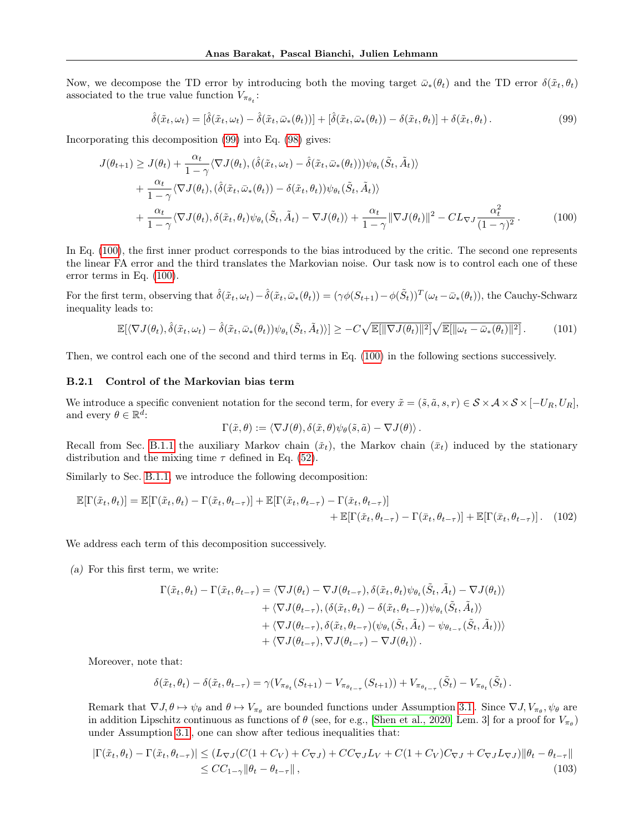Now, we decompose the TD error by introducing both the moving target  $\bar{\omega}_*(\theta_t)$  and the TD error  $\delta(\tilde{x}_t, \theta_t)$ associated to the true value function  $V_{\pi_{\theta_t}}$ :

<span id="page-30-0"></span>
$$
\hat{\delta}(\tilde{x}_t, \omega_t) = [\hat{\delta}(\tilde{x}_t, \omega_t) - \hat{\delta}(\tilde{x}_t, \bar{\omega}_*(\theta_t))] + [\hat{\delta}(\tilde{x}_t, \bar{\omega}_*(\theta_t)) - \delta(\tilde{x}_t, \theta_t)] + \delta(\tilde{x}_t, \theta_t).
$$
\n(99)

Incorporating this decomposition [\(99\)](#page-30-0) into Eq. [\(98\)](#page-29-3) gives:

$$
J(\theta_{t+1}) \geq J(\theta_t) + \frac{\alpha_t}{1-\gamma} \langle \nabla J(\theta_t), (\hat{\delta}(\tilde{x}_t, \omega_t) - \hat{\delta}(\tilde{x}_t, \bar{\omega}_*(\theta_t))) \psi_{\theta_t}(\tilde{S}_t, \tilde{A}_t) \rangle + \frac{\alpha_t}{1-\gamma} \langle \nabla J(\theta_t), (\hat{\delta}(\tilde{x}_t, \bar{\omega}_*(\theta_t)) - \delta(\tilde{x}_t, \theta_t)) \psi_{\theta_t}(\tilde{S}_t, \tilde{A}_t) \rangle + \frac{\alpha_t}{1-\gamma} \langle \nabla J(\theta_t), \delta(\tilde{x}_t, \theta_t) \psi_{\theta_t}(\tilde{S}_t, \tilde{A}_t) - \nabla J(\theta_t) \rangle + \frac{\alpha_t}{1-\gamma} \|\nabla J(\theta_t)\|^2 - CL_{\nabla J} \frac{\alpha_t^2}{(1-\gamma)^2}.
$$
(100)

In Eq. [\(100\)](#page-30-1), the first inner product corresponds to the bias introduced by the critic. The second one represents the linear FA error and the third translates the Markovian noise. Our task now is to control each one of these error terms in Eq. [\(100\)](#page-30-1).

For the first term, observing that  $\hat{\delta}(\tilde{x}_t, \omega_t) - \hat{\delta}(\tilde{x}_t, \bar{\omega}_*(\theta_t)) = (\gamma \phi(S_{t+1}) - \phi(\tilde{S}_t))^T (\omega_t - \bar{\omega}_*(\theta_t)),$  the Cauchy-Schwarz inequality leads to:

<span id="page-30-4"></span>
$$
\mathbb{E}[\langle \nabla J(\theta_t), \hat{\delta}(\tilde{x}_t, \omega_t) - \hat{\delta}(\tilde{x}_t, \bar{\omega}_*(\theta_t)) \psi_{\theta_t}(\tilde{S}_t, \tilde{A}_t) \rangle] \geq -C\sqrt{\mathbb{E}[\|\nabla J(\theta_t)\|^2]} \sqrt{\mathbb{E}[\|\omega_t - \bar{\omega}_*(\theta_t)\|^2]}.
$$
(101)

Then, we control each one of the second and third terms in Eq. [\(100\)](#page-30-1) in the following sections successively.

# B.2.1 Control of the Markovian bias term

We introduce a specific convenient notation for the second term, for every  $\tilde{x} = (\tilde{s}, \tilde{a}, s, r) \in S \times A \times S \times [-U_R, U_R],$ and every  $\theta \in \mathbb{R}^{\tilde{d}}$ :

<span id="page-30-2"></span><span id="page-30-1"></span>
$$
\Gamma(\tilde{x},\theta) := \langle \nabla J(\theta), \delta(\tilde{x},\theta) \psi_{\theta}(\tilde{s},\tilde{a}) - \nabla J(\theta) \rangle.
$$

Recall from Sec. [B.1.1](#page-22-5) the auxiliary Markov chain  $(\tilde{x}_t)$ , the Markov chain  $(\bar{x}_t)$  induced by the stationary distribution and the mixing time  $\tau$  defined in Eq. [\(52\)](#page-22-3).

Similarly to Sec. [B.1.1,](#page-22-5) we introduce the following decomposition:

$$
\mathbb{E}[\Gamma(\tilde{x}_t, \theta_t)] = \mathbb{E}[\Gamma(\tilde{x}_t, \theta_t) - \Gamma(\tilde{x}_t, \theta_{t-\tau})] + \mathbb{E}[\Gamma(\tilde{x}_t, \theta_{t-\tau}) - \Gamma(\tilde{x}_t, \theta_{t-\tau})] + \mathbb{E}[\Gamma(\tilde{x}_t, \theta_{t-\tau}) - \Gamma(\bar{x}_t, \theta_{t-\tau})] + \mathbb{E}[\Gamma(\bar{x}_t, \theta_{t-\tau})].
$$
 (102)

We address each term of this decomposition successively.

(a) For this first term, we write:

$$
\Gamma(\tilde{x}_t, \theta_t) - \Gamma(\tilde{x}_t, \theta_{t-\tau}) = \langle \nabla J(\theta_t) - \nabla J(\theta_{t-\tau}), \delta(\tilde{x}_t, \theta_t) \psi_{\theta_t}(\tilde{S}_t, \tilde{A}_t) - \nabla J(\theta_t) \rangle \n+ \langle \nabla J(\theta_{t-\tau}), (\delta(\tilde{x}_t, \theta_t) - \delta(\tilde{x}_t, \theta_{t-\tau})) \psi_{\theta_t}(\tilde{S}_t, \tilde{A}_t) \rangle \n+ \langle \nabla J(\theta_{t-\tau}), \delta(\tilde{x}_t, \theta_{t-\tau}) (\psi_{\theta_t}(\tilde{S}_t, \tilde{A}_t) - \psi_{\theta_{t-\tau}}(\tilde{S}_t, \tilde{A}_t)) \rangle \n+ \langle \nabla J(\theta_{t-\tau}), \nabla J(\theta_{t-\tau}) - \nabla J(\theta_t) \rangle.
$$

Moreover, note that:

<span id="page-30-3"></span>
$$
\delta(\tilde{x}_t, \theta_t) - \delta(\tilde{x}_t, \theta_{t-\tau}) = \gamma (V_{\pi_{\theta_t}}(S_{t+1}) - V_{\pi_{\theta_{t-\tau}}}(S_{t+1})) + V_{\pi_{\theta_{t-\tau}}}(\tilde{S}_t) - V_{\pi_{\theta_t}}(\tilde{S}_t).
$$

Remark that  $\nabla J, \theta \mapsto \psi_{\theta}$  and  $\theta \mapsto V_{\pi_{\theta}}$  are bounded functions under Assumption [3.1](#page-3-1). Since  $\nabla J, V_{\pi_{\theta}}, \psi_{\theta}$  are in addition Lipschitz continuous as functions of  $\theta$  (see, for e.g., [\[Shen et al., 2020,](#page-10-12) Lem. 3] for a proof for  $V_{\pi_{\theta}}$ ) under Assumption [3.1](#page-3-1) , one can show after tedious inequalities that:

$$
|\Gamma(\tilde{x}_t, \theta_t) - \Gamma(\tilde{x}_t, \theta_{t-\tau})| \le (L_{\nabla J}(C(1+C_V) + C_{\nabla J}) + CC_{\nabla J}L_V + C(1+C_V)C_{\nabla J} + C_{\nabla J}L_{\nabla J})\|\theta_t - \theta_{t-\tau}\|
$$
  
\n
$$
\le CC_{1-\gamma}\|\theta_t - \theta_{t-\tau}\|,
$$
\n(103)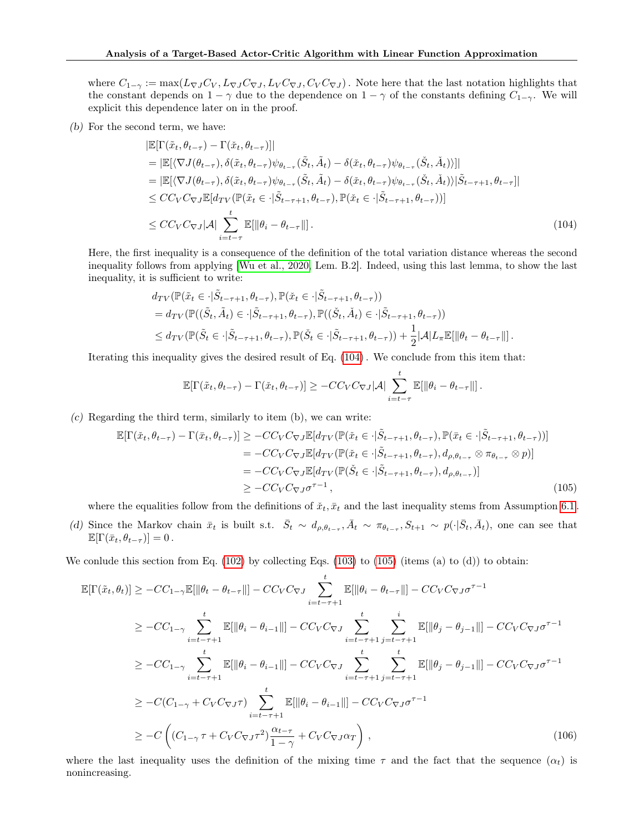where  $C_{1-\gamma} := \max(L_{\nabla J}C_V, L_{\nabla J}C_{\nabla J}, L_V C_{\nabla J}, C_V C_{\nabla J})$ . Note here that the last notation highlights that the constant depends on  $1 - \gamma$  due to the dependence on  $1 - \gamma$  of the constants defining  $C_{1-\gamma}$ . We will explicit this dependence later on in the proof.

(b) For the second term, we have:

$$
\begin{split}\n|\mathbb{E}[\Gamma(\tilde{x}_t, \theta_{t-\tau}) - \Gamma(\tilde{x}_t, \theta_{t-\tau})]| \\
&= |\mathbb{E}[\langle \nabla J(\theta_{t-\tau}), \delta(\tilde{x}_t, \theta_{t-\tau}) \psi_{\theta_{t-\tau}}(\tilde{S}_t, \tilde{A}_t) - \delta(\tilde{x}_t, \theta_{t-\tau}) \psi_{\theta_{t-\tau}}(\tilde{S}_t, \check{A}_t) \rangle]| \\
&= |\mathbb{E}[\langle \nabla J(\theta_{t-\tau}), \delta(\tilde{x}_t, \theta_{t-\tau}) \psi_{\theta_{t-\tau}}(\tilde{S}_t, \tilde{A}_t) - \delta(\tilde{x}_t, \theta_{t-\tau}) \psi_{\theta_{t-\tau}}(\tilde{S}_t, \check{A}_t) \rangle | \tilde{S}_{t-\tau+1}, \theta_{t-\tau}]| \\
&\leq CC_V C_{\nabla J} \mathbb{E}[d_{TV}(\mathbb{P}(\tilde{x}_t \in \cdot | \tilde{S}_{t-\tau+1}, \theta_{t-\tau}), \mathbb{P}(\tilde{x}_t \in \cdot | \tilde{S}_{t-\tau+1}, \theta_{t-\tau}) )] \\
&\leq CC_V C_{\nabla J} |\mathcal{A}| \sum_{i=t-\tau}^{t} \mathbb{E}[\|\theta_i - \theta_{t-\tau}\|].\n\end{split} \tag{104}
$$

Here, the first inequality is a consequence of the definition of the total variation distance whereas the second inequality follows from applying [\[Wu et al., 2020,](#page-11-7) Lem. B.2]. Indeed, using this last lemma, to show the last inequality, it is sufficient to write:

$$
d_{TV}(\mathbb{P}(\tilde{x}_t \in \cdot | \tilde{S}_{t-\tau+1}, \theta_{t-\tau}), \mathbb{P}(\tilde{x}_t \in \cdot | \tilde{S}_{t-\tau+1}, \theta_{t-\tau}))
$$
  
=  $d_{TV}(\mathbb{P}((\tilde{S}_t, \tilde{A}_t) \in \cdot | \tilde{S}_{t-\tau+1}, \theta_{t-\tau}), \mathbb{P}((\tilde{S}_t, \tilde{A}_t) \in \cdot | \tilde{S}_{t-\tau+1}, \theta_{t-\tau}))$   

$$
\leq d_{TV}(\mathbb{P}(\tilde{S}_t \in \cdot | \tilde{S}_{t-\tau+1}, \theta_{t-\tau}), \mathbb{P}(\tilde{S}_t \in \cdot | \tilde{S}_{t-\tau+1}, \theta_{t-\tau})) + \frac{1}{2} |\mathcal{A}| L_{\pi} \mathbb{E}[\|\theta_t - \theta_{t-\tau}\|].
$$

Iterating this inequality gives the desired result of Eq. [\(104\)](#page-31-0) . We conclude from this item that:

<span id="page-31-1"></span><span id="page-31-0"></span>
$$
\mathbb{E}[\Gamma(\tilde{x}_t, \theta_{t-\tau}) - \Gamma(\tilde{x}_t, \theta_{t-\tau})] \geq -CC_V C_{\nabla}J|\mathcal{A}| \sum_{i=t-\tau}^t \mathbb{E}[\|\theta_i - \theta_{t-\tau}\|].
$$

(c) Regarding the third term, similarly to item (b), we can write:

$$
\mathbb{E}[\Gamma(\tilde{x}_t, \theta_{t-\tau}) - \Gamma(\bar{x}_t, \theta_{t-\tau})] \geq -CC_V C_{\nabla J} \mathbb{E}[d_{TV}(\mathbb{P}(\tilde{x}_t \in \cdot | \tilde{S}_{t-\tau+1}, \theta_{t-\tau}), \mathbb{P}(\bar{x}_t \in \cdot | \tilde{S}_{t-\tau+1}, \theta_{t-\tau}))]
$$
\n
$$
= -CC_V C_{\nabla J} \mathbb{E}[d_{TV}(\mathbb{P}(\tilde{x}_t \in \cdot | \tilde{S}_{t-\tau+1}, \theta_{t-\tau}), d_{\rho, \theta_{t-\tau}} \otimes \pi_{\theta_{t-\tau}} \otimes p)]
$$
\n
$$
= -CC_V C_{\nabla J} \mathbb{E}[d_{TV}(\mathbb{P}(\tilde{S}_t \in \cdot | \tilde{S}_{t-\tau+1}, \theta_{t-\tau}), d_{\rho, \theta_{t-\tau}})]
$$
\n
$$
\geq -CC_V C_{\nabla J} \sigma^{\tau-1},
$$
\n(105)

where the equalities follow from the definitions of  $\tilde{x}_t, \bar{x}_t$  and the last inequality stems from Assumption 6.1.

(d) Since the Markov chain  $\bar{x}_t$  is built s.t.  $\bar{S}_t \sim d_{\rho, \theta_{t-\tau}}, \bar{A}_t \sim \pi_{\theta_{t-\tau}}, S_{t+1} \sim p(\cdot | \bar{S}_t, \bar{A}_t)$ , one can see that  $\mathbb{E}[\Gamma(\bar{x}_t, \theta_{t-\tau})] = 0$ .

We conlude this section from Eq.  $(102)$  by collecting Eqs.  $(103)$  to  $(105)$  (items (a) to  $(d)$ ) to obtain:

$$
\mathbb{E}[\Gamma(\tilde{x}_t, \theta_t)] \geq -CC_{1-\gamma} \mathbb{E}[\|\theta_t - \theta_{t-\tau}\|] - CC_V C_{\nabla J} \sum_{i=t-\tau+1}^t \mathbb{E}[\|\theta_i - \theta_{t-\tau}\|] - CC_V C_{\nabla J} \sigma^{\tau-1}
$$
\n
$$
\geq -CC_{1-\gamma} \sum_{i=t-\tau+1}^t \mathbb{E}[\|\theta_i - \theta_{i-1}\|] - CC_V C_{\nabla J} \sum_{i=t-\tau+1}^t \sum_{j=t-\tau+1}^i \mathbb{E}[\|\theta_j - \theta_{j-1}\|] - CC_V C_{\nabla J} \sigma^{\tau-1}
$$
\n
$$
\geq -CC_{1-\gamma} \sum_{i=t-\tau+1}^t \mathbb{E}[\|\theta_i - \theta_{i-1}\|] - CC_V C_{\nabla J} \sum_{i=t-\tau+1}^t \sum_{j=t-\tau+1}^t \mathbb{E}[\|\theta_j - \theta_{j-1}\|] - CC_V C_{\nabla J} \sigma^{\tau-1}
$$
\n
$$
\geq -C(C_{1-\gamma} + C_V C_{\nabla J} \tau) \sum_{i=t-\tau+1}^t \mathbb{E}[\|\theta_i - \theta_{i-1}\|] - CC_V C_{\nabla J} \sigma^{\tau-1}
$$
\n
$$
\geq -C\left((C_{1-\gamma} + C_V C_{\nabla J} \tau^2)\frac{\alpha_{t-\tau}}{1-\gamma} + C_V C_{\nabla J} \alpha_T\right),
$$
\n(106)

<span id="page-31-2"></span>where the last inequality uses the definition of the mixing time  $\tau$  and the fact that the sequence  $(\alpha_t)$  is nonincreasing.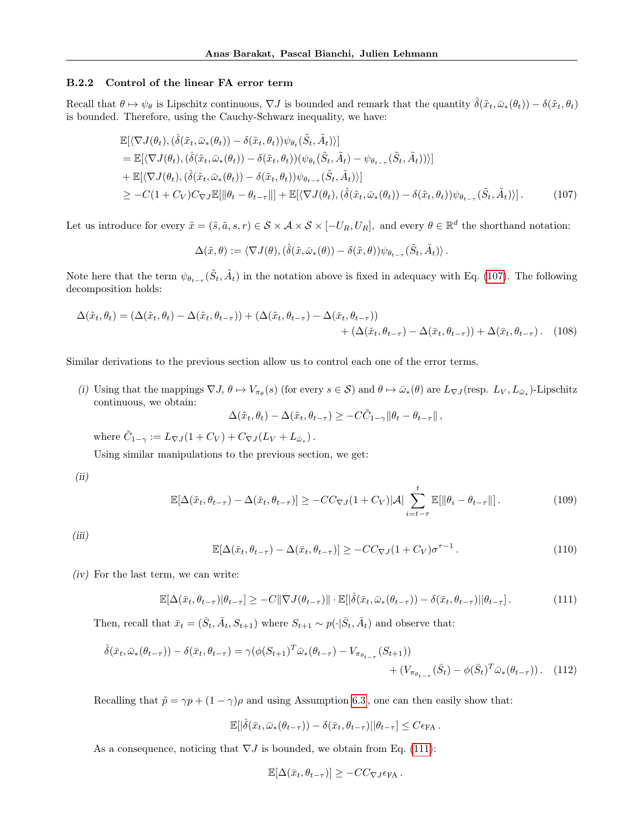#### B.2.2 Control of the linear FA error term

Recall that  $\theta \mapsto \psi_{\theta}$  is Lipschitz continuous,  $\nabla J$  is bounded and remark that the quantity  $\hat{\delta}(\tilde{x}_t, \bar{\omega}_*(\theta_t)) - \delta(\tilde{x}_t, \theta_t)$ is bounded. Therefore, using the Cauchy-Schwarz inequality, we have:

$$
\mathbb{E}[\langle \nabla J(\theta_t), (\hat{\delta}(\tilde{x}_t, \bar{\omega}_*(\theta_t)) - \delta(\tilde{x}_t, \theta_t)) \psi_{\theta_t}(\tilde{S}_t, \tilde{A}_t) \rangle] \n= \mathbb{E}[\langle \nabla J(\theta_t), (\hat{\delta}(\tilde{x}_t, \bar{\omega}_*(\theta_t)) - \delta(\tilde{x}_t, \theta_t)) (\psi_{\theta_t}(\tilde{S}_t, \tilde{A}_t) - \psi_{\theta_{t-\tau}}(\tilde{S}_t, \tilde{A}_t)) \rangle] \n+ \mathbb{E}[\langle \nabla J(\theta_t), (\hat{\delta}(\tilde{x}_t, \bar{\omega}_*(\theta_t)) - \delta(\tilde{x}_t, \theta_t)) \psi_{\theta_{t-\tau}}(\tilde{S}_t, \tilde{A}_t) \rangle] \n\geq -C(1+C_V)C_{\nabla J}\mathbb{E}[\|\theta_t - \theta_{t-\tau}\|] + \mathbb{E}[\langle \nabla J(\theta_t), (\hat{\delta}(\tilde{x}_t, \bar{\omega}_*(\theta_t)) - \delta(\tilde{x}_t, \theta_t)) \psi_{\theta_{t-\tau}}(\tilde{S}_t, \tilde{A}_t) \rangle].
$$
\n(107)

Let us introduce for every  $\tilde{x} = (\tilde{s}, \tilde{a}, s, r) \in \mathcal{S} \times \mathcal{A} \times \mathcal{S} \times [-U_R, U_R]$ , and every  $\theta \in \mathbb{R}^d$  the shorthand notation:

<span id="page-32-0"></span>
$$
\Delta(\tilde{x},\theta) := \langle \nabla J(\theta), (\hat{\delta}(\tilde{x},\bar{\omega}_*(\theta)) - \delta(\tilde{x},\theta)) \psi_{\theta_{t-\tau}}(\tilde{S}_t, \tilde{A}_t) \rangle.
$$

Note here that the term  $\psi_{\theta_{t-\tau}}(\tilde{S}_t, \tilde{A}_t)$  in the notation above is fixed in adequacy with Eq. [\(107\)](#page-32-0). The following decomposition holds:

$$
\Delta(\tilde{x}_t, \theta_t) = (\Delta(\tilde{x}_t, \theta_t) - \Delta(\tilde{x}_t, \theta_{t-\tau})) + (\Delta(\tilde{x}_t, \theta_{t-\tau}) - \Delta(\tilde{x}_t, \theta_{t-\tau})) + (\Delta(\tilde{x}_t, \theta_{t-\tau}) - \Delta(\bar{x}_t, \theta_{t-\tau})) + \Delta(\bar{x}_t, \theta_{t-\tau}).
$$
 (108)

Similar derivations to the previous section allow us to control each one of the error terms.

(i) Using that the mappings  $\nabla J$ ,  $\theta \mapsto V_{\pi_{\theta}}(s)$  (for every  $s \in S$ ) and  $\theta \mapsto \bar{\omega}_{*}(\theta)$  are  $L_{\nabla J}(\text{resp. } L_{V}, L_{\bar{\omega}_{*}})$ -Lipschitz continuous, we obtain:

$$
\Delta(\tilde{x}_t, \theta_t) - \Delta(\tilde{x}_t, \theta_{t-\tau}) \geq -C\tilde{C}_{1-\gamma} \|\theta_t - \theta_{t-\tau}\|,
$$

where  $\tilde{C}_{1-\gamma} := L_{\nabla J}(1 + C_V) + C_{\nabla J}(L_V + L_{\bar{\omega}_*}).$ 

Using similar manipulations to the previous section, we get:

(ii)

$$
\mathbb{E}[\Delta(\tilde{x}_t, \theta_{t-\tau}) - \Delta(\tilde{x}_t, \theta_{t-\tau})] \ge -CC_{\nabla J}(1 + C_V)|\mathcal{A}| \sum_{i=t-\tau}^t \mathbb{E}[\|\theta_i - \theta_{t-\tau}\|]. \tag{109}
$$

(iii)

$$
\mathbb{E}[\Delta(\tilde{x}_t, \theta_{t-\tau}) - \Delta(\bar{x}_t, \theta_{t-\tau})] \ge -CC_{\nabla J}(1 + C_V)\sigma^{\tau-1}.
$$
\n(110)

(iv) For the last term, we can write:

<span id="page-32-1"></span>
$$
\mathbb{E}[\Delta(\bar{x}_t, \theta_{t-\tau}) | \theta_{t-\tau}] \geq -C \|\nabla J(\theta_{t-\tau})\| \cdot \mathbb{E}[\|\hat{\delta}(\bar{x}_t, \bar{\omega}_*(\theta_{t-\tau})) - \delta(\bar{x}_t, \theta_{t-\tau})| \|\theta_{t-\tau}].
$$
\n(111)

Then, recall that  $\bar{x}_t = (\bar{S}_t, \bar{A}_t, S_{t+1})$  where  $S_{t+1} \sim p(\cdot | \bar{S}_t, \bar{A}_t)$  and observe that:

$$
\hat{\delta}(\bar{x}_t, \bar{\omega}_*(\theta_{t-\tau})) - \delta(\bar{x}_t, \theta_{t-\tau}) = \gamma(\phi(S_{t+1})^T \bar{\omega}_*(\theta_{t-\tau}) - V_{\pi_{\theta_{t-\tau}}}(S_{t+1})) + (V_{\pi_{\theta_{t-\tau}}}(\bar{S}_t) - \phi(\bar{S}_t)^T \bar{\omega}_*(\theta_{t-\tau})).
$$
(112)

Recalling that  $\tilde{p} = \gamma p + (1 - \gamma)\rho$  and using Assumption [6.3](#page-7-3), one can then easily show that:

$$
\mathbb{E}[|\hat{\delta}(\bar{x}_t,\bar{\omega}_*(\theta_{t-\tau}))-\delta(\bar{x}_t,\theta_{t-\tau})||\theta_{t-\tau}]\leq C\epsilon_{\text{FA}}.
$$

As a consequence, noticing that  $\nabla J$  is bounded, we obtain from Eq. [\(111\)](#page-32-1):

$$
\mathbb{E}[\Delta(\bar{x}_t, \theta_{t-\tau})] \geq -CC_{\nabla J} \epsilon_{\text{FA}}.
$$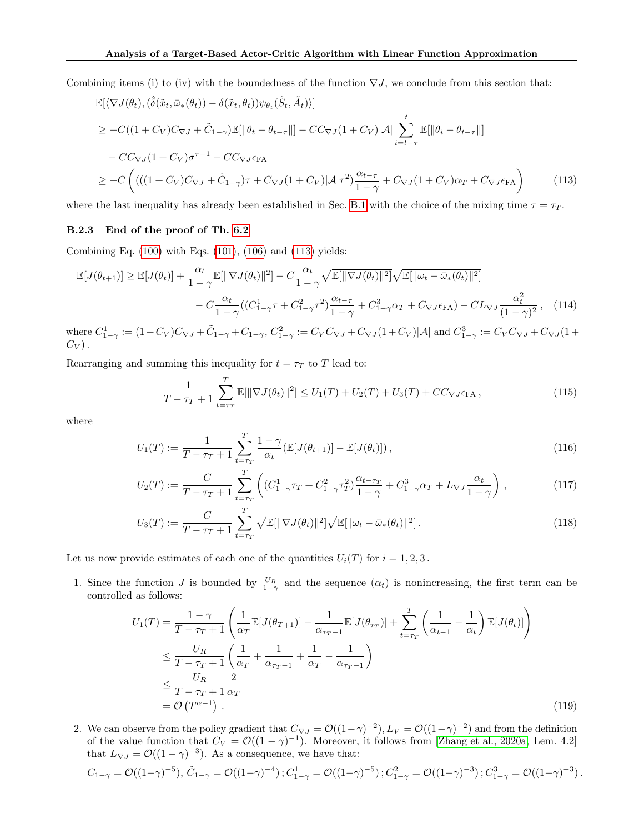Combining items (i) to (iv) with the boundedness of the function  $\nabla J$ , we conclude from this section that:

$$
\mathbb{E}[\langle \nabla J(\theta_t), (\hat{\delta}(\tilde{x}_t, \bar{\omega}_*(\theta_t)) - \delta(\tilde{x}_t, \theta_t)) \psi_{\theta_t}(\tilde{S}_t, \tilde{A}_t) \rangle]
$$
\n
$$
\geq -C((1 + C_V)C_{\nabla J} + \tilde{C}_{1-\gamma})\mathbb{E}[\|\theta_t - \theta_{t-\tau}\|] - CC_{\nabla J}(1 + C_V)|\mathcal{A}| \sum_{i=t-\tau}^t \mathbb{E}[\|\theta_i - \theta_{t-\tau}\|]
$$
\n
$$
- CC_{\nabla J}(1 + C_V)\sigma^{\tau-1} - CC_{\nabla J}\epsilon_{\text{FA}}
$$
\n
$$
\geq -C\left(((1 + C_V)C_{\nabla J} + \tilde{C}_{1-\gamma})\tau + C_{\nabla J}(1 + C_V)|\mathcal{A}|\tau^2\right) \frac{\alpha_{t-\tau}}{1 - \gamma} + C_{\nabla J}(1 + C_V)\alpha_T + C_{\nabla J}\epsilon_{\text{FA}}\right)
$$
\n(113)

where the last inequality has already been established in Sec. [B.1](#page-21-0) with the choice of the mixing time  $\tau = \tau_T$ .

#### B.2.3 End of the proof of Th. [6.2](#page-8-1)

Combining Eq. [\(100\)](#page-30-1) with Eqs. [\(101\)](#page-30-4), [\(106\)](#page-31-2) and [\(113\)](#page-33-0) yields:

$$
\mathbb{E}[J(\theta_{t+1})] \geq \mathbb{E}[J(\theta_t)] + \frac{\alpha_t}{1-\gamma} \mathbb{E}[\|\nabla J(\theta_t)\|^2] - C \frac{\alpha_t}{1-\gamma} \sqrt{\mathbb{E}[\|\nabla J(\theta_t)\|^2]} \sqrt{\mathbb{E}[\|\omega_t - \bar{\omega}_*(\theta_t)\|^2]}
$$

$$
- C \frac{\alpha_t}{1-\gamma} ((C_{1-\gamma}^1 + C_{1-\gamma}^2 + C_{1-\gamma}^2 + C_{1-\gamma}^3 \alpha_T + C_{\nabla J} \epsilon_{\text{FA}}) - CL_{\nabla J} \frac{\alpha_t^2}{(1-\gamma)^2}, \quad (114)
$$

where  $C_{1-\gamma}^1 := (1+C_V)C_{\nabla J} + \tilde{C}_{1-\gamma} + C_{1-\gamma}, C_{1-\gamma}^2 := C_V C_{\nabla J} + C_{\nabla J} (1+C_V) |\mathcal{A}|$  and  $C_{1-\gamma}^3 := C_V C_{\nabla J} + C_{\nabla J} (1+C_V)$  $C_V$ ).

Rearranging and summing this inequality for  $t = \tau_T$  to T lead to:

<span id="page-33-1"></span><span id="page-33-0"></span>
$$
\frac{1}{T - \tau_T + 1} \sum_{t = \tau_T}^{T} \mathbb{E}[\|\nabla J(\theta_t)\|^2] \le U_1(T) + U_2(T) + U_3(T) + CC_{\nabla J} \epsilon_{\text{FA}},
$$
\n(115)

where

$$
U_1(T) := \frac{1}{T - \tau_T + 1} \sum_{t = \tau_T}^{T} \frac{1 - \gamma}{\alpha_t} (\mathbb{E}[J(\theta_{t+1})] - \mathbb{E}[J(\theta_t)]), \qquad (116)
$$

$$
U_2(T) := \frac{C}{T - \tau_T + 1} \sum_{t = \tau_T}^{T} \left( (C_{1-\gamma}^1 \tau_T + C_{1-\gamma}^2 \tau_T^2) \frac{\alpha_{t-\tau_T}}{1 - \gamma} + C_{1-\gamma}^3 \alpha_T + L_{\nabla J} \frac{\alpha_t}{1 - \gamma} \right),
$$
(117)

$$
U_3(T) := \frac{C}{T - \tau_T + 1} \sum_{t = \tau_T}^T \sqrt{\mathbb{E}[\|\nabla J(\theta_t)\|^2]} \sqrt{\mathbb{E}[\|\omega_t - \bar{\omega}_*(\theta_t)\|^2]}.
$$
\n(118)

Let us now provide estimates of each one of the quantities  $U_i(T)$  for  $i = 1, 2, 3$ .

1. Since the function J is bounded by  $\frac{U_R}{1-\gamma}$  and the sequence  $(\alpha_t)$  is nonincreasing, the first term can be controlled as follows:

$$
U_1(T) = \frac{1-\gamma}{T-\tau_T+1} \left( \frac{1}{\alpha_T} \mathbb{E}[J(\theta_{T+1})] - \frac{1}{\alpha_{\tau_T-1}} \mathbb{E}[J(\theta_{\tau_T})] + \sum_{t=\tau_T}^T \left( \frac{1}{\alpha_{t-1}} - \frac{1}{\alpha_t} \right) \mathbb{E}[J(\theta_t)] \right)
$$
  
\n
$$
\leq \frac{U_R}{T-\tau_T+1} \left( \frac{1}{\alpha_T} + \frac{1}{\alpha_{\tau_T-1}} + \frac{1}{\alpha_T} - \frac{1}{\alpha_{\tau_T-1}} \right)
$$
  
\n
$$
\leq \frac{U_R}{T-\tau_T+1} \frac{2}{\alpha_T}
$$
  
\n
$$
= \mathcal{O}(T^{\alpha-1}). \tag{119}
$$

2. We can observe from the policy gradient that  $C_{\nabla J} = \mathcal{O}((1-\gamma)^{-2}), L_V = \mathcal{O}((1-\gamma)^{-2})$  and from the definition of the value function that  $C_V = \mathcal{O}((1-\gamma)^{-1})$ . Moreover, it follows from [\[Zhang et al., 2020a,](#page-11-9) Lem. 4.2] that  $L_{\nabla J} = \mathcal{O}((1 - \gamma)^{-3})$ . As a consequence, we have that:

$$
C_{1-\gamma} = \mathcal{O}((1-\gamma)^{-5}), \tilde{C}_{1-\gamma} = \mathcal{O}((1-\gamma)^{-4}); C_{1-\gamma}^1 = \mathcal{O}((1-\gamma)^{-5}); C_{1-\gamma}^2 = \mathcal{O}((1-\gamma)^{-3}); C_{1-\gamma}^3 = \mathcal{O}((1-\gamma)^{-3}).
$$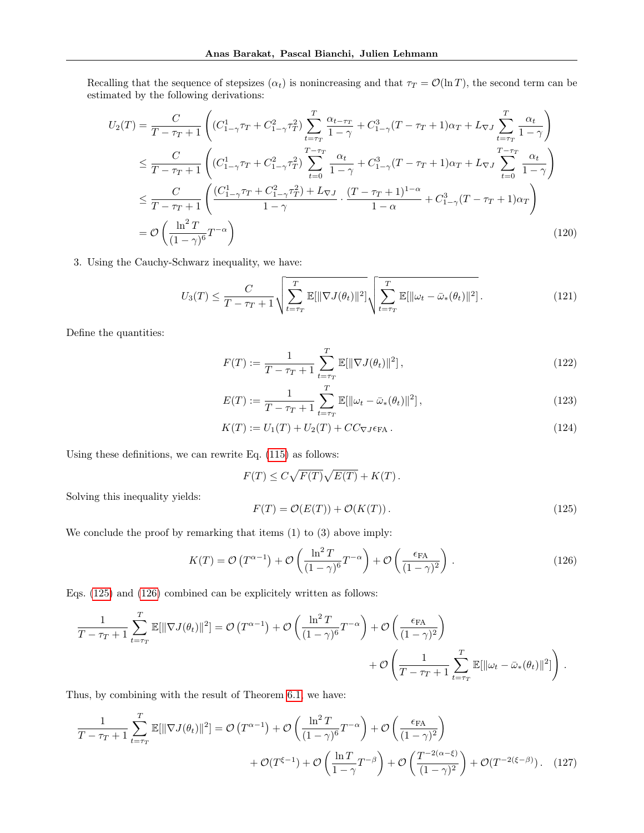Recalling that the sequence of stepsizes  $(\alpha_t)$  is nonincreasing and that  $\tau_T = \mathcal{O}(\ln T)$ , the second term can be estimated by the following derivations:

$$
U_2(T) = \frac{C}{T - \tau_T + 1} \left( (C_{1-\gamma}^1 \tau_T + C_{1-\gamma}^2 \tau_T^2) \sum_{t=\tau_T}^T \frac{\alpha_{t-\tau_T}}{1 - \gamma} + C_{1-\gamma}^3 (T - \tau_T + 1) \alpha_T + L_{\nabla J} \sum_{t=\tau_T}^T \frac{\alpha_t}{1 - \gamma} \right)
$$
  
\n
$$
\leq \frac{C}{T - \tau_T + 1} \left( (C_{1-\gamma}^1 \tau_T + C_{1-\gamma}^2 \tau_T^2) \sum_{t=0}^{T-\tau_T} \frac{\alpha_t}{1 - \gamma} + C_{1-\gamma}^3 (T - \tau_T + 1) \alpha_T + L_{\nabla J} \sum_{t=0}^{T-\tau_T} \frac{\alpha_t}{1 - \gamma} \right)
$$
  
\n
$$
\leq \frac{C}{T - \tau_T + 1} \left( \frac{(C_{1-\gamma}^1 \tau_T + C_{1-\gamma}^2 \tau_T^2) + L_{\nabla J}}{1 - \gamma} \cdot \frac{(T - \tau_T + 1)^{1 - \alpha}}{1 - \alpha} + C_{1-\gamma}^3 (T - \tau_T + 1) \alpha_T \right)
$$
  
\n
$$
= \mathcal{O} \left( \frac{\ln^2 T}{(1 - \gamma)^6} T^{-\alpha} \right)
$$
(120)

3. Using the Cauchy-Schwarz inequality, we have:

$$
U_3(T) \leq \frac{C}{T - \tau_T + 1} \sqrt{\sum_{t = \tau_T}^T \mathbb{E}[\|\nabla J(\theta_t)\|^2]} \sqrt{\sum_{t = \tau_T}^T \mathbb{E}[\|\omega_t - \bar{\omega}_*(\theta_t)\|^2]}.
$$
 (121)

Define the quantities:

$$
F(T) := \frac{1}{T - \tau_T + 1} \sum_{t = \tau_T}^{T} \mathbb{E}[\|\nabla J(\theta_t)\|^2],
$$
\n(122)

$$
E(T) := \frac{1}{T - \tau_T + 1} \sum_{t = \tau_T}^{T} \mathbb{E}[\|\omega_t - \bar{\omega}_*(\theta_t)\|^2],
$$
\n(123)

$$
K(T) := U_1(T) + U_2(T) + CC_{\nabla J} \epsilon_{\text{FA}}.
$$
\n(124)

Using these definitions, we can rewrite Eq. [\(115\)](#page-33-1) as follows:

$$
F(T) \leq C\sqrt{F(T)}\sqrt{E(T)} + K(T).
$$

Solving this inequality yields:

<span id="page-34-0"></span>
$$
F(T) = \mathcal{O}(E(T)) + \mathcal{O}(K(T)).
$$
\n(125)

We conclude the proof by remarking that items  $(1)$  to  $(3)$  above imply:

<span id="page-34-1"></span>
$$
K(T) = \mathcal{O}\left(T^{\alpha - 1}\right) + \mathcal{O}\left(\frac{\ln^2 T}{(1 - \gamma)^6} T^{-\alpha}\right) + \mathcal{O}\left(\frac{\epsilon_{\text{FA}}}{(1 - \gamma)^2}\right). \tag{126}
$$

Eqs. [\(125\)](#page-34-0) and [\(126\)](#page-34-1) combined can be explicitely written as follows:

$$
\frac{1}{T - \tau_T + 1} \sum_{t = \tau_T}^T \mathbb{E}[\|\nabla J(\theta_t)\|^2] = \mathcal{O}(T^{\alpha - 1}) + \mathcal{O}\left(\frac{\ln^2 T}{(1 - \gamma)^6} T^{-\alpha}\right) + \mathcal{O}\left(\frac{\epsilon_{\text{FA}}}{(1 - \gamma)^2}\right) + \mathcal{O}\left(\frac{1}{T - \tau_T + 1} \sum_{t = \tau_T}^T \mathbb{E}[\|\omega_t - \bar{\omega}_*(\theta_t)\|^2]\right).
$$

Thus, by combining with the result of Theorem [6.1,](#page-7-1) we have:

$$
\frac{1}{T - \tau_T + 1} \sum_{t = \tau_T}^{T} \mathbb{E}[\|\nabla J(\theta_t)\|^2] = \mathcal{O}\left(T^{\alpha - 1}\right) + \mathcal{O}\left(\frac{\ln^2 T}{(1 - \gamma)^6} T^{-\alpha}\right) + \mathcal{O}\left(\frac{\epsilon_{\text{FA}}}{(1 - \gamma)^2}\right) + \mathcal{O}(T^{\xi - 1}) + \mathcal{O}\left(\frac{\ln T}{1 - \gamma} T^{-\beta}\right) + \mathcal{O}\left(\frac{T^{-2(\alpha - \xi)}}{(1 - \gamma)^2}\right) + \mathcal{O}(T^{-2(\xi - \beta)}).
$$
(127)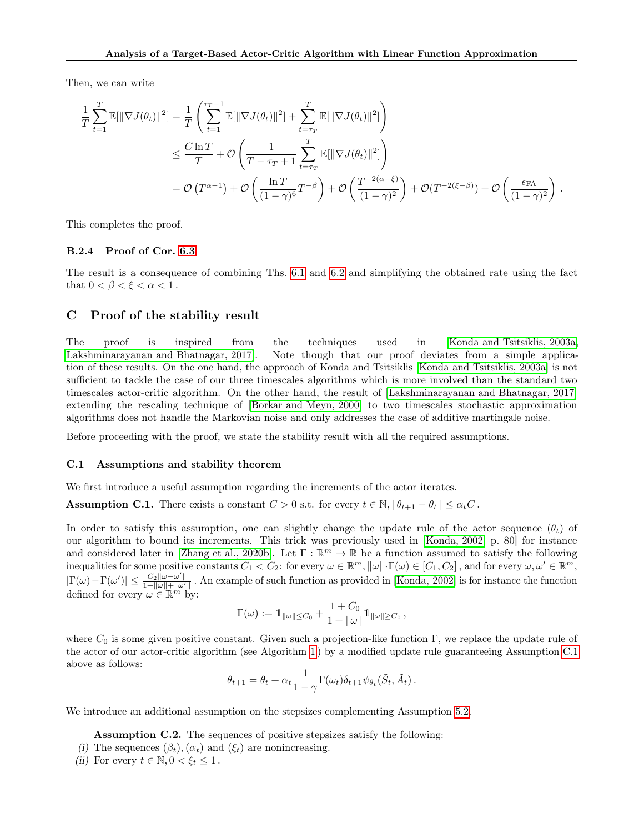Then, we can write

$$
\frac{1}{T} \sum_{t=1}^{T} \mathbb{E}[\|\nabla J(\theta_t)\|^2] = \frac{1}{T} \left( \sum_{t=1}^{T_T - 1} \mathbb{E}[\|\nabla J(\theta_t)\|^2] + \sum_{t=T_T}^{T} \mathbb{E}[\|\nabla J(\theta_t)\|^2] \right)
$$
\n
$$
\leq \frac{C \ln T}{T} + \mathcal{O}\left(\frac{1}{T - \tau_T + 1} \sum_{t=T_T}^{T} \mathbb{E}[\|\nabla J(\theta_t)\|^2] \right)
$$
\n
$$
= \mathcal{O}\left(T^{\alpha - 1}\right) + \mathcal{O}\left(\frac{\ln T}{(1 - \gamma)^6} T^{-\beta}\right) + \mathcal{O}\left(\frac{T^{-2(\alpha - \xi)}}{(1 - \gamma)^2}\right) + \mathcal{O}(T^{-2(\xi - \beta)}) + \mathcal{O}\left(\frac{\epsilon_{\text{FA}}}{(1 - \gamma)^2}\right).
$$

This completes the proof.

#### B.2.4 Proof of Cor. [6.3](#page-8-3)

The result is a consequence of combining Ths. [6.1](#page-7-1) and [6.2](#page-8-1) and simplifying the obtained rate using the fact that  $0 < \beta < \xi < \alpha < 1$ .

# <span id="page-35-0"></span>C Proof of the stability result

The proof is inspired from the techniques used in [\[Konda and Tsitsiklis, 2003a,](#page-9-15) [Lakshminarayanan and Bhatnagar, 2017\]](#page-10-19). Note though that our proof deviates from a simple application of these results. On the one hand, the approach of Konda and Tsitsiklis [\[Konda and Tsitsiklis, 2003a\]](#page-9-15) is not sufficient to tackle the case of our three timescales algorithms which is more involved than the standard two timescales actor-critic algorithm. On the other hand, the result of [\[Lakshminarayanan and Bhatnagar, 2017\]](#page-10-19) extending the rescaling technique of [\[Borkar and Meyn, 2000\]](#page-9-16) to two timescales stochastic approximation algorithms does not handle the Markovian noise and only addresses the case of additive martingale noise.

Before proceeding with the proof, we state the stability result with all the required assumptions.

#### C.1 Assumptions and stability theorem

We first introduce a useful assumption regarding the increments of the actor iterates.

<span id="page-35-1"></span>**Assumption C.1.** There exists a constant  $C > 0$  s.t. for every  $t \in \mathbb{N}$ ,  $\|\theta_{t+1} - \theta_t\| \leq \alpha_t C$ .

In order to satisfy this assumption, one can slightly change the update rule of the actor sequence  $(\theta_t)$  of our algorithm to bound its increments. This trick was previously used in [\[Konda, 2002,](#page-9-8) p. 80] for instance and considered later in [\[Zhang et al., 2020b\]](#page-11-10). Let  $\Gamma : \mathbb{R}^m \to \mathbb{R}$  be a function assumed to satisfy the following inequalities for some positive constants  $C_1 < C_2$ : for every  $\omega \in \mathbb{R}^m$ ,  $\|\omega\| \cdot \Gamma(\omega) \in [C_1, C_2]$ , and for every  $\omega, \omega' \in \mathbb{R}^m$ ,  $|\Gamma(\omega) - \Gamma(\omega')| \leq \frac{C_2 ||\omega - \omega'||}{1 + ||\omega|| + ||\omega'}$  $\frac{C_2||\omega-\omega||}{1+||\omega||+||\omega'||}$ . An example of such function as provided in [\[Konda, 2002\]](#page-9-8) is for instance the function defined for every  $\omega \in \mathbb{R}^m$  by:

$$
\Gamma(\omega) := 1\!\!1_{\|\omega\|\leq C_0} + \frac{1+C_0}{1+\|\omega\|} 1\!\!1_{\|\omega\|\geq C_0},
$$

where  $C_0$  is some given positive constant. Given such a projection-like function Γ, we replace the update rule of the actor of our actor-critic algorithm (see Algorithm [1](#page-5-0) ) by a modified update rule guaranteeing Assumption [C.1](#page-35-1) above as follows:

$$
\theta_{t+1} = \theta_t + \alpha_t \frac{1}{1-\gamma} \Gamma(\omega_t) \delta_{t+1} \psi_{\theta_t}(\tilde{S}_t, \tilde{A}_t).
$$

We introduce an additional assumption on the stepsizes complementing Assumption [5.2.](#page-5-2)

<span id="page-35-2"></span>Assumption C.2. The sequences of positive stepsizes satisfy the following:

- (i) The sequences  $(\beta_t),(\alpha_t)$  and  $(\xi_t)$  are nonincreasing.
- (ii) For every  $t \in \mathbb{N}, 0 < \xi_t \leq 1$ .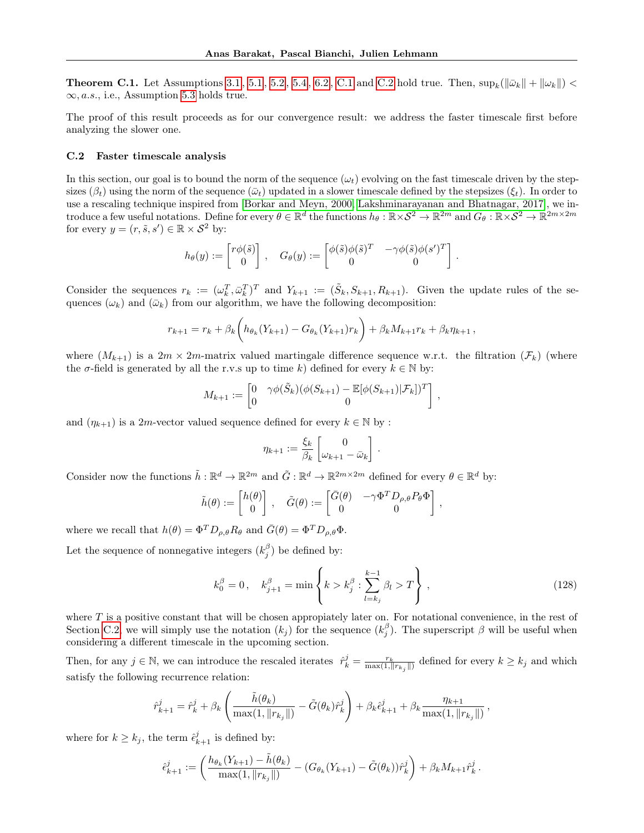**Theorem [C.1](#page-35-1).** Let Assumptions [3.1](#page-3-1), [5.1](#page-5-1), [5.2](#page-5-2), [5.4](#page-6-3), [6.2](#page-7-0), C.1 and [C.2](#page-35-2) hold true. Then,  $\sup_k(||\bar{\omega}_k|| + ||\omega_k||)$  $\infty$ , *a.s.*, i.e., Assumption [5.3](#page-5-4) holds true.

The proof of this result proceeds as for our convergence result: we address the faster timescale first before analyzing the slower one.

#### <span id="page-36-0"></span>C.2 Faster timescale analysis

In this section, our goal is to bound the norm of the sequence  $(\omega_t)$  evolving on the fast timescale driven by the stepsizes ( $\beta_t$ ) using the norm of the sequence ( $\bar{\omega}_t$ ) updated in a slower timescale defined by the stepsizes ( $\xi_t$ ). In order to use a rescaling technique inspired from [\[Borkar and Meyn, 2000,](#page-9-16) [Lakshminarayanan and Bhatnagar, 2017\]](#page-10-19), we introduce a few useful notations. Define for every  $\theta \in \mathbb{R}^d$  the functions  $h_\theta : \mathbb{R} \times S^2 \to \mathbb{R}^{2m}$  and  $G_\theta : \mathbb{R} \times S^2 \to \mathbb{R}^{2m \times 2m}$ for every  $y = (r, \tilde{s}, s') \in \mathbb{R} \times S^2$  by:

$$
h_{\theta}(y) := \begin{bmatrix} r\phi(\tilde{s}) \\ 0 \end{bmatrix}, \quad G_{\theta}(y) := \begin{bmatrix} \phi(\tilde{s})\phi(\tilde{s})^T & -\gamma\phi(\tilde{s})\phi(s')^T \\ 0 & 0 \end{bmatrix}.
$$

Consider the sequences  $r_k := (\omega_k^T, \bar{\omega}_k^T)^T$  and  $Y_{k+1} := (\tilde{S}_k, S_{k+1}, R_{k+1})$ . Given the update rules of the sequences  $(\omega_k)$  and  $(\bar{\omega}_k)$  from our algorithm, we have the following decomposition:

$$
r_{k+1} = r_k + \beta_k \bigg(h_{\theta_k}(Y_{k+1}) - G_{\theta_k}(Y_{k+1})r_k\bigg) + \beta_k M_{k+1}r_k + \beta_k \eta_{k+1},
$$

where  $(M_{k+1})$  is a  $2m \times 2m$ -matrix valued martingale difference sequence w.r.t. the filtration  $(\mathcal{F}_k)$  (where the  $\sigma$ -field is generated by all the r.v.s up to time k) defined for every  $k \in \mathbb{N}$  by:

$$
M_{k+1} := \begin{bmatrix} 0 & \gamma \phi(\tilde{S}_k)(\phi(S_{k+1}) - \mathbb{E}[\phi(S_{k+1}) | \mathcal{F}_k])^T \\ 0 & 0 \end{bmatrix},
$$

and  $(\eta_{k+1})$  is a 2m-vector valued sequence defined for every  $k \in \mathbb{N}$  by :

$$
\eta_{k+1} := \frac{\xi_k}{\beta_k} \begin{bmatrix} 0 \\ \omega_{k+1} - \bar{\omega}_k \end{bmatrix}.
$$

Consider now the functions  $\tilde{h}: \mathbb{R}^d \to \mathbb{R}^{2m}$  and  $\tilde{G}: \mathbb{R}^d \to \mathbb{R}^{2m \times 2m}$  defined for every  $\theta \in \mathbb{R}^d$  by:

$$
\tilde{h}(\theta) := \begin{bmatrix} h(\theta) \\ 0 \end{bmatrix}, \quad \tilde{G}(\theta) := \begin{bmatrix} \bar{G}(\theta) & -\gamma \Phi^T D_{\rho, \theta} P_{\theta} \Phi \\ 0 & 0 \end{bmatrix},
$$

where we recall that  $h(\theta) = \Phi^T D_{\rho,\theta} R_{\theta}$  and  $\bar{G}(\theta) = \Phi^T D_{\rho,\theta} \Phi$ .

Let the sequence of nonnegative integers  $(k_j^{\beta})$  be defined by:

<span id="page-36-1"></span>
$$
k_0^{\beta} = 0, \quad k_{j+1}^{\beta} = \min \left\{ k > k_j^{\beta} : \sum_{l=k_j}^{k-1} \beta_l > T \right\},
$$
\n(128)

where  $T$  is a positive constant that will be chosen appropiately later on. For notational convenience, in the rest of Section [C.2,](#page-36-0) we will simply use the notation  $(k_j)$  for the sequence  $(k_j^{\beta})$ . The superscript  $\beta$  will be useful when considering a different timescale in the upcoming section.

Then, for any  $j \in \mathbb{N}$ , we can introduce the rescaled iterates  $\hat{r}_k^j = \frac{r_k}{\max(1, ||r_{k_j}||)}$  defined for every  $k \geq k_j$  and which satisfy the following recurrence relation:

$$
\hat{r}_{k+1}^j = \hat{r}_k^j + \beta_k \left( \frac{\tilde{h}(\theta_k)}{\max(1, \|r_{k_j}\|)} - \tilde{G}(\theta_k)\hat{r}_k^j \right) + \beta_k \hat{\epsilon}_{k+1}^j + \beta_k \frac{\eta_{k+1}}{\max(1, \|r_{k_j}\|)},
$$

where for  $k \geq k_j$ , the term  $\hat{\epsilon}_{k+1}^j$  is defined by:

$$
\hat{\epsilon}_{k+1}^j := \left( \frac{h_{\theta_k}(Y_{k+1}) - \tilde{h}(\theta_k)}{\max(1, \|r_{k_j}\|)} - (G_{\theta_k}(Y_{k+1}) - \tilde{G}(\theta_k))\hat{r}_k^j \right) + \beta_k M_{k+1} \hat{r}_k^j.
$$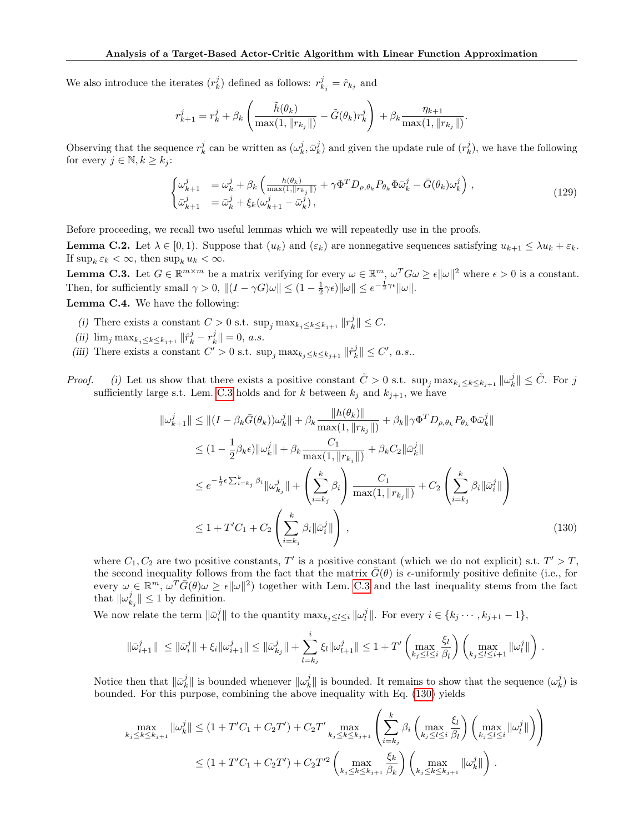We also introduce the iterates  $(r_k^j)$  defined as follows:  $r_{k_j}^j = \hat{r}_{k_j}$  and

$$
r_{k+1}^j = r_k^j + \beta_k \left( \frac{\tilde{h}(\theta_k)}{\max(1, \|r_{k_j}\|)} - \tilde{G}(\theta_k) r_k^j \right) + \beta_k \frac{\eta_{k+1}}{\max(1, \|r_{k_j}\|)}.
$$

Observing that the sequence  $r_k^j$  can be written as  $(\omega_k^j, \bar{\omega}_k^j)$  and given the update rule of  $(r_k^j)$ , we have the following for every  $j \in \mathbb{N}, k \geq k_j$ :

$$
\begin{cases}\n\omega_{k+1}^j = \omega_k^j + \beta_k \left( \frac{h(\theta_k)}{\max(1, ||r_{k_j}||)} + \gamma \Phi^T D_{\rho, \theta_k} P_{\theta_k} \Phi \bar{\omega}_k^j - \bar{G}(\theta_k) \omega_k^j \right), \\
\bar{\omega}_{k+1}^j = \bar{\omega}_k^j + \xi_k (\omega_{k+1}^j - \bar{\omega}_k^j),\n\end{cases} \tag{129}
$$

Before proceeding, we recall two useful lemmas which we will repeatedly use in the proofs.

<span id="page-37-3"></span>**Lemma C.2.** Let  $\lambda \in [0, 1)$ . Suppose that  $(u_k)$  and  $(\varepsilon_k)$  are nonnegative sequences satisfying  $u_{k+1} \leq \lambda u_k + \varepsilon_k$ . If  $\sup_k \varepsilon_k < \infty$ , then  $\sup_k u_k < \infty$ .

<span id="page-37-0"></span>**Lemma C.3.** Let  $G \in \mathbb{R}^{m \times m}$  be a matrix verifying for every  $\omega \in \mathbb{R}^m$ ,  $\omega^T G \omega \ge \epsilon ||\omega||^2$  where  $\epsilon > 0$  is a constant. Then, for sufficiently small  $\gamma > 0$ ,  $||(I - \gamma G)\omega|| \leq (1 - \frac{1}{2}\gamma \epsilon) ||\omega|| \leq e^{-\frac{1}{2}\gamma \epsilon} ||\omega||$ . Lemma C.4. We have the following:

<span id="page-37-2"></span>

- (i) There exists a constant  $C > 0$  s.t.  $\sup_j \max_{k_j \leq k \leq k_{j+1}} ||r_k^j|| \leq C$ .
- (ii)  $\lim_{j} \max_{k_j \leq k \leq k_{j+1}} ||\hat{r}_k^j r_k^j|| = 0, a.s.$
- (iii) There exists a constant  $C' > 0$  s.t.  $\sup_j \max_{k_j \leq k \leq k_{j+1}} ||\hat{r}_k^j|| \leq C'$ , a.s..

*Proof.* (i) Let us show that there exists a positive constant  $\tilde{C} > 0$  s.t.  $\sup_j \max_{k_j \leq k \leq k_{j+1}} ||\omega_k^j|| \leq \tilde{C}$ . For j sufficiently large s.t. Lem. [C.3](#page-37-0) holds and for k between  $k_j$  and  $k_{j+1}$ , we have

$$
\|\omega_{k+1}^{j}\| \leq \| (I - \beta_{k}\bar{G}(\theta_{k}))\omega_{k}^{j}\| + \beta_{k}\frac{\|h(\theta_{k})\|}{\max(1, \|r_{k_{j}}\|)} + \beta_{k}\|\gamma\Phi^{T}D_{\rho,\theta_{k}}P_{\theta_{k}}\Phi\bar{\omega}_{k}^{j}\|
$$
  
\n
$$
\leq (1 - \frac{1}{2}\beta_{k}\epsilon)\|\omega_{k}^{j}\| + \beta_{k}\frac{C_{1}}{\max(1, \|r_{k_{j}}\|)} + \beta_{k}C_{2}\|\bar{\omega}_{k}^{j}\|
$$
  
\n
$$
\leq e^{-\frac{1}{2}\epsilon\sum_{i=k_{j}}^{k}\beta_{i}}\|\omega_{k_{j}}^{j}\| + \left(\sum_{i=k_{j}}^{k}\beta_{i}\right)\frac{C_{1}}{\max(1, \|r_{k_{j}}\|)} + C_{2}\left(\sum_{i=k_{j}}^{k}\beta_{i}\|\bar{\omega}_{i}^{j}\|\right)
$$
  
\n
$$
\leq 1 + T'C_{1} + C_{2}\left(\sum_{i=k_{j}}^{k}\beta_{i}\|\bar{\omega}_{i}^{j}\|\right), \qquad (130)
$$

<span id="page-37-1"></span>.

where  $C_1, C_2$  are two positive constants, T' is a positive constant (which we do not explicit) s.t.  $T' > T$ , the second inequality follows from the fact that the matrix  $\bar{G}(\theta)$  is  $\epsilon$ -uniformly positive definite (i.e., for every  $\omega \in \mathbb{R}^m$ ,  $\omega^T \bar{G}(\theta) \omega \ge \epsilon ||\omega||^2$  together with Lem. [C.3](#page-37-0) and the last inequality stems from the fact that  $\|\omega_{k_j}^j\| \leq 1$  by definition.

We now relate the term  $\|\bar{\omega}_i^j\|$  to the quantity  $\max_{k_j \leq l \leq i} ||\omega_l^j||$ . For every  $i \in \{k_j \cdots, k_{j+1}-1\}$ ,

$$
\|\bar{\omega}_{i+1}^j\| \ \leq \|\bar{\omega}_i^j\| + \xi_i \|\omega_{i+1}^j\| \leq \|\bar{\omega}_{k_j}^j\| + \sum_{l=k_j}^i \xi_l \|\omega_{l+1}^j\| \leq 1 + T' \left( \max_{k_j \leq l \leq i} \frac{\xi_l}{\beta_l} \right) \left( \max_{k_j \leq l \leq i+1} \|\omega_l^j\| \right)
$$

Notice then that  $\|\bar{\omega}_k^j\|$  is bounded whenever  $\|\omega_k^j\|$  is bounded. It remains to show that the sequence  $(\omega_k^j)$  is bounded. For this purpose, combining the above inequality with Eq. [\(130\)](#page-37-1) yields

$$
\max_{k_j \le k \le k_{j+1}} ||\omega_k^j|| \le (1 + T'C_1 + C_2T') + C_2T'\max_{k_j \le k \le k_{j+1}} \left( \sum_{i=k_j}^k \beta_i \left( \max_{k_j \le l \le i} \frac{\xi_l}{\beta_l} \right) \left( \max_{k_j \le l \le i} ||\omega_l^j|| \right) \right)
$$
  

$$
\le (1 + T'C_1 + C_2T') + C_2T'^2 \left( \max_{k_j \le k \le k_{j+1}} \frac{\xi_k}{\beta_k} \right) \left( \max_{k_j \le k \le k_{j+1}} ||\omega_k^j|| \right).
$$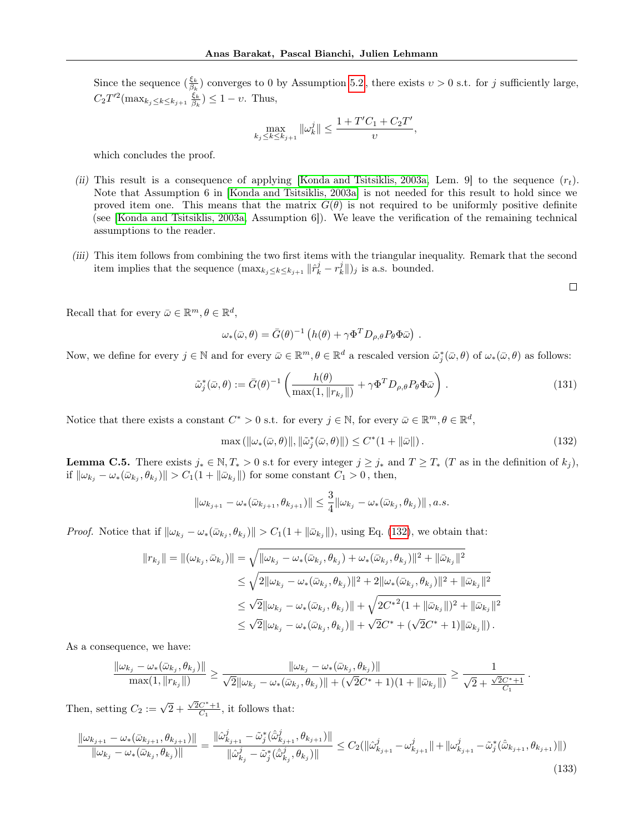Since the sequence  $(\frac{\xi_k}{\beta_k})$  converges to 0 by Assumption [5.2](#page-5-2), there exists  $v > 0$  s.t. for j sufficiently large,  $C_2 T'^2(\max_{k_j \leq k \leq k_{j+1}} \frac{\xi_k}{\beta_k}) \leq 1 - \nu$ . Thus,

$$
\max_{k_j \le k \le k_{j+1}} ||\omega_k^j|| \le \frac{1 + T'C_1 + C_2T'}{\nu},
$$

which concludes the proof.

- (ii) This result is a consequence of applying [\[Konda and Tsitsiklis, 2003a,](#page-9-15) Lem. 9] to the sequence  $(r_t)$ . Note that Assumption 6 in [\[Konda and Tsitsiklis, 2003a\]](#page-9-15) is not needed for this result to hold since we proved item one. This means that the matrix  $G(\theta)$  is not required to be uniformly positive definite (see [\[Konda and Tsitsiklis, 2003a,](#page-9-15) Assumption 6]). We leave the verification of the remaining technical assumptions to the reader.
- (iii) This item follows from combining the two first items with the triangular inequality. Remark that the second item implies that the sequence  $(\max_{k_j \leq k \leq k_{j+1}} ||\hat{r}_k^j - r_k^j||_j)$  is a.s. bounded.

 $\Box$ 

<span id="page-38-1"></span>.

Recall that for every  $\bar{\omega} \in \mathbb{R}^m, \theta \in \mathbb{R}^d$ ,

$$
\omega_* (\bar{\omega}, \theta) = \bar{G}(\theta)^{-1} \left( h(\theta) + \gamma \Phi^T D_{\rho, \theta} P_{\theta} \Phi \bar{\omega} \right) .
$$

Now, we define for every  $j \in \mathbb{N}$  and for every  $\bar{\omega} \in \mathbb{R}^m$ ,  $\theta \in \mathbb{R}^d$  a rescaled version  $\tilde{\omega}_j^*(\bar{\omega}, \theta)$  of  $\omega_*(\bar{\omega}, \theta)$  as follows:

<span id="page-38-3"></span>
$$
\tilde{\omega}_j^*(\bar{\omega}, \theta) := \bar{G}(\theta)^{-1} \left( \frac{h(\theta)}{\max(1, \|r_{k_j}\|)} + \gamma \Phi^T D_{\rho, \theta} P_{\theta} \Phi \bar{\omega} \right). \tag{131}
$$

Notice that there exists a constant  $C^* > 0$  s.t. for every  $j \in \mathbb{N}$ , for every  $\bar{\omega} \in \mathbb{R}^m, \theta \in \mathbb{R}^d$ ,

<span id="page-38-0"></span>
$$
\max\left(\left\|\omega_{*}(\bar{\omega},\theta)\right\|,\left\|\tilde{\omega}_{j}^{*}(\bar{\omega},\theta)\right\|\right)\leq C^{*}(1+\left\|\bar{\omega}\right\|.\tag{132}
$$

<span id="page-38-2"></span>**Lemma C.5.** There exists  $j_* \in \mathbb{N}, T_* > 0$  s.t for every integer  $j \geq j_*$  and  $T \geq T_*$  (T as in the definition of  $k_j$ ), if  $\|\omega_{k_j}-\omega_*(\bar{\omega}_{k_j},\theta_{k_j})\|>C_1(1+\|\bar{\omega}_{k_j}\|)$  for some constant  $C_1>0$ , then,

$$
\|\omega_{k_{j+1}} - \omega_* (\bar{\omega}_{k_{j+1}}, \theta_{k_{j+1}})\| \leq \frac{3}{4} \|\omega_{k_j} - \omega_* (\bar{\omega}_{k_j}, \theta_{k_j})\|, a.s.
$$

*Proof.* Notice that if  $\|\omega_{k_j} - \omega_*(\bar{\omega}_{k_j}, \theta_{k_j})\| > C_1(1 + \|\bar{\omega}_{k_j}\|)$ , using Eq. [\(132\)](#page-38-0), we obtain that:

$$
||r_{k_j}|| = ||(\omega_{k_j}, \bar{\omega}_{k_j})|| = \sqrt{||\omega_{k_j} - \omega_*(\bar{\omega}_{k_j}, \theta_{k_j}) + \omega_*(\bar{\omega}_{k_j}, \theta_{k_j})||^2 + ||\bar{\omega}_{k_j}||^2}
$$
  
\n
$$
\leq \sqrt{2||\omega_{k_j} - \omega_*(\bar{\omega}_{k_j}, \theta_{k_j})||^2 + 2||\omega_*(\bar{\omega}_{k_j}, \theta_{k_j})||^2 + ||\bar{\omega}_{k_j}||^2}
$$
  
\n
$$
\leq \sqrt{2}||\omega_{k_j} - \omega_*(\bar{\omega}_{k_j}, \theta_{k_j})|| + \sqrt{2C^{*2}(1 + ||\bar{\omega}_{k_j}||)^2 + ||\bar{\omega}_{k_j}||^2}
$$
  
\n
$$
\leq \sqrt{2}||\omega_{k_j} - \omega_*(\bar{\omega}_{k_j}, \theta_{k_j})|| + \sqrt{2C^* + (\sqrt{2}C^* + 1)||\bar{\omega}_{k_j}||}.
$$

As a consequence, we have:

$$
\frac{\|\omega_{k_j}-\omega_*(\bar{\omega}_{k_j},\theta_{k_j})\|}{\max(1,\|r_{k_j}\|)} \ge \frac{\|\omega_{k_j}-\omega_*(\bar{\omega}_{k_j},\theta_{k_j})\|}{\sqrt{2}\|\omega_{k_j}-\omega_*(\bar{\omega}_{k_j},\theta_{k_j})\|+(\sqrt{2}C^*+1)(1+\|\bar{\omega}_{k_j}\|)} \ge \frac{1}{\sqrt{2}+\frac{\sqrt{2}C^*+1}{C_1}}
$$

Then, setting  $C_2 := \sqrt{2} + \frac{\sqrt{2}C^* + 1}{C_1}$ , it follows that:

$$
\frac{\|\omega_{k_{j+1}} - \omega_{*}(\bar{\omega}_{k_{j+1}}, \theta_{k_{j+1}})\|}{\|\omega_{k_{j}} - \omega_{*}(\bar{\omega}_{k_{j}}, \theta_{k_{j}})\|} = \frac{\|\hat{\omega}_{k_{j+1}}^{j} - \tilde{\omega}_{j}^{*}(\hat{\bar{\omega}}_{k_{j+1}}^{j}, \theta_{k_{j+1}})\|}{\|\hat{\omega}_{k_{j}}^{j} - \tilde{\omega}_{j}^{*}(\hat{\bar{\omega}}_{k_{j}}^{j}, \theta_{k_{j}})\|} \leq C_{2}(\|\hat{\omega}_{k_{j+1}}^{j} - \omega_{k_{j+1}}^{j}\| + \|\omega_{k_{j+1}}^{j} - \tilde{\omega}_{j}^{*}(\hat{\bar{\omega}}_{k_{j+1}}, \theta_{k_{j+1}})\|)
$$
\n(133)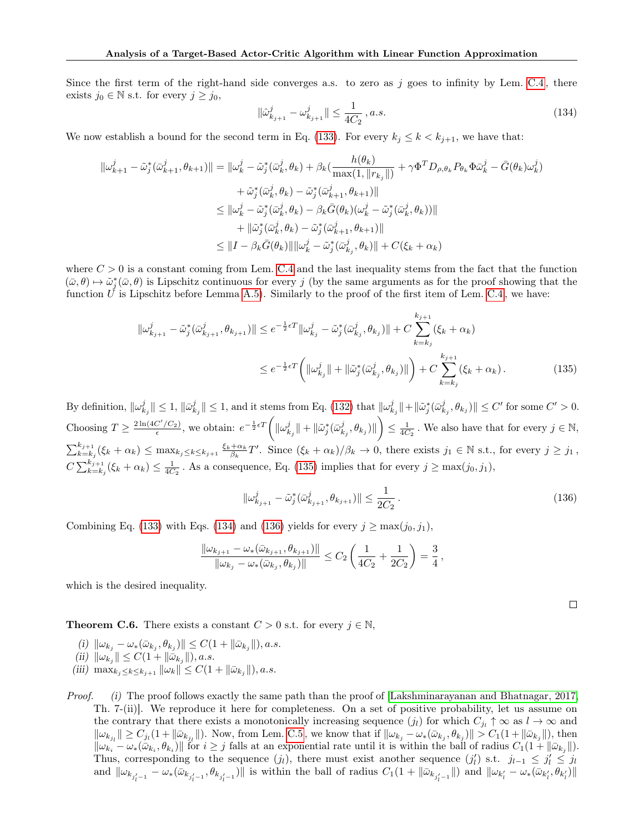Since the first term of the right-hand side converges a.s. to zero as  $j$  goes to infinity by Lem. [C.4](#page-37-2), there exists  $j_0 \in \mathbb{N}$  s.t. for every  $j \geq j_0$ ,

<span id="page-39-1"></span>
$$
\|\hat{\omega}_{k_{j+1}}^j - \omega_{k_{j+1}}^j\| \le \frac{1}{4C_2}, a.s.
$$
\n(134)

We now establish a bound for the second term in Eq. [\(133\)](#page-38-1). For every  $k_j \leq k \lt k_{j+1}$ , we have that:

$$
\begin{aligned}\n\|\omega_{k+1}^j - \tilde{\omega}_j^*(\bar{\omega}_{k+1}^j, \theta_{k+1})\| &= \|\omega_k^j - \tilde{\omega}_j^*(\bar{\omega}_k^j, \theta_k) + \beta_k(\frac{h(\theta_k)}{\max(1, \|r_{k_j}\|)} + \gamma \Phi^T D_{\rho, \theta_k} P_{\theta_k} \Phi \bar{\omega}_k^j - \bar{G}(\theta_k) \omega_k^j) \\
&\quad + \tilde{\omega}_j^*(\bar{\omega}_k^j, \theta_k) - \tilde{\omega}_j^*(\bar{\omega}_{k+1}^j, \theta_{k+1})\| \\
&\leq \|\omega_k^j - \tilde{\omega}_j^*(\bar{\omega}_k^j, \theta_k) - \beta_k \bar{G}(\theta_k)(\omega_k^j - \tilde{\omega}_j^*(\bar{\omega}_k^j, \theta_k))\| \\
&\quad + \|\tilde{\omega}_j^*(\bar{\omega}_k^j, \theta_k) - \tilde{\omega}_j^*(\bar{\omega}_{k+1}^j, \theta_{k+1})\| \\
&\leq \|I - \beta_k \bar{G}(\theta_k)\| \|\omega_k^j - \tilde{\omega}_j^*(\bar{\omega}_{k_j}^j, \theta_k)\| + C(\xi_k + \alpha_k)\n\end{aligned}
$$

where  $C > 0$  is a constant coming from Lem. [C.4](#page-37-2) and the last inequality stems from the fact that the function  $(\bar{\omega}, \theta) \mapsto \tilde{\omega}_j^*(\bar{\omega}, \theta)$  is Lipschitz continuous for every j (by the same arguments as for the proof showing that the function  $\check{U}$  is Lipschitz before Lemma [A.5\)](#page-17-1). Similarly to the proof of the first item of Lem. [C.4](#page-37-2), we have:

$$
\|\omega_{k_{j+1}}^j - \tilde{\omega}_j^*(\bar{\omega}_{k_{j+1}}^j, \theta_{k_{j+1}})\| \le e^{-\frac{1}{2}\epsilon T} \|\omega_{k_j}^j - \tilde{\omega}_j^*(\bar{\omega}_{k_j}^j, \theta_{k_j})\| + C \sum_{k=k_j}^{k_{j+1}} (\xi_k + \alpha_k)
$$
  

$$
\le e^{-\frac{1}{2}\epsilon T} \left( \|\omega_{k_j}^j\| + \|\tilde{\omega}_j^*(\bar{\omega}_{k_j}^j, \theta_{k_j})\|\right) + C \sum_{k=k_j}^{k_{j+1}} (\xi_k + \alpha_k).
$$
 (135)

By definition,  $\|\omega_{k_j}^j\| \leq 1$ ,  $\|\bar{\omega}_{k_j}^j\| \leq 1$ , and it stems from Eq. [\(132\)](#page-38-0) that  $\|\omega_{k_j}^j\| + \|\tilde{\omega}_j^*(\bar{\omega}_{k_j}^j, \theta_{k_j})\| \leq C'$  for some  $C' > 0$ . Choosing  $T \geq \frac{2 \ln(4C'/C_2)}{\epsilon}$ , we obtain:  $e^{-\frac{1}{2}\epsilon T}\left(\|\omega_{k_j}^j\| + \|\tilde{\omega}_j^*(\bar{\omega}_{k_j}^j, \theta_{k_j})\|\right) \leq \frac{1}{4C_2}$ . We also have that for every  $j \in \mathbb{N}$ ,  $\sum_{k=k_j}^{k_{j+1}} (\xi_k + \alpha_k) \leq \max_{k_j \leq k \leq k_{j+1}} \frac{\xi_k + \alpha_k}{\beta_k} T'$ . Since  $(\xi_k + \alpha_k)/\beta_k \to 0$ , there exists  $j_1 \in \mathbb{N}$  s.t., for every  $j \geq j_1$ ,  $C\sum_{k=k_j}^{k_{j+1}}(\xi_k+\alpha_k)\leq \frac{1}{4C_2}$ . As a consequence, Eq. [\(135\)](#page-39-0) implies that for every  $j\geq \max(j_0,j_1)$ ,

<span id="page-39-2"></span>
$$
\|\omega_{k_{j+1}}^j - \tilde{\omega}_j^*(\bar{\omega}_{k_{j+1}}^j, \theta_{k_{j+1}})\| \le \frac{1}{2C_2} \,. \tag{136}
$$

Combining Eq. [\(133\)](#page-38-1) with Eqs. [\(134\)](#page-39-1) and [\(136\)](#page-39-2) yields for every  $j \geq \max(j_0, j_1)$ ,

$$
\frac{\|\omega_{k_{j+1}}-\omega_*(\bar{\omega}_{k_{j+1}},\theta_{k_{j+1}})\|}{\|\omega_{k_j}-\omega_*(\bar{\omega}_{k_j},\theta_{k_j})\|} \leq C_2 \left(\frac{1}{4C_2}+\frac{1}{2C_2}\right) = \frac{3}{4},
$$

which is the desired inequality.

<span id="page-39-3"></span>**Theorem C.6.** There exists a constant  $C > 0$  s.t. for every  $j \in \mathbb{N}$ ,

 $(i)$   $\|\omega_{k_j} - \omega_*(\bar{\omega}_{k_j}, \theta_{k_j})\| \leq C(1 + \|\bar{\omega}_{k_j}\|), a.s.$ 

<span id="page-39-5"></span>(ii) 
$$
\|\omega_{k_j}\| \leq C(1 + \|\bar{\omega}_{k_j}\|), a.s.
$$

<span id="page-39-4"></span>(iii)  $\max_{k_j \leq k \leq k_{j+1}} ||\omega_k|| \leq C(1 + ||\bar{\omega}_{k_j}||), a.s.$ 

Proof. (i) The proof follows exactly the same path than the proof of [\[Lakshminarayanan and Bhatnagar, 2017,](#page-10-19) Th. 7-(ii)]. We reproduce it here for completeness. On a set of positive probability, let us assume on the contrary that there exists a monotonically increasing sequence  $(j_l)$  for which  $C_{j_l} \uparrow \infty$  as  $l \to \infty$  and  $\|\omega_{k_{j_l}}\| \geq C_{j_l}(1 + \|\bar{\omega}_{k_{j_l}}\|)$ . Now, from Lem. [C.5](#page-38-2), we know that if  $\|\omega_{k_j} - \omega_*(\bar{\omega}_{k_j}, \theta_{k_j})\| > C_1(1 + \|\bar{\omega}_{k_j}\|)$ , then  $\|\omega_{k_i} - \omega_*(\bar{\omega}_{k_i}, \theta_{k_i})\|$  for  $i \geq j$  falls at an exponential rate until it is within the ball of radius  $C_1(1 + \|\bar{\omega}_{k_j}\|)$ . Thus, corresponding to the sequence  $(j_l)$ , there must exist another sequence  $(j'_l)$  s.t.  $j_{l-1} \leq j'_l \leq j_l$ and  $\|\omega_{k_{j_1'-1}} - \omega_*(\bar{\omega}_{k_{j_1'-1}}, \theta_{k_{j_1'-1}})\|$  is within the ball of radius  $C_1(1 + \|\bar{\omega}_{k_{j_1'-1}}\|)$  and  $\|\omega_{k_1'} - \omega_*(\bar{\omega}_{k_1'}, \theta_{k_1'})\|$ 

<span id="page-39-0"></span>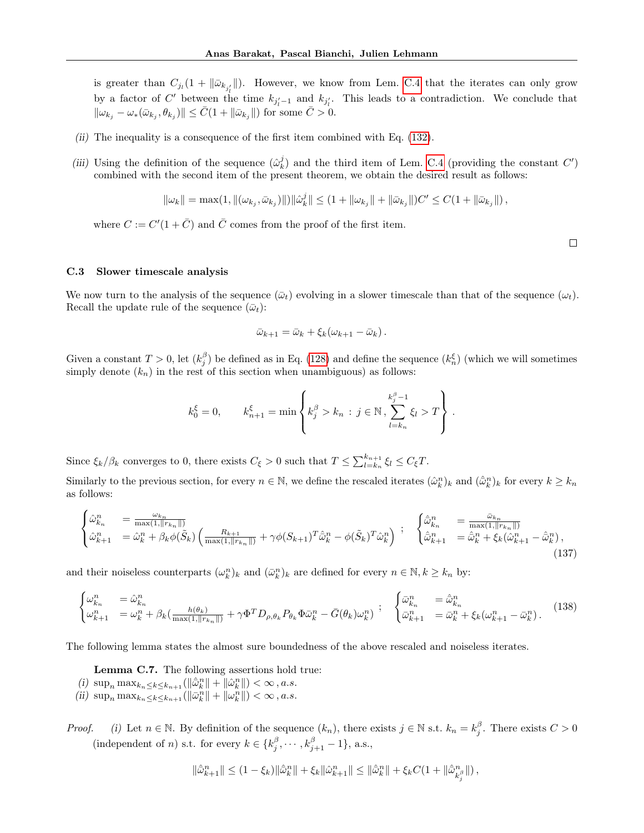is greater than  $C_{j_l}(1+\|\bar{\omega}_{k_{j'_l}}\|)$ . However, we know from Lem. [C.4](#page-37-2) that the iterates can only grow by a factor of C' between the time  $k_{j'_l-1}$  and  $k_{j'_l}$ . This leads to a contradiction. We conclude that  $\|\omega_{k_j}-\omega_*(\bar{\omega}_{k_j},\theta_{k_j})\| \leq \bar{C}(1+\|\bar{\omega}_{k_j}\|)$  for some  $\bar{C} > 0$ .

- (ii) The inequality is a consequence of the first item combined with Eq. [\(132\)](#page-38-0).
- (iii) Using the definition of the sequence  $(\hat{\omega}_k^j)$  and the third item of Lem. [C.4](#page-37-2) (providing the constant  $C'$ ) combined with the second item of the present theorem, we obtain the desired result as follows:

$$
\|\omega_k\| = \max(1, \|(\omega_{k_j}, \bar \omega_{k_j})\|)\|\hat \omega_k^j\| \le (1 + \|\omega_{k_j}\| + \|\bar \omega_{k_j}\|)C' \le C(1 + \|\bar \omega_{k_j}\|),
$$

where  $C := C'(1 + \overline{C})$  and  $\overline{C}$  comes from the proof of the first item.

 $\Box$ 

#### C.3 Slower timescale analysis

We now turn to the analysis of the sequence  $(\bar{\omega}_t)$  evolving in a slower timescale than that of the sequence  $(\omega_t)$ . Recall the update rule of the sequence  $(\bar{\omega}_t)$ :

$$
\bar{\omega}_{k+1} = \bar{\omega}_k + \xi_k (\omega_{k+1} - \bar{\omega}_k).
$$

Given a constant  $T > 0$ , let  $(k_j^{\beta})$  be defined as in Eq. [\(128\)](#page-36-1) and define the sequence  $(k_n^{\xi})$  (which we will sometimes simply denote  $(k_n)$  in the rest of this section when unambiguous) as follows:

$$
k_0^{\xi} = 0
$$
,  $k_{n+1}^{\xi} = \min \left\{ k_j^{\beta} > k_n : j \in \mathbb{N}, \sum_{l=k_n}^{k_j^{\beta}-1} \xi_l > T \right\}$ .

Since  $\xi_k/\beta_k$  converges to 0, there exists  $C_{\xi} > 0$  such that  $T \leq \sum_{l=k_n}^{k_{n+1}} \xi_l \leq C_{\xi}T$ .

Similarly to the previous section, for every  $n \in \mathbb{N}$ , we define the rescaled iterates  $(\hat{\omega}_k^n)_k$  and  $(\hat{\bar{\omega}}_k^n)_k$  for every  $k \geq k_n$ as follows:

$$
\begin{cases}\n\hat{\omega}_{k_n}^n &= \frac{\omega_{k_n}}{\max(1, ||r_{k_n}||)} \\
\hat{\omega}_{k+1}^n &= \hat{\omega}_k^n + \beta_k \phi(\tilde{S}_k) \left(\frac{R_{k+1}}{\max(1, ||r_{k_n}||)} + \gamma \phi(S_{k+1})^T \hat{\omega}_k^n - \phi(\tilde{S}_k)^T \hat{\omega}_k^n\right) \\
\vdots \\
\hat{\omega}_{k+1}^n &= \hat{\omega}_k^n + \xi_k (\hat{\omega}_{k+1}^n - \hat{\omega}_k^n),\n\end{cases}
$$
\n(137)

and their noiseless counterparts  $(\omega_k^n)_k$  and  $(\bar{\omega}_k^n)_k$  are defined for every  $n \in \mathbb{N}, k \geq k_n$  by:

$$
\begin{cases}\n\omega_{k_n}^n &= \hat{\omega}_{k_n}^n \\
\omega_{k+1}^n &= \omega_k^n + \beta_k \left(\frac{h(\theta_k)}{\max(1,||r_{k_n}||)} + \gamma \Phi^T D_{\rho,\theta_k} P_{\theta_k} \Phi \bar{\omega}_k^n - \bar{G}(\theta_k) \omega_k^n\right) \\
& \end{cases};\n\begin{cases}\n\bar{\omega}_{k_n}^n &= \hat{\omega}_{k_n}^n \\
\bar{\omega}_{k+1}^n &= \bar{\omega}_k^n + \xi_k (\omega_{k+1}^n - \bar{\omega}_k^n).\n\end{cases}\n\tag{138}
$$

The following lemma states the almost sure boundedness of the above rescaled and noiseless iterates.

<span id="page-40-0"></span>Lemma C.7. The following assertions hold true:

- (i)  $\sup_n \max_{k_n \leq k \leq k_{n+1}} (||\hat{\omega}_k^n|| + ||\hat{\omega}_k^n||) < \infty, a.s.$
- (ii)  $\sup_n \max_{k_n \leq k \leq k_{n+1}} (\|\bar{\omega}_k^n\| + \|\omega_k^n\|) < \infty, a.s.$
- *Proof.* (i) Let  $n \in \mathbb{N}$ . By definition of the sequence  $(k_n)$ , there exists  $j \in \mathbb{N}$  s.t.  $k_n = k_j^{\beta}$ . There exists  $C > 0$ (independent of *n*) s.t. for every  $k \in \{k_j^{\beta}, \dots, k_{j+1}^{\beta} - 1\}$ , a.s.,

$$
\|\hat{\omega}_{k+1}^n\| \leq (1-\xi_k) \|\hat{\omega}_k^n\| + \xi_k \|\hat{\omega}_{k+1}^n\| \leq \|\hat{\omega}_k^n\| + \xi_k C (1 + \|\hat{\omega}_{k_j^n}^n\|),
$$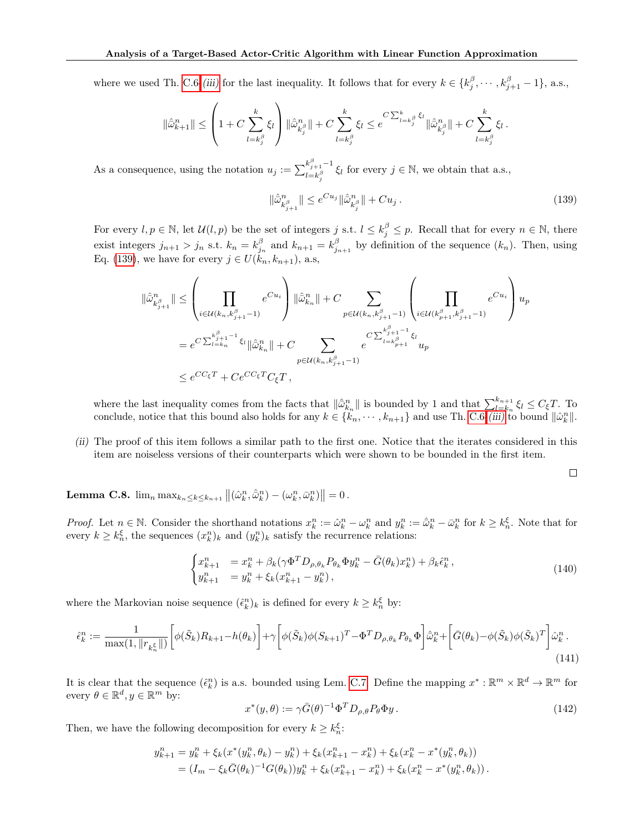where we used Th. [C.6-](#page-39-3)[\(iii\)](#page-39-4) for the last inequality. It follows that for every  $k \in \{k_j^{\beta}, \dots, k_{j+1}^{\beta} - 1\}$ , a.s.,

$$
\|\hat{\bar{\omega}}_{k+1}^n\| \leq \left(1 + C \sum_{l=k_j^\beta}^k \xi_l\right) \|\hat{\bar{\omega}}_{k_j^\beta}^n\| + C \sum_{l=k_j^\beta}^k \xi_l \leq e^{C \sum_{l=k_j^\beta}^k \xi_l} \|\hat{\bar{\omega}}_{k_j^\beta}^n\| + C \sum_{l=k_j^\beta}^k \xi_l.
$$

As a consequence, using the notation  $u_j := \sum_{l=1}^{k_{j+1}^{\beta}-1}$  $\sum_{l=k_{\beta}^{\beta}}^{k_{j+1}-1} \xi_{l}$  for every  $j \in \mathbb{N}$ , we obtain that a.s.,

<span id="page-41-0"></span>
$$
\|\hat{\bar{\omega}}_{k_{j+1}^{\beta}}^{n}\| \leq e^{Cu_{j}} \|\hat{\bar{\omega}}_{k_{j}^{\beta}}^{n}\| + Cu_{j}.
$$
\n(139)

For every  $l, p \in \mathbb{N}$ , let  $\mathcal{U}(l, p)$  be the set of integers j s.t.  $l \leq k_j^{\beta} \leq p$ . Recall that for every  $n \in \mathbb{N}$ , there exist integers  $j_{n+1} > j_n$  s.t.  $k_n = k_{j_n}^{\beta}$  and  $k_{n+1} = k_{j_{n+1}}^{\beta}$  by definition of the sequence  $(k_n)$ . Then, using Eq. [\(139\)](#page-41-0), we have for every  $j \in U(k_n, k_{n+1}),$  a.s,

$$
\begin{split} \|\hat{\bar{\omega}}_{k_{j+1}^{\beta}}^{n}\| &\leq \left(\prod_{i\in\mathcal{U}(k_{n},k_{j+1}^{\beta}-1)}e^{Cu_{i}}\right)\|\hat{\bar{\omega}}_{k_{n}}^{n}\|+C\sum_{p\in\mathcal{U}(k_{n},k_{j+1}^{\beta}-1)}\left(\prod_{i\in\mathcal{U}(k_{p+1}^{\beta},k_{j+1}^{\beta}-1)}e^{Cu_{i}}\right)u_{p} \\ &=e^{C\sum_{l=k_{n}}^{k_{j+1}^{\beta}-1}\xi_{l}}\|\hat{\bar{\omega}}_{k_{n}}^{n}\|+C\sum_{p\in\mathcal{U}(k_{n},k_{j+1}^{\beta}-1)}e^{C\sum_{l=k_{p+1}^{\beta}+1}^{k_{j+1}^{\beta}-1}\xi_{l}}u_{p} \\ &\leq e^{CC_{\xi}T}+Ce^{CC_{\xi}T}C_{\xi}T\,,\end{split}
$$

where the last inequality comes from the facts that  $\|\hat{\omega}_{k_n}^n\|$  is bounded by 1 and that  $\sum_{l=k_n}^{k_{n+1}} \xi_l \leq C_{\xi}T$ . To conclude, notice that this bound also holds for any  $k \in \{\mathcal{k}_n, \cdots, \mathcal{k}_{n+1}\}$  and use Th. [C.6-](#page-39-3)[\(iii\)](#page-39-4) to bound  $\|\hat{\omega}_k^n\|$ .

(ii) The proof of this item follows a similar path to the first one. Notice that the iterates considered in this item are noiseless versions of their counterparts which were shown to be bounded in the first item.

<span id="page-41-4"></span> $\Box$ 

<span id="page-41-2"></span>**Lemma C.8.**  $\lim_n \max_{k_n \leq k \leq k_{n+1}} ||(\hat{\omega}_k^n, \hat{\bar{\omega}}_k^n) - (\omega_k^n, \bar{\omega}_k^n)|| = 0$ .

*Proof.* Let  $n \in \mathbb{N}$ . Consider the shorthand notations  $x_k^n := \hat{\omega}_k^n - \omega_k^n$  and  $y_k^n := \hat{\omega}_k^n - \bar{\omega}_k^n$  for  $k \ge k_n^{\xi}$ . Note that for every  $k \geq k_n^{\xi}$ , the sequences  $(x_k^n)_k$  and  $(y_k^n)_k$  satisfy the recurrence relations:

<span id="page-41-1"></span>
$$
\begin{cases} x_{k+1}^n = x_k^n + \beta_k (\gamma \Phi^T D_{\rho, \theta_k} P_{\theta_k} \Phi y_k^n - \bar{G}(\theta_k) x_k^n) + \beta_k \hat{\epsilon}_k^n, \\ y_{k+1}^n = y_k^n + \xi_k (x_{k+1}^n - y_k^n), \end{cases}
$$
(140)

where the Markovian noise sequence  $(\hat{\epsilon}_k^n)_k$  is defined for every  $k \geq k_n^{\xi}$  by:

$$
\hat{\epsilon}_k^n := \frac{1}{\max(1, \|r_{k_n^{\xi}}\|)} \left[ \phi(\tilde{S}_k) R_{k+1} - h(\theta_k) \right] + \gamma \left[ \phi(\tilde{S}_k) \phi(S_{k+1})^T - \Phi^T D_{\rho, \theta_k} P_{\theta_k} \Phi \right] \hat{\omega}_k^n + \left[ \bar{G}(\theta_k) - \phi(\tilde{S}_k) \phi(\tilde{S}_k)^T \right] \hat{\omega}_k^n. \tag{141}
$$

It is clear that the sequence  $(\hat{\epsilon}_k^n)$  is a.s. bounded using Lem. [C.7.](#page-40-0) Define the mapping  $x^* : \mathbb{R}^m \times \mathbb{R}^d \to \mathbb{R}^m$  for every  $\theta \in \mathbb{R}^d, y \in \mathbb{R}^m$  by:

<span id="page-41-3"></span>
$$
x^*(y,\theta) := \gamma \bar{G}(\theta)^{-1} \Phi^T D_{\rho,\theta} P_{\theta} \Phi y. \tag{142}
$$

Then, we have the following decomposition for every  $k \geq k_n^{\xi}$ :

$$
y_{k+1}^n = y_k^n + \xi_k(x^*(y_k^n, \theta_k) - y_k^n) + \xi_k(x_{k+1}^n - x_k^n) + \xi_k(x_k^n - x^*(y_k^n, \theta_k))
$$
  
=  $(I_m - \xi_k \bar{G}(\theta_k)^{-1} G(\theta_k)) y_k^n + \xi_k(x_{k+1}^n - x_k^n) + \xi_k(x_k^n - x^*(y_k^n, \theta_k)).$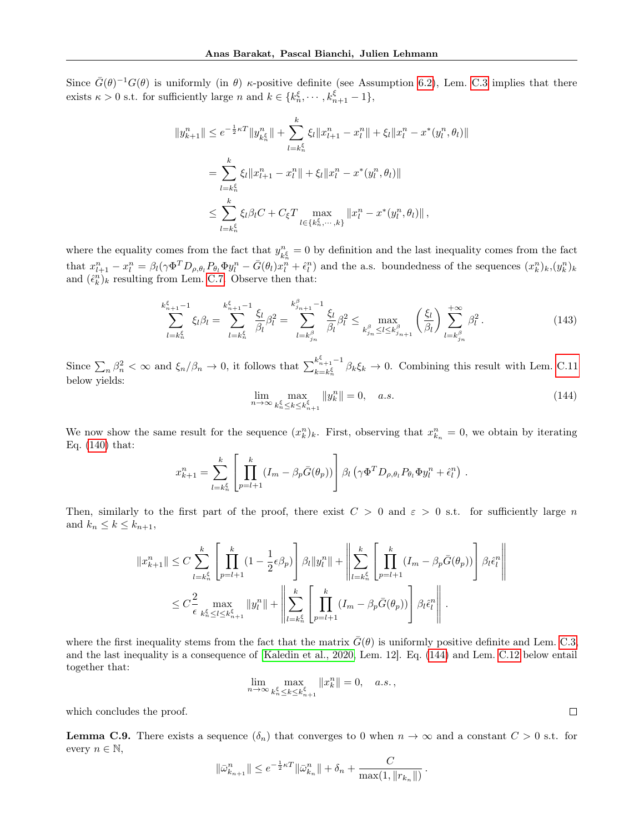Since  $\bar{G}(\theta)^{-1}G(\theta)$  is uniformly (in  $\theta$ )  $\kappa$ -positive definite (see Assumption [6.2\)](#page-7-0), Lem. [C.3](#page-37-0) implies that there exists  $\kappa > 0$  s.t. for sufficiently large n and  $k \in \{k_n^{\xi}, \cdots, k_{n+1}^{\xi} - 1\}$ ,

$$
||y_{k+1}^{n}|| \leq e^{-\frac{1}{2}\kappa T} ||y_{k_{n}^{\xi}}^{n}|| + \sum_{l=k_{n}^{\xi}}^k \xi_{l} ||x_{l+1}^{n} - x_{l}^{n}|| + \xi_{l} ||x_{l}^{n} - x^{*}(y_{l}^{n}, \theta_{l})||
$$
  

$$
= \sum_{l=k_{n}^{\xi}}^k \xi_{l} ||x_{l+1}^{n} - x_{l}^{n}|| + \xi_{l} ||x_{l}^{n} - x^{*}(y_{l}^{n}, \theta_{l})||
$$
  

$$
\leq \sum_{l=k_{n}^{\xi}}^k \xi_{l} \beta_{l} C + C_{\xi} T \max_{l \in \{k_{n}^{\xi}, \cdots, k\}} ||x_{l}^{n} - x^{*}(y_{l}^{n}, \theta_{l})||,
$$

where the equality comes from the fact that  $y_i^n$  $n_{k_n^{\xi}} = 0$  by definition and the last inequality comes from the fact that  $x_{l+1}^n - x_l^n = \beta_l(\gamma \Phi^T D_{\rho, \theta_l} P_{\theta_l} \Phi y_l^n - \bar{G}(\theta_l) x_l^n + \hat{\epsilon}_l^n)$  and the a.s. boundedness of the sequences  $(x_k^n)_k$ ,  $(y_k^n)_k$ and  $(\hat{\epsilon}_k^n)_k$  resulting from Lem. [C.7.](#page-40-0) Observe then that:

$$
\sum_{l=k_n^{\xi}}^{k_{n+1}^{\xi}-1} \xi_l \beta_l = \sum_{l=k_n^{\xi}}^{k_{n+1}^{\xi}-1} \frac{\xi_l}{\beta_l} \beta_l^2 = \sum_{l=k_{j_n}^{\beta}}^{k_{j_{n+1}}^{\beta}-1} \frac{\xi_l}{\beta_l} \beta_l^2 \leq \max_{k_{j_n}^{\beta} \leq l \leq k_{j_{n+1}}^{\beta}} \left(\frac{\xi_l}{\beta_l}\right) \sum_{l=k_{j_n}^{\beta}}^{+\infty} \beta_l^2.
$$
 (143)

Since  $\sum_n \beta_n^2 < \infty$  and  $\xi_n/\beta_n \to 0$ , it follows that  $\sum_{k=k\frac{\xi}{n}}^{k_{n+1}^{\xi}-1}$  $\int_{k=k_n^{\xi}}^{k_{n+1}} \beta_k \xi_k \to 0$ . Combining this result with Lem. [C.11](#page-44-0) below yields:

<span id="page-42-0"></span>
$$
\lim_{n \to \infty} \max_{k_n^{\xi} \le k \le k_{n+1}^{\xi}} \|y_k^n\| = 0, \quad a.s. \tag{144}
$$

We now show the same result for the sequence  $(x_k^n)_k$ . First, observing that  $x_{k_n}^n = 0$ , we obtain by iterating Eq. [\(140\)](#page-41-1) that:

$$
x_{k+1}^n = \sum_{l=k_n^{\xi}}^k \left[ \prod_{p=l+1}^k (I_m - \beta_p \bar{G}(\theta_p)) \right] \beta_l \left( \gamma \Phi^T D_{\rho,\theta_l} P_{\theta_l} \Phi y_l^n + \hat{\epsilon}_l^n \right).
$$

Then, similarly to the first part of the proof, there exist  $C > 0$  and  $\varepsilon > 0$  s.t. for sufficiently large n and  $k_n \leq k \leq k_{n+1}$ ,

$$
||x_{k+1}^n|| \leq C \sum_{l=k_n^{\xi}}^k \left[ \prod_{p=l+1}^k (1 - \frac{1}{2} \epsilon \beta_p) \right] \beta_l ||y_l^n|| + \left\| \sum_{l=k_n^{\xi}}^k \left[ \prod_{p=l+1}^k (I_m - \beta_p \bar{G}(\theta_p)) \right] \beta_l \hat{\epsilon}_l^n \right\|
$$
  

$$
\leq C \frac{2}{\epsilon} \max_{k_n^{\xi} \leq l \leq k_{n+1}^{\xi}} ||y_l^n|| + \left\| \sum_{l=k_n^{\xi}}^k \left[ \prod_{p=l+1}^k (I_m - \beta_p \bar{G}(\theta_p)) \right] \beta_l \hat{\epsilon}_l^n \right\|.
$$

where the first inequality stems from the fact that the matrix  $\bar{G}(\theta)$  is uniformly positive definite and Lem. [C.3,](#page-37-0) and the last inequality is a consequence of [\[Kaledin et al., 2020,](#page-9-12) Lem. 12]. Eq. [\(144\)](#page-42-0) and Lem. [C.12](#page-45-0) below entail together that:

$$
\lim_{n\to\infty}\max_{k_n^\xi\leq k\leq k_{n+1}^\xi}\|x_k^n\|=0,\quad a.s. \, ,
$$

which concludes the proof.

<span id="page-42-1"></span>**Lemma C.9.** There exists a sequence  $(\delta_n)$  that converges to 0 when  $n \to \infty$  and a constant  $C > 0$  s.t. for every  $n \in \mathbb{N}$ ,

$$
\|\bar{\omega}_{k_{n+1}}^n\| \leq e^{-\frac{1}{2}\kappa T} \|\bar{\omega}_{k_n}^n\| + \delta_n + \frac{C}{\max(1, \|r_{k_n}\|)}.
$$

 $\Box$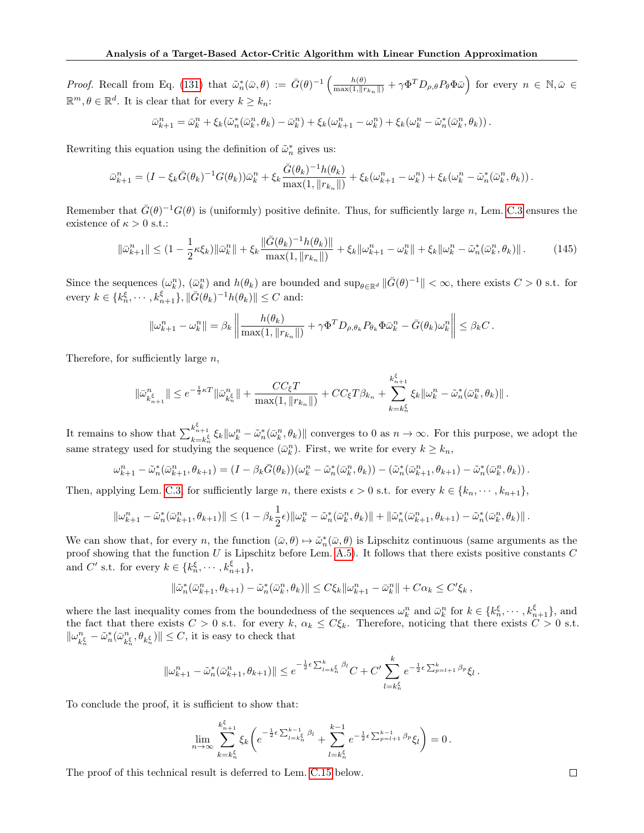Proof. Recall from Eq. [\(131\)](#page-38-3) that  $\tilde{\omega}_n^*(\bar{\omega}, \theta) := \bar{G}(\theta)^{-1} \left( \frac{h(\theta)}{\max(1, ||r_{k_n}||)} + \gamma \Phi^T D_{\rho, \theta} P_{\theta} \Phi \bar{\omega} \right)$  for every  $n \in \mathbb{N}, \bar{\omega} \in$  $\mathbb{R}^m, \theta \in \mathbb{R}^d$ . It is clear that for every  $k \geq k_n$ :

$$
\bar{\omega}_{k+1}^n = \bar{\omega}_k^n + \xi_k(\tilde{\omega}_n^*(\bar{\omega}_k^n, \theta_k) - \bar{\omega}_k^n) + \xi_k(\omega_{k+1}^n - \omega_k^n) + \xi_k(\omega_k^n - \tilde{\omega}_n^*(\bar{\omega}_k^n, \theta_k)).
$$

Rewriting this equation using the definition of  $\tilde{\omega}_n^*$  gives us:

$$
\bar{\omega}_{k+1}^n = (I - \xi_k \bar{G}(\theta_k)^{-1} G(\theta_k)) \bar{\omega}_k^n + \xi_k \frac{\bar{G}(\theta_k)^{-1} h(\theta_k)}{\max(1, \|r_{k_n}\|)} + \xi_k (\omega_{k+1}^n - \omega_k^n) + \xi_k (\omega_k^n - \tilde{\omega}_n^*(\bar{\omega}_k^n, \theta_k)).
$$

Remember that  $\bar{G}(\theta)^{-1}G(\theta)$  is (uniformly) positive definite. Thus, for sufficiently large n, Lem. [C.3](#page-37-0) ensures the existence of  $\kappa > 0$  s.t.:

<span id="page-43-0"></span>
$$
\|\bar{\omega}_{k+1}^n\| \le (1 - \frac{1}{2}\kappa \xi_k) \|\bar{\omega}_k^n\| + \xi_k \frac{\|\bar{G}(\theta_k)^{-1} h(\theta_k)\|}{\max(1, \|r_{k_n}\|)} + \xi_k \|\omega_{k+1}^n - \omega_k^n\| + \xi_k \|\omega_k^n - \tilde{\omega}_n^*(\bar{\omega}_k^n, \theta_k)\|.
$$
 (145)

Since the sequences  $(\omega_k^n)$ ,  $(\bar{\omega}_k^n)$  and  $h(\theta_k)$  are bounded and  $\sup_{\theta \in \mathbb{R}^d} \|\bar{G}(\theta)^{-1}\| < \infty$ , there exists  $C > 0$  s.t. for every  $k \in \{k_n^{\xi}, \cdots, k_{n+1}^{\xi}\}, \|\bar{G}(\theta_k)^{-1}h(\theta_k)\| \leq C$  and:

$$
\|\omega_{k+1}^n - \omega_k^n\| = \beta_k \left\| \frac{h(\theta_k)}{\max(1, \|r_{k_n}\|)} + \gamma \Phi^T D_{\rho, \theta_k} P_{\theta_k} \Phi \bar{\omega}_k^n - \bar{G}(\theta_k) \omega_k^n \right\| \leq \beta_k C.
$$

Therefore, for sufficiently large  $n$ ,

$$
\|\bar{\omega}_{k_{n+1}^{\xi}}^{n}\| \leq e^{-\frac{1}{2}\kappa T} \|\bar{\omega}_{k_{n}^{\xi}}^{n}\| + \frac{CC_{\xi}T}{\max(1, \|r_{k_{n}}\|)} + CC_{\xi}T\beta_{k_{n}} + \sum_{k=k_{n}^{\xi}}^{k_{n+1}^{\xi}} \xi_{k} \|\omega_{k}^{n} - \tilde{\omega}_{n}^{*}(\bar{\omega}_{k}^{n}, \theta_{k})\|.
$$

It remains to show that  $\sum_{k=k_n^{\xi}}^{k_{n+1}^{\xi}} \xi_k ||\omega_k^n - \tilde{\omega}_n^*(\bar{\omega}_k^n, \theta_k)||$  converges to 0 as  $n \to \infty$ . For this purpose, we adopt the same strategy used for studying the sequence  $(\bar{\omega}_k^n)$ . First, we write for every  $k \geq k_n$ ,

$$
\omega_{k+1}^n - \tilde{\omega}_n^*(\bar{\omega}_{k+1}^n, \theta_{k+1}) = (I - \beta_k \bar{G}(\theta_k))(\omega_k^n - \tilde{\omega}_n^*(\bar{\omega}_k^n, \theta_k)) - (\tilde{\omega}_n^*(\bar{\omega}_{k+1}^n, \theta_{k+1}) - \tilde{\omega}_n^*(\bar{\omega}_k^n, \theta_k)).
$$

Then, applying Lem. [C.3,](#page-37-0) for sufficiently large n, there exists  $\epsilon > 0$  s.t. for every  $k \in \{k_n, \dots, k_{n+1}\},$ 

$$
\|\omega_{k+1}^n - \tilde{\omega}_n^*(\bar{\omega}_{k+1}^n, \theta_{k+1})\| \leq (1 - \beta_k \frac{1}{2}\epsilon) \|\omega_k^n - \tilde{\omega}_n^*(\bar{\omega}_k^n, \theta_k)\| + \|\tilde{\omega}_n^*(\bar{\omega}_{k+1}^n, \theta_{k+1}) - \tilde{\omega}_n^*(\bar{\omega}_k^n, \theta_k)\|.
$$

We can show that, for every n, the function  $(\bar{\omega}, \theta) \mapsto \tilde{\omega}_n^*(\bar{\omega}, \theta)$  is Lipschitz continuous (same arguments as the proof showing that the function  $U$  is Lipschitz before Lem. [A.5\)](#page-17-1). It follows that there exists positive constants  $C$ and C' s.t. for every  $k \in \{k_n^{\xi}, \cdots, k_{n+1}^{\xi}\},\$ 

$$
\|\tilde{\omega}_{n}^*(\bar{\omega}_{k+1}^n,\theta_{k+1})-\tilde{\omega}_{n}^*(\bar{\omega}_{k}^n,\theta_{k})\|\leq C\xi_k\|\omega_{k+1}^n-\bar{\omega}_{k}^n\|+C\alpha_k\leq C'\xi_k\,,
$$

where the last inequality comes from the boundedness of the sequences  $\omega_k^n$  and  $\bar{\omega}_k^n$  for  $k \in \{k_n^{\xi}, \cdots, k_{n+1}^{\xi}\}$ , and the fact that there exists  $C > 0$  s.t. for every k,  $\alpha_k \leq C \xi_k$ . Therefore, noticing that there exists  $C > 0$  s.t.  $\Vert \omega_{L}^{n}$  $\frac{n}{k_n^{\xi}} - \tilde{\omega}_n^*(\bar{\omega}_k^n)$  $\|k_n^{\epsilon}, \theta_{k_n^{\xi}}\| \leq C$ , it is easy to check that

$$
\|\omega_{k+1}^n - \tilde{\omega}_n^*(\bar{\omega}_{k+1}^n, \theta_{k+1})\| \le e^{-\frac{1}{2}\epsilon \sum_{l=k_n^{\xi}}^{k} \beta_l} C + C' \sum_{l=k_n^{\xi}}^{k} e^{-\frac{1}{2}\epsilon \sum_{p=l+1}^{k} \beta_p} \xi_l.
$$

To conclude the proof, it is sufficient to show that:

$$
\lim_{n \to \infty} \sum_{k=k_n^{\xi}}^{k_{n+1}^{\xi}} \xi_k \bigg( e^{-\frac{1}{2}\epsilon \sum_{l=k_n^{\xi}}^{k-1} \beta_l} + \sum_{l=k_n^{\xi}}^{k-1} e^{-\frac{1}{2}\epsilon \sum_{p=l+1}^{k-1} \beta_p} \xi_l \bigg) = 0.
$$

The proof of this technical result is deferred to Lem. [C.15](#page-49-0) below.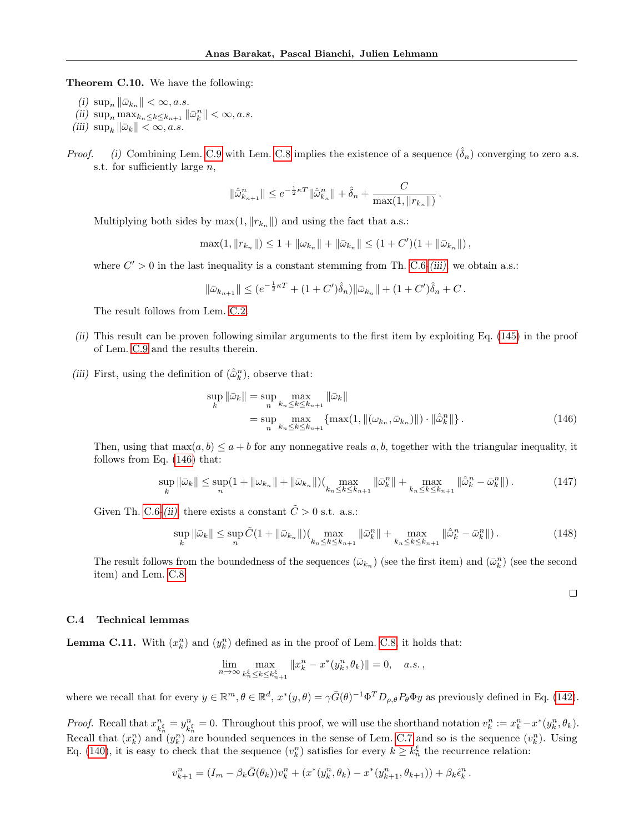Theorem C.10. We have the following:

- (i)  $\sup_n \|\bar{\omega}_{k_n}\| < \infty, a.s.$
- (ii)  $\sup_n \max_{k_n \leq k \leq k_{n+1}} ||\bar{\omega}_k^n|| < \infty, a.s.$
- (iii)  $\sup_k \|\bar{\omega}_k\| < \infty, a.s.$
- *Proof.* (i) Combining Lem. [C.9](#page-42-1) with Lem. [C.8](#page-41-2) implies the existence of a sequence  $(\hat{\delta}_n)$  converging to zero a.s. s.t. for sufficiently large  $n$ ,

$$
\|\hat{\bar{\omega}}_{k_{n+1}}^n\| \leq e^{-\frac{1}{2}\kappa T} \|\hat{\bar{\omega}}_{k_n}^n\| + \hat{\delta}_n + \frac{C}{\max(1, \|r_{k_n}\|)}.
$$

Multiplying both sides by  $\max(1, \|r_{k_n}\|)$  and using the fact that a.s.:

 $\max(1, ||r_{k_n}||) \leq 1 + ||\omega_{k_n}|| + ||\bar{\omega}_{k_n}|| \leq (1 + C')(1 + ||\bar{\omega}_{k_n}||),$ 

where  $C' > 0$  in the last inequality is a constant stemming from Th. [C.6-](#page-39-3)[\(iii\)](#page-39-4), we obtain a.s.:

$$
\|\bar{\omega}_{k_{n+1}}\| \le (e^{-\frac{1}{2}\kappa T} + (1+C')\hat{\delta}_n)\|\bar{\omega}_{k_n}\| + (1+C')\hat{\delta}_n + C.
$$

The result follows from Lem. [C.2.](#page-37-3)

- (ii) This result can be proven following similar arguments to the first item by exploiting Eq. [\(145\)](#page-43-0) in the proof of Lem. [C.9](#page-42-1) and the results therein.
- (iii) First, using the definition of  $(\hat{\omega}_k^n)$ , observe that:

$$
\sup_{k} \|\bar{\omega}_{k}\| = \sup_{n} \max_{k_{n} \le k \le k_{n+1}} \|\bar{\omega}_{k}\|
$$
  
= 
$$
\sup_{n} \max_{k_{n} \le k \le k_{n+1}} \{ \max(1, \|(\omega_{k_{n}}, \bar{\omega}_{k_{n}})\|) \cdot \|\hat{\omega}_{k}^{n}\| \}.
$$
 (146)

Then, using that  $\max(a, b) \le a + b$  for any nonnegative reals a, b, together with the triangular inequality, it follows from Eq. [\(146\)](#page-44-1) that:

$$
\sup_{k} \|\bar{\omega}_{k}\| \le \sup_{n} (1 + \|\omega_{k_n}\| + \|\bar{\omega}_{k_n}\|) (\max_{k_n \le k \le k_{n+1}} \|\bar{\omega}_{k}^n\| + \max_{k_n \le k \le k_{n+1}} \|\hat{\omega}_{k}^n - \bar{\omega}_{k}^n\|). \tag{147}
$$

Given Th. [C.6-](#page-39-3)[\(ii\)](#page-39-5), there exists a constant  $\tilde{C} > 0$  s.t. a.s.:

$$
\sup_{k} \|\bar{\omega}_{k}\| \le \sup_{n} \tilde{C} (1 + \|\bar{\omega}_{k_n}\|) \left( \max_{k_n \le k \le k_{n+1}} \|\bar{\omega}_{k}^n\| + \max_{k_n \le k \le k_{n+1}} \|\hat{\omega}_{k}^n - \bar{\omega}_{k}^n\| \right). \tag{148}
$$

The result follows from the boundedness of the sequences  $(\bar{\omega}_{k_n})$  (see the first item) and  $(\bar{\omega}_k^n)$  (see the second item) and Lem. [C.8.](#page-41-2)

<span id="page-44-1"></span> $\Box$ 

#### C.4 Technical lemmas

<span id="page-44-0"></span>**Lemma C.11.** With  $(x_k^n)$  and  $(y_k^n)$  defined as in the proof of Lem. [C.8,](#page-41-2) it holds that:

$$
\lim_{n \to \infty} \max_{k_n^{\xi} \le k \le k_{n+1}^{\xi}} \|x_k^n - x^*(y_k^n, \theta_k)\| = 0, \quad a.s.,
$$

where we recall that for every  $y \in \mathbb{R}^m$ ,  $\theta \in \mathbb{R}^d$ ,  $x^*(y, \theta) = \gamma \bar{G}(\theta)^{-1} \Phi^T D_{\rho, \theta} P_{\theta} \Phi y$  as previously defined in Eq. [\(142\)](#page-41-3).

*Proof.* Recall that  $x_i^n$  $\frac{n}{k_n^{\xi}} = y_k^n$  $\frac{n}{k_n^{\xi}} = 0$ . Throughout this proof, we will use the shorthand notation  $v_k^n := x_k^n - x^*(y_k^n, \theta_k)$ . Recall that  $(x_k^n)$  and  $(y_k^n)$  are bounded sequences in the sense of Lem. [C.7](#page-40-0) and so is the sequence  $(v_k^n)$ . Using Eq. [\(140\)](#page-41-1), it is easy to check that the sequence  $(v_k^n)$  satisfies for every  $k \geq k_n^{\xi}$  the recurrence relation:

$$
v_{k+1}^n = (I_m - \beta_k \bar{G}(\theta_k))v_k^n + (x^*(y_k^n, \theta_k) - x^*(y_{k+1}^n, \theta_{k+1})) + \beta_k \hat{\epsilon}_k^n.
$$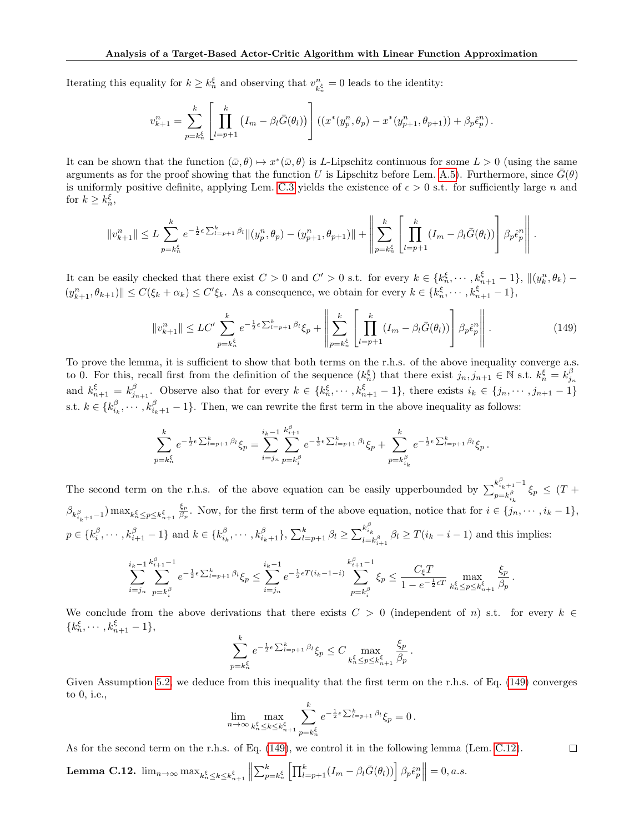Iterating this equality for  $k \geq k_n^{\xi}$  and observing that  $v_k^n$  $\binom{n}{k_n^{\xi}} = 0$  leads to the identity:

$$
v_{k+1}^n = \sum_{p=k_n^{\xi}}^k \left[ \prod_{l=p+1}^k (I_m - \beta_l \bar{G}(\theta_l)) \right] \left( (x^*(y_p^n, \theta_p) - x^*(y_{p+1}^n, \theta_{p+1})) + \beta_p \hat{\epsilon}_p^n \right).
$$

It can be shown that the function  $(\bar{\omega}, \theta) \mapsto x^*(\bar{\omega}, \theta)$  is L-Lipschitz continuous for some  $L > 0$  (using the same arguments as for the proof showing that the function U is Lipschitz before Lem. [A.5\)](#page-17-1). Furthermore, since  $G(\theta)$ is uniformly positive definite, applying Lem. [C.3](#page-37-0) yields the existence of  $\epsilon > 0$  s.t. for sufficiently large n and for  $k \geq k_n^{\xi}$ ,

$$
||v_{k+1}^{n}|| \leq L \sum_{p=k_{n}^{\xi}}^{k} e^{-\frac{1}{2}\epsilon \sum_{l=p+1}^{k} \beta_{l}} ||(y_{p}^{n}, \theta_{p}) - (y_{p+1}^{n}, \theta_{p+1})|| + \left\| \sum_{p=k_{n}^{\xi}}^{k} \left[ \prod_{l=p+1}^{k} (I_{m} - \beta_{l} \bar{G}(\theta_{l})) \right] \beta_{p} \hat{\epsilon}_{p}^{n} \right\|.
$$

It can be easily checked that there exist  $C > 0$  and  $C' > 0$  s.t. for every  $k \in \{k_n^{\xi}, \dots, k_{n+1}^{\xi} - 1\}$ ,  $\|(y_k^n, \theta_k) (y_{k+1}^n, \theta_{k+1})$   $\leq C(\xi_k + \alpha_k) \leq C'\xi_k$ . As a consequence, we obtain for every  $k \in \{k_n^{\xi}, \cdots, k_{n+1}^{\xi} - 1\}$ ,

<span id="page-45-1"></span>
$$
||v_{k+1}^{n}|| \le LC' \sum_{p=k_{n}^{\xi}}^{k} e^{-\frac{1}{2}\epsilon \sum_{l=p+1}^{k} \beta_{l}} \xi_{p} + \left\| \sum_{p=k_{n}^{\xi}}^{k} \left[ \prod_{l=p+1}^{k} (I_{m} - \beta_{l} \bar{G}(\theta_{l})) \right] \beta_{p} \hat{\epsilon}_{p}^{n} \right\|.
$$
 (149)

To prove the lemma, it is sufficient to show that both terms on the r.h.s. of the above inequality converge a.s. to 0. For this, recall first from the definition of the sequence  $(k_n^{\xi})$  that there exist  $j_n, j_{n+1} \in \mathbb{N}$  s.t.  $k_n^{\xi} = k_{j_n}^{\beta}$ and  $k_{n+1}^{\xi} = k_{j_{n+1}}^{\beta}$ . Observe also that for every  $k \in \{k_n^{\xi}, \dots, k_{n+1}^{\xi} - 1\}$ , there exists  $i_k \in \{j_n, \dots, j_{n+1} - 1\}$ s.t.  $k \in \{k_{i_k}^{\beta}, \cdots, k_{i_k+1}^{\beta}-1\}$ . Then, we can rewrite the first term in the above inequality as follows:

$$
\sum_{p=k_n^{\xi}}^k e^{-\frac{1}{2}\epsilon \sum_{l=p+1}^k \beta_l} \xi_p = \sum_{i=j_n}^{i_k-1} \sum_{p=k_i^{\beta}}^{k_{i+1}^{\beta}} e^{-\frac{1}{2}\epsilon \sum_{l=p+1}^k \beta_l} \xi_p + \sum_{p=k_{i_k}^{\beta}}^k e^{-\frac{1}{2}\epsilon \sum_{l=p+1}^k \beta_l} \xi_p.
$$

The second term on the r.h.s. of the above equation can be easily upperbounded by  $\sum_{i=1}^{k_{i_k+1}^{\beta}-1}$  $\sum_{p=k_{i_k}^{\beta}}^{n_{i_k+1}-1} \xi_p \leq (T +$  $\beta_{k_{i_k+1}^{\beta}-1}) \max_{k_n^{\xi} \le p \le k_{n+1}^{\xi}}$  $\xi_p$  $\frac{\xi_p}{\beta_p}$ . Now, for the first term of the above equation, notice that for  $i \in \{j_n, \dots, i_k - 1\}$ ,  $p \in \{k_i^{\beta}, \cdots, k_{i+1}^{\beta} - 1\}$  and  $k \in \{k_{i_k}^{\beta}, \cdots, k_{i_k+1}^{\beta}\}, \sum_{l=p+1}^{k} \beta_l \ge \sum_{l=1}^{k_{i_k}^{\beta}}$  $\prod_{l=k_{i+1}^{\beta}}^{n_k} \beta_l \geq T(i_k - i - 1)$  and this implies: i  $k_i^{\beta}$ ii k β i

$$
\sum_{i=j_n}^{i_k-1} \sum_{p=k_i^{\beta}}^{k_{i+1}^{\beta}-1} e^{-\frac{1}{2}\epsilon \sum_{l=p+1}^{k} \beta_l} \xi_p \le \sum_{i=j_n}^{i_k-1} e^{-\frac{1}{2}\epsilon T(i_k-1-i)} \sum_{p=k_i^{\beta}}^{k_{i+1}^{\beta}-1} \xi_p \le \frac{C_{\xi}T}{1 - e^{-\frac{1}{2}\epsilon T}} \max_{k_n^{\xi} \le p \le k_{n+1}^{\xi}} \frac{\xi_p}{\beta_p}.
$$

We conclude from the above derivations that there exists  $C > 0$  (independent of n) s.t. for every  $k \in \mathbb{Z}$  ${k_n^{\xi}, \cdots, k_{n+1}^{\xi}-1},$ 

$$
\sum_{p=k_n^{\xi}}^k e^{-\frac{1}{2}\epsilon \sum_{l=p+1}^k \beta_l} \xi_p \le C \max_{k_n^{\xi} \le p \le k_{n+1}^{\xi}} \frac{\xi_p}{\beta_p}.
$$

Given Assumption [5.2,](#page-5-2) we deduce from this inequality that the first term on the r.h.s. of Eq. [\(149\)](#page-45-1) converges to 0, i.e.,

$$
\lim_{n \to \infty} \max_{k_n^{\xi} \le k \le k_{n+1}^{\xi}} \sum_{p=k_n^{\xi}}^k e^{-\frac{1}{2}\epsilon \sum_{l=p+1}^k \beta_l} \xi_p = 0.
$$

As for the second term on the r.h.s. of Eq. [\(149\)](#page-45-1), we control it in the following lemma (Lem. [C.12\)](#page-45-0).  $\Box$ 

<span id="page-45-0"></span>Lemma C.12.  $\lim_{n\to\infty}\max_{k_n^{\xi}\leq k\leq k_{n+1}^{\xi}}$  $\left\|\sum_{p=k_n^{\xi}}^{k} \left[\prod_{l=p+1}^{k} (I_m - \beta_l \bar{G}(\theta_l))\right] \beta_p \hat{\epsilon}_p^n\right\| = 0, a.s.$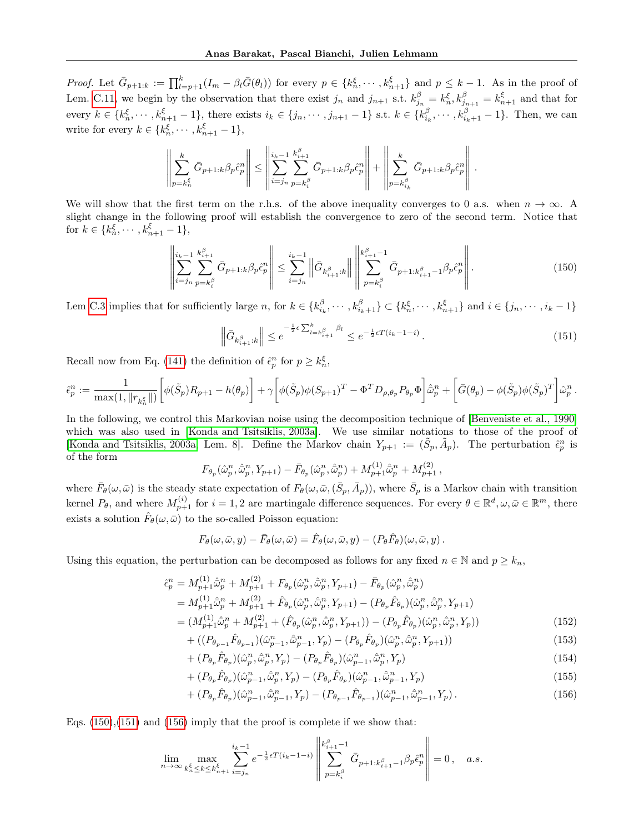Proof. Let  $\bar{G}_{p+1:k} := \prod_{l=p+1}^{k} (I_m - \beta_l \bar{G}(\theta_l))$  for every  $p \in \{k_n^{\xi}, \cdots, k_{n+1}^{\xi}\}$  and  $p \leq k-1$ . As in the proof of Lem. [C.11,](#page-44-0) we begin by the observation that there exist  $j_n$  and  $j_{n+1}$  s.t.  $k_{j_n}^{\beta} = k_n^{\xi}, k_{j_{n+1}}^{\beta} = k_{n+1}^{\xi}$  and that for every  $k \in \{k_n^{\xi}, \dots, k_{n+1}^{\xi}-1\}$ , there exists  $i_k \in \{j_n, \dots, j_{n+1}-1\}$  s.t.  $k \in \{k_{i_k}^{\beta}, \dots, k_{i_k+1}^{\beta}-1\}$ . Then, we can write for every  $k \in \{k_n^{\xi}, \cdots, k_{n+1}^{\xi} - 1\},\$ 

$$
\left\| \sum_{p=k_n^{\xi}}^k \bar{G}_{p+1:k} \beta_p \hat{\epsilon}_p^n \right\| \le \left\| \sum_{i=j_n}^{i_k-1} \sum_{p=k_i^{\beta}}^{k_{i+1}^{\beta}} \bar{G}_{p+1:k} \beta_p \hat{\epsilon}_p^n \right\| + \left\| \sum_{p=k_{i_k}^{\beta}}^k \bar{G}_{p+1:k} \beta_p \hat{\epsilon}_p^n \right\|.
$$

We will show that the first term on the r.h.s. of the above inequality converges to 0 a.s. when  $n \to \infty$ . A slight change in the following proof will establish the convergence to zero of the second term. Notice that for  $k \in \{k_n^{\xi}, \cdots, k_{n+1}^{\xi} - 1\},\$ 

$$
\left\| \sum_{i=j_n}^{i_k-1} \sum_{p=k_i^{\beta}}^{k_{i+1}^{\beta}} \bar{G}_{p+1:k} \beta_p \hat{e}_p^n \right\| \le \sum_{i=j_n}^{i_k-1} \left\| \bar{G}_{k_{i+1}^{\beta},k} \right\| \left\| \sum_{p=k_i^{\beta}}^{k_{i+1}^{\beta}-1} \bar{G}_{p+1:k_{i+1}^{\beta}-1} \beta_p \hat{e}_p^n \right\|.
$$
 (150)

Lem [C.3](#page-37-0) implies that for sufficiently large n, for  $k \in \{k_{i_k}^{\beta}, \cdots, k_{i_k+1}^{\beta}\} \subset \{k_n^{\xi}, \cdots, k_{n+1}^{\xi}\}$  and  $i \in \{j_n, \cdots, i_k-1\}$ 

<span id="page-46-1"></span><span id="page-46-0"></span>
$$
\left\| \bar{G}_{k_{i+1}^{\beta}:k} \right\| \le e^{-\frac{1}{2}\epsilon \sum_{l=k_{i+1}^{\beta}}^{k} \beta_l} \le e^{-\frac{1}{2}\epsilon T(i_k - 1 - i)}.
$$
\n(151)

Recall now from Eq. [\(141\)](#page-41-4) the definition of  $\hat{\epsilon}_p^n$  for  $p \geq k_n^{\xi}$ ,

$$
\hat{\epsilon}_p^n := \frac{1}{\max(1, \|r_{k_n^{\xi}}\|)} \bigg[ \phi(\tilde{S}_p) R_{p+1} - h(\theta_p) \bigg] + \gamma \bigg[ \phi(\tilde{S}_p) \phi(S_{p+1})^T - \Phi^T D_{\rho, \theta_p} P_{\theta_p} \Phi \bigg] \hat{\omega}_p^n + \bigg[ \bar{G}(\theta_p) - \phi(\tilde{S}_p) \phi(\tilde{S}_p)^T \bigg] \hat{\omega}_p^n.
$$

In the following, we control this Markovian noise using the decomposition technique of [\[Benveniste et al., 1990\]](#page-9-6) which was also used in [\[Konda and Tsitsiklis, 2003a\]](#page-9-15). We use similar notations to those of the proof of [\[Konda and Tsitsiklis, 2003a,](#page-9-15) Lem. 8]. Define the Markov chain  $Y_{p+1} := (\tilde{S}_p, \tilde{A}_p)$ . The perturbation  $\hat{\epsilon}_p^n$  is of the form

$$
F_{\theta_p}(\hat{\omega}_p^n, \hat{\bar{\omega}}_p^n, Y_{p+1}) - \bar{F}_{\theta_p}(\hat{\omega}_p^n, \hat{\bar{\omega}}_p^n) + M_{p+1}^{(1)} \hat{\bar{\omega}}_p^n + M_{p+1}^{(2)},
$$

where  $\bar{F}_{\theta}(\omega,\bar{\omega})$  is the steady state expectation of  $F_{\theta}(\omega,\bar{\omega},(\bar{S}_p,\bar{A}_p))$ , where  $\bar{S}_p$  is a Markov chain with transition kernel  $P_{\theta}$ , and where  $M_{p+1}^{(i)}$  for  $i=1,2$  are martingale difference sequences. For every  $\theta \in \mathbb{R}^d, \omega, \bar{\omega} \in \mathbb{R}^m$ , there exists a solution  $\hat{F}_{\theta}(\omega,\bar{\omega})$  to the so-called Poisson equation:

$$
F_{\theta}(\omega,\bar{\omega},y) - \bar{F}_{\theta}(\omega,\bar{\omega}) = \hat{F}_{\theta}(\omega,\bar{\omega},y) - (P_{\theta}\hat{F}_{\theta})(\omega,\bar{\omega},y).
$$

Using this equation, the perturbation can be decomposed as follows for any fixed  $n \in \mathbb{N}$  and  $p \geq k_n$ ,

$$
\hat{\epsilon}_p^n = M_{p+1}^{(1)} \hat{\omega}_p^n + M_{p+1}^{(2)} + F_{\theta_p} (\hat{\omega}_p^n, \hat{\omega}_p^n, Y_{p+1}) - \bar{F}_{\theta_p} (\hat{\omega}_p^n, \hat{\omega}_p^n)
$$
\n
$$
= M_{p+1}^{(1)} \hat{\omega}_p^n + M_{p+1}^{(2)} + \hat{F}_{\theta_p} (\hat{\omega}_p^n, \hat{\omega}_p^n, Y_{p+1}) - (P_{\theta_p} \hat{F}_{\theta_p}) (\hat{\omega}_p^n, \hat{\omega}_p^n, Y_{p+1})
$$
\n
$$
= (M_{p+1}^{(1)} \hat{\omega}_p^n + M_{p+1}^{(2)} + (\hat{F}_{\theta_p} (\hat{\omega}_p^n, \hat{\omega}_p^n, Y_{p+1})) - (P_{\theta_p} \hat{F}_{\theta_p}) (\hat{\omega}_p^n, \hat{\omega}_p^n, Y_p))
$$
\n(152)

$$
+ ((P_{\theta_{p-1}}\hat{F}_{\theta_{p-1}})(\hat{\omega}_{p-1}^n, \hat{\bar{\omega}}_{p-1}^n, Y_p) - (P_{\theta_p}\hat{F}_{\theta_p})(\hat{\omega}_p^n, \hat{\bar{\omega}}_p^n, Y_{p+1}))
$$
\n(153)

$$
+(P_{\theta_p}\hat{F}_{\theta_p})(\hat{\omega}_p^n,\hat{\omega}_p^n,Y_p)-(P_{\theta_p}\hat{F}_{\theta_p})(\hat{\omega}_{p-1}^n,\hat{\omega}_p^n,Y_p) \tag{154}
$$

$$
+ (P_{\theta_p} \hat{F}_{\theta_p}) (\hat{\omega}_{p-1}^n, \hat{\bar{\omega}}_p^n, Y_p) - (P_{\theta_p} \hat{F}_{\theta_p}) (\hat{\omega}_{p-1}^n, \hat{\bar{\omega}}_{p-1}^n, Y_p) \tag{155}
$$

<span id="page-46-2"></span>+ 
$$
(P_{\theta_p}\hat{F}_{\theta_p})(\hat{\omega}_{p-1}^n, \hat{\bar{\omega}}_{p-1}^n, Y_p) - (P_{\theta_{p-1}}\hat{F}_{\theta_{p-1}})(\hat{\omega}_{p-1}^n, \hat{\bar{\omega}}_{p-1}^n, Y_p).
$$
 (156)

Eqs.  $(150)$ , $(151)$  and  $(156)$  imply that the proof is complete if we show that:

$$
\lim_{n \to \infty} \max_{k_n^{\xi} \le k \le k_{n+1}^{\xi}} \sum_{i=j_n}^{i_k-1} e^{-\frac{1}{2}\epsilon T(i_k-1-i)} \left\| \sum_{p=k_i^{\beta}}^{k_{i+1}^{\beta}-1} \bar{G}_{p+1:k_{i+1}^{\beta}-1} \beta_p \hat{e}_p^n \right\| = 0, \quad a.s.
$$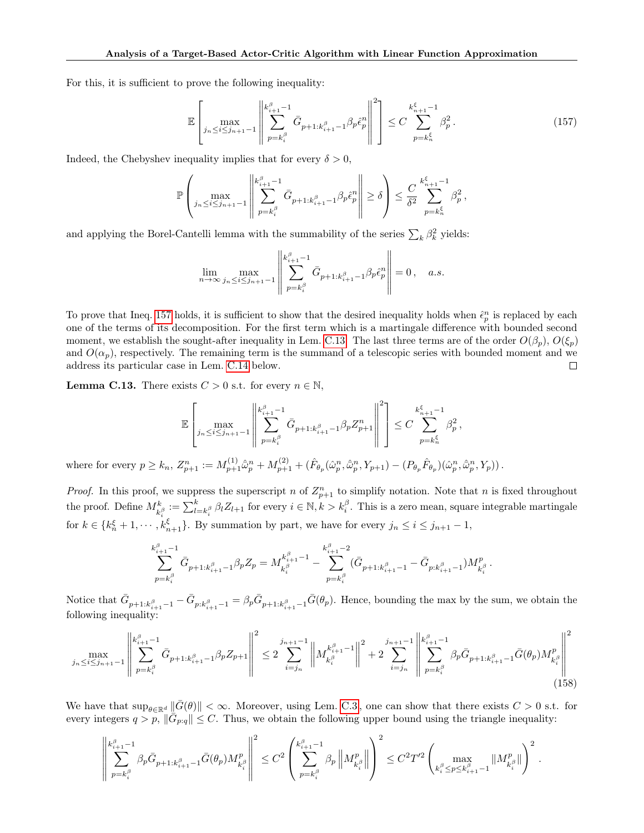For this, it is sufficient to prove the following inequality:

<span id="page-47-0"></span>
$$
\mathbb{E}\left[\max_{j_{n}\leq i\leq j_{n+1}-1} \left\| \sum_{p=k_{i}^{\beta}}^{k_{i+1}^{\beta}-1} \bar{G}_{p+1:k_{i+1}^{\beta}-1}\beta_{p}\hat{c}_{p}^{n} \right\|^{2}\right] \leq C \sum_{p=k_{n}^{\xi}}^{k_{n+1}^{\xi}-1} \beta_{p}^{2}.
$$
\n(157)

Indeed, the Chebyshev inequality implies that for every  $\delta > 0$ ,

$$
\mathbb{P}\left(\max_{j_n\leq i\leq j_{n+1}-1}\left\|\sum_{p=k_i^{\beta}}^{k_{i+1}^{\beta}-1}\bar{G}_{p+1:k_{i+1}^{\beta}-1}\beta_p\hat{\epsilon}_p^n\right\| \geq \delta\right) \leq \frac{C}{\delta^2}\sum_{p=k_n^{\xi}}^{k_{n+1}^{\xi}-1}\beta_p^2,
$$

and applying the Borel-Cantelli lemma with the summability of the series  $\sum_{k} \beta_k^2$  yields:

$$
\lim_{n \to \infty} \max_{j_n \le i \le j_{n+1}-1} \left\| \sum_{p=k_i^{\beta}}^{\kappa_{i+1}^{\beta}-1} \bar{G}_{p+1:k_{i+1}^{\beta}-1} \beta_p \hat{\epsilon}_p^n \right\| = 0, \quad a.s.
$$

To prove that Ineq. [157](#page-47-0) holds, it is sufficient to show that the desired inequality holds when  $\hat{\epsilon}_p^n$  is replaced by each one of the terms of its decomposition. For the first term which is a martingale difference with bounded second moment, we establish the sought-after inequality in Lem. [C.13.](#page-47-1) The last three terms are of the order  $O(\beta_p)$ ,  $O(\xi_p)$ and  $O(\alpha_p)$ , respectively. The remaining term is the summand of a telescopic series with bounded moment and we address its particular case in Lem. [C.14](#page-48-0) below. □

<span id="page-47-1"></span>**Lemma C.13.** There exists  $C > 0$  s.t. for every  $n \in \mathbb{N}$ ,

$$
\mathbb{E}\left[\max_{j_n\leq i\leq j_{n+1}-1}\left\|\sum_{p=k_i^\beta}^{k_{i+1}^\beta-1}\bar{G}_{p+1:k_{i+1}^\beta-1}\beta_pZ_{p+1}^n\right\|^2\right]\leq C\sum_{p=k_n^\xi}^{k_{n+1}^\xi-1}\beta_p^2\,,
$$

where for every  $p \geq k_n$ ,  $Z_{p+1}^n := M_{p+1}^{(1)} \hat{\omega}_p^n + M_{p+1}^{(2)} + (\hat{F}_{\theta_p}(\hat{\omega}_p^n, \hat{\omega}_p^n, Y_{p+1}) - (P_{\theta_p} \hat{F}_{\theta_p})(\hat{\omega}_p^n, \hat{\omega}_p^n, Y_p)).$ 

*Proof.* In this proof, we suppress the superscript n of  $Z_{p+1}^n$  to simplify notation. Note that n is fixed throughout the proof. Define  $M_{k_i^{\beta}}^k := \sum_{l=k_i^{\beta}}^k \beta_l Z_{l+1}$  for every  $i \in \mathbb{N}, k > k_i^{\beta}$ . This is a zero mean, square integrable martingale for  $k \in \{k_n^{\xi} + 1, \dots, k_{n+1}^{\xi}\}$ . By summation by part, we have for every  $j_n \le i \le j_{n+1} - 1$ ,

<span id="page-47-2"></span>
$$
\sum_{p=k_i^\beta}^{k_{i+1}^\beta-1} \bar{G}_{p+1:k_{i+1}^\beta-1} \beta_p Z_p = M_{k_i^\beta}^{k_{i+1}^\beta-1} - \sum_{p=k_i^\beta}^{k_{i+1}^\beta-2} (\bar{G}_{p+1:k_{i+1}^\beta-1} - \bar{G}_{p:k_{i+1}^\beta-1}) M_{k_i^\beta}^p.
$$

Notice that  $\bar{G}_{p+1:k_{i+1}^{\beta}-1} - \bar{G}_{p:k_{i+1}^{\beta}-1} = \beta_p \bar{G}_{p+1:k_{i+1}^{\beta}-1} \bar{G}(\theta_p)$ . Hence, bounding the max by the sum, we obtain the following inequality:

$$
\max_{j_n \le i \le j_{n+1}-1} \left\| \sum_{p=k_i^{\beta}}^{k_{i+1}^{\beta}-1} \bar{G}_{p+1:k_{i+1}^{\beta}-1} \beta_p Z_{p+1} \right\|^2 \le 2 \sum_{i=j_n}^{j_{n+1}-1} \left\| M_{k_i^{\beta}}^{k_{i+1}^{\beta}-1} \right\|^2 + 2 \sum_{i=j_n}^{j_{n+1}-1} \left\| \sum_{p=k_i^{\beta}}^{k_{i+1}^{\beta}-1} \beta_p \bar{G}_{p+1:k_{i+1}^{\beta}-1} \bar{G}(\theta_p) M_{k_i^{\beta}}^p \right\|^2 \tag{158}
$$

We have that  $\sup_{\theta \in \mathbb{R}^d} \|\bar{G}(\theta)\| < \infty$ . Moreover, using Lem. [C.3](#page-37-0), one can show that there exists  $C > 0$  s.t. for every integers  $q > p$ ,  $\|\vec{G}_{p,q}\| \leq C$ . Thus, we obtain the following upper bound using the triangle inequality:

$$
\left\|\sum_{p=k_i^\beta}^{k_{i+1}^\beta-1}\beta_p\bar G_{p+1:k_{i+1}^\beta-1}\bar G(\theta_p)M_{k_i^\beta}^p\right\|^2\leq C^2\left(\sum_{p=k_i^\beta}^{k_{i+1}^\beta-1}\beta_p\left\|M_{k_i^\beta}^p\right\|\right)^2\leq C^2T'^2\left(\max_{k_i^\beta\leq p\leq k_{i+1}^\beta-1}\|M_{k_i^\beta}^p\right)^2\,.
$$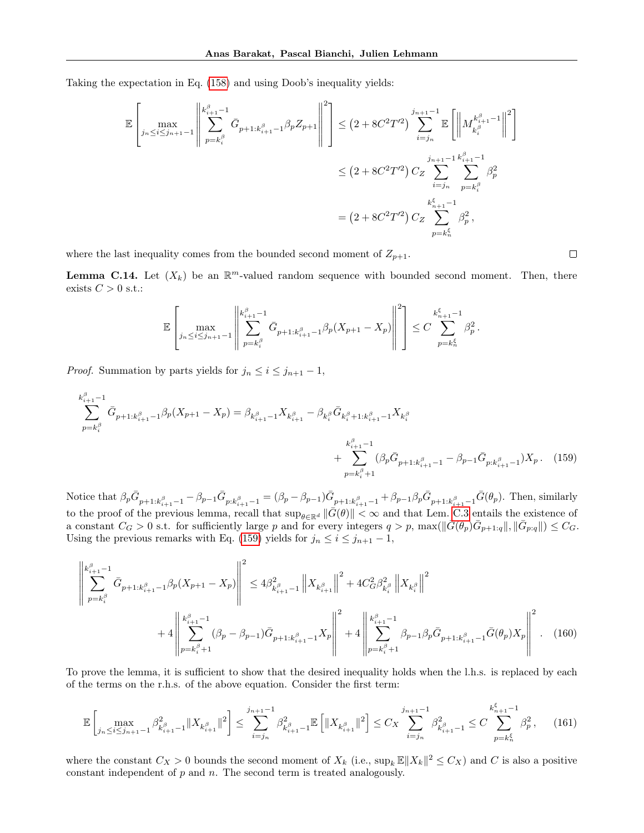Taking the expectation in Eq. [\(158\)](#page-47-2) and using Doob's inequality yields:

$$
\mathbb{E}\left[\max_{j_n\leq i\leq j_{n+1}-1}\left\|\sum_{p=k_i^{\beta}}^{k_{i+1}^{\beta}-1}\bar{G}_{p+1:k_{i+1}^{\beta}-1}\beta_p Z_{p+1}\right\|^2\right] \leq (2+8C^2T^{\prime 2})\sum_{i=j_n}^{j_{n+1}-1}\mathbb{E}\left[\left\|M_{k_i^{\beta}}^{k_{i+1}^{\beta}-1}\right\|^2\right] \n\leq (2+8C^2T^{\prime 2})\sum_{i=j_n}^{j_{n+1}-1}\sum_{p=k_i^{\beta}}^{k_{i+1}^{\beta}-1}\beta_p^2 \n= (2+8C^2T^{\prime 2})\sum_{p=k_n^{\beta}}^{k_{n+1}^{\beta}-1}\beta_p^2,
$$

where the last inequality comes from the bounded second moment of  $Z_{p+1}$ .

<span id="page-48-0"></span>**Lemma C.14.** Let  $(X_k)$  be an  $\mathbb{R}^m$ -valued random sequence with bounded second moment. Then, there exists  $C > 0$  s.t.:

$$
\mathbb{E}\left[\max_{j_n\leq i\leq j_{n+1}-1}\left\|\sum_{p=k_i^{\beta}}^{k_{i+1}^{\beta}-1}\bar{G}_{p+1:k_{i+1}^{\beta}-1}\beta_p(X_{p+1}-X_p)\right\|^2\right]\leq C\sum_{p=k_n^{\xi}}^{k_{n+1}^{\xi}-1}\beta_p^2.
$$

*Proof.* Summation by parts yields for  $j_n \leq i \leq j_{n+1} - 1$ ,

$$
\sum_{p=k_{i}^{\beta}}^{k_{i+1}^{\beta}-1} \bar{G}_{p+1:k_{i+1}^{\beta}-1} \beta_{p}(X_{p+1}-X_{p}) = \beta_{k_{i+1}^{\beta}-1} X_{k_{i+1}^{\beta}} - \beta_{k_{i}^{\beta}} \bar{G}_{k_{i}^{\beta}+1:k_{i+1}^{\beta}-1} X_{k_{i}^{\beta}} + \sum_{p=k_{i}^{\beta}+1}^{k_{i+1}^{\beta}-1} (\beta_{p} \bar{G}_{p+1:k_{i+1}^{\beta}-1} - \beta_{p-1} \bar{G}_{p:k_{i+1}^{\beta}-1}) X_{p}.
$$
 (159)

Notice that  $\beta_p \bar{G}_{p+1:k_{i+1}^{\beta}-1} - \beta_{p-1} \bar{G}_{p:k_{i+1}^{\beta}-1} = (\beta_p - \beta_{p-1}) \bar{G}_{p+1:k_{i+1}^{\beta}-1} + \beta_{p-1} \beta_p \bar{G}_{p+1:k_{i+1}^{\beta}-1} \bar{G}(\theta_p)$ . Then, similarly to the proof of the previous lemma, recall that  $\sup_{\theta \in \mathbb{R}^d} \|\bar{G}(\theta)\| < \infty$  and that Lem. [C.3](#page-37-0) entails the existence of a constant  $C_G > 0$  s.t. for sufficiently large p and for every integers  $q > p$ ,  $\max(||\bar{G}(\theta_p)\bar{G}_{p+1,q}||, ||\bar{G}_{p,q}||) \leq C_G$ . Using the previous remarks with Eq. [\(159\)](#page-48-1) yields for  $j_n \leq i \leq j_{n+1} - 1$ ,

$$
\left\| \sum_{p=k_{i}^{\beta}}^{k_{i+1}^{\beta}-1} \bar{G}_{p+1:k_{i+1}^{\beta}-1} \beta_{p}(X_{p+1}-X_{p}) \right\|^{2} \leq 4\beta_{k_{i+1}^{\beta}-1}^{2} \left\| X_{k_{i+1}^{\beta}} \right\|^{2} + 4C_{G}^{2} \beta_{k_{i}^{\beta}}^{2} \left\| X_{k_{i}^{\beta}} \right\|^{2} + 4C_{\beta}^{2} \beta_{k_{i}^{\beta}}^{2} \left\| X_{k_{i}^{\beta}} \right\|^{2} + 4 \left\| \sum_{p=k_{i}^{\beta}+1}^{k_{i+1}^{\beta}-1} (\beta_{p}-\beta_{p-1}) \bar{G}_{p+1:k_{i+1}^{\beta}-1} X_{p} \right\|^{2} + 4 \left\| \sum_{p=k_{i}^{\beta}+1}^{k_{i+1}^{\beta}-1} \beta_{p-1} \beta_{p} \bar{G}_{p+1:k_{i+1}^{\beta}-1} \bar{G}(\theta_{p}) X_{p} \right\|^{2}.
$$
 (160)

To prove the lemma, it is sufficient to show that the desired inequality holds when the l.h.s. is replaced by each of the terms on the r.h.s. of the above equation. Consider the first term:

$$
\mathbb{E}\left[\max_{j_{n}\leq i\leq j_{n+1}-1}\beta_{k_{i+1}^{\beta}-1}^{2}\|X_{k_{i+1}^{\beta}}\|^{2}\right]\leq\sum_{i=j_{n}}^{j_{n+1}-1}\beta_{k_{i+1}^{\beta}-1}^{2}\mathbb{E}\left[\|X_{k_{i+1}^{\beta}}\|^{2}\right]\leq C_{X}\sum_{i=j_{n}}^{j_{n+1}-1}\beta_{k_{i+1}^{\beta}-1}^{2}\leq C\sum_{p=k_{n}}^{k_{n+1}^{\xi}-1}\beta_{p}^{2},\tag{161}
$$

where the constant  $C_X > 0$  bounds the second moment of  $X_k$  (i.e.,  $\sup_k \mathbb{E} ||X_k||^2 \leq C_X$ ) and C is also a positive constant independent of  $p$  and  $n$ . The second term is treated analogously.

<span id="page-48-2"></span><span id="page-48-1"></span> $\Box$